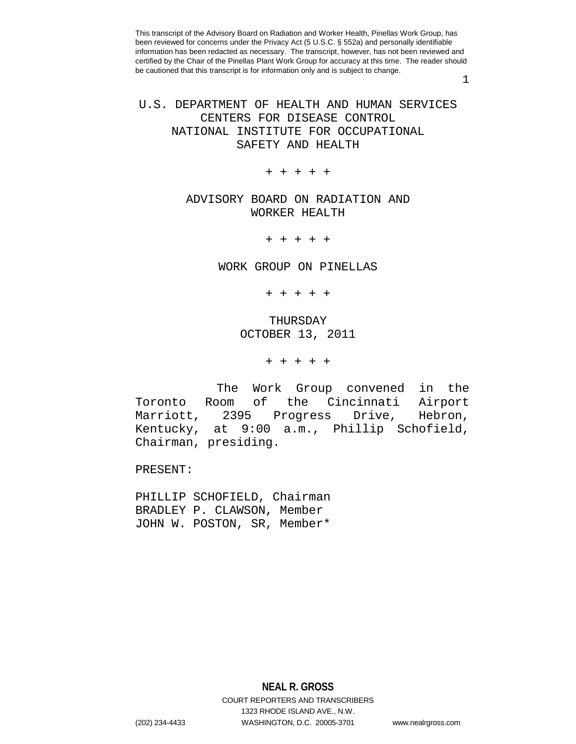1

# U.S. DEPARTMENT OF HEALTH AND HUMAN SERVICES CENTERS FOR DISEASE CONTROL NATIONAL INSTITUTE FOR OCCUPATIONAL SAFETY AND HEALTH

+ + + + +

## ADVISORY BOARD ON RADIATION AND WORKER HEALTH

+ + + + +

#### WORK GROUP ON PINELLAS

+ + + + +

## THURSDAY OCTOBER 13, 2011

+ + + + +

 The Work Group convened in the Toronto Room of the Cincinnati Airport Progress Drive, Hebron, Kentucky, at 9:00 a.m., Phillip Schofield, Chairman, presiding.

PRESENT:

PHILLIP SCHOFIELD, Chairman BRADLEY P. CLAWSON, Member JOHN W. POSTON, SR, Member\*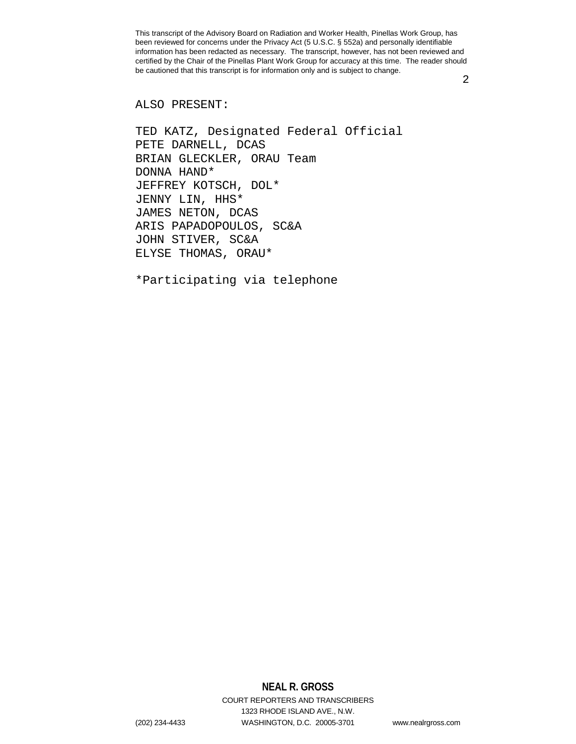2

#### ALSO PRESENT:

TED KATZ, Designated Federal Official PETE DARNELL, DCAS BRIAN GLECKLER, ORAU Team DONNA HAND\* JEFFREY KOTSCH, DOL\* JENNY LIN, HHS\* JAMES NETON, DCAS ARIS PAPADOPOULOS, SC&A JOHN STIVER, SC&A ELYSE THOMAS, ORAU\*

\*Participating via telephone

# **NEAL R. GROSS**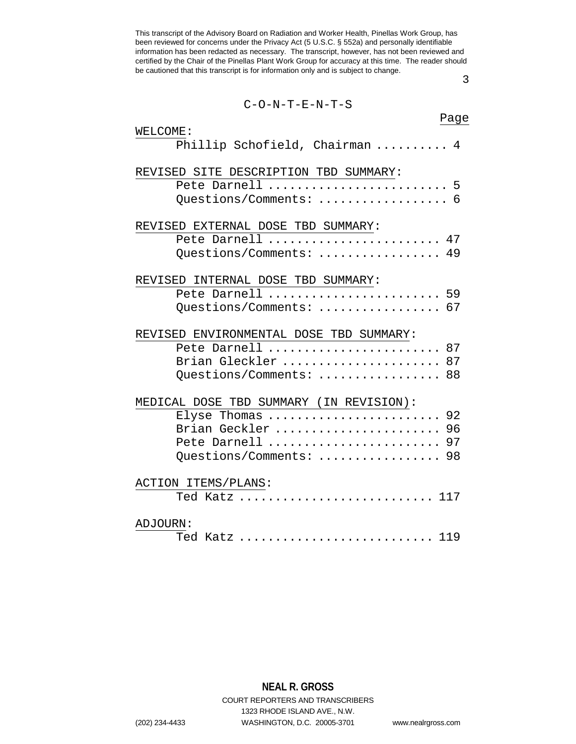3

| $C-O-N-T-E-N-T-S$                       |
|-----------------------------------------|
| Page                                    |
| WELCOME:                                |
| Phillip Schofield, Chairman  4          |
| REVISED SITE DESCRIPTION TBD SUMMARY:   |
| Pete Darnell  5                         |
| Questions/Comments:  6                  |
| REVISED EXTERNAL DOSE TBD SUMMARY:      |
| Pete Darnell  47                        |
| Questions/Comments:  49                 |
| REVISED INTERNAL DOSE TBD SUMMARY:      |
| Pete Darnell  59                        |
| Questions/Comments:  67                 |
| REVISED ENVIRONMENTAL DOSE TBD SUMMARY: |
| Pete Darnell  87                        |
| Brian Gleckler  87                      |
| Questions/Comments:  88                 |
| MEDICAL DOSE TBD SUMMARY (IN REVISION): |
| Elyse Thomas  92                        |
| Brian Geckler  96                       |
| Pete Darnell  97                        |
| Questions/Comments:  98                 |
| ACTION ITEMS/PLANS:                     |
| Ted Katz  117                           |
| ADJOURN:                                |
| Ted Katz  119                           |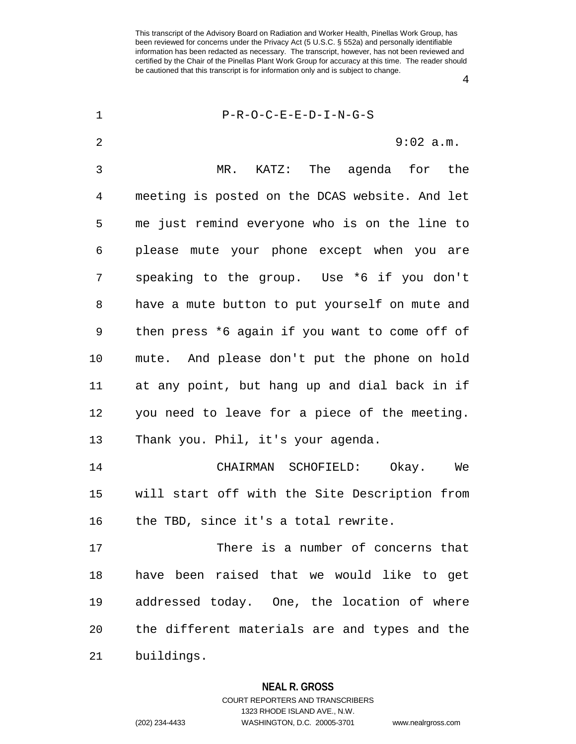4

| $\mathbf 1$ | $P-R-O-C-E-E-D-I-N-G-S$                        |
|-------------|------------------------------------------------|
| 2           | $9:02$ a.m.                                    |
| 3           | KATZ: The agenda<br>$MR$ .<br>for the          |
| 4           | meeting is posted on the DCAS website. And let |
| 5           | me just remind everyone who is on the line to  |
| 6           | please mute your phone except when you are     |
| 7           | speaking to the group. Use *6 if you don't     |
| 8           | have a mute button to put yourself on mute and |
| 9           | then press *6 again if you want to come off of |
| 10          | mute. And please don't put the phone on hold   |
| 11          | at any point, but hang up and dial back in if  |
| 12          | you need to leave for a piece of the meeting.  |
| 13          | Thank you. Phil, it's your agenda.             |
| 14          | CHAIRMAN SCHOFIELD:<br>Okay.<br>We             |
| 15          | will start off with the Site Description from  |
| 16          | the TBD, since it's a total rewrite.           |
| 17          | There is a number of concerns that             |
| 18          | have been raised that we would like to get     |
| 19          | addressed today. One, the location of where    |
| 20          | the different materials are and types and the  |
| 21          | buildings.                                     |

**NEAL R. GROSS** COURT REPORTERS AND TRANSCRIBERS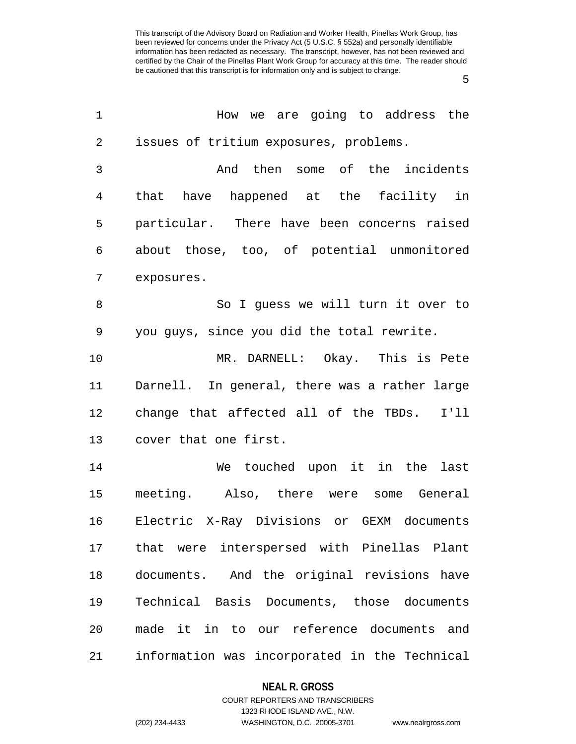5

| 1  | How we are going to address the               |
|----|-----------------------------------------------|
| 2  | issues of tritium exposures, problems.        |
| 3  | And then some of the incidents                |
| 4  | that have happened at the facility in         |
| 5  | particular. There have been concerns raised   |
| 6  | about those, too, of potential unmonitored    |
| 7  | exposures.                                    |
| 8  | So I guess we will turn it over to            |
| 9  | you guys, since you did the total rewrite.    |
| 10 | MR. DARNELL: Okay. This is Pete               |
| 11 | Darnell. In general, there was a rather large |
| 12 | change that affected all of the TBDs.<br>I'11 |
| 13 | cover that one first.                         |
| 14 | We touched upon it in the<br>last             |
| 15 | meeting. Also, there were some General        |
| 16 | Electric X-Ray Divisions or GEXM documents    |
| 17 | that were interspersed with Pinellas Plant    |
| 18 | documents. And the original revisions have    |
| 19 | Technical Basis Documents, those documents    |
| 20 | made it in to our reference documents<br>and  |
| 21 | information was incorporated in the Technical |

## **NEAL R. GROSS**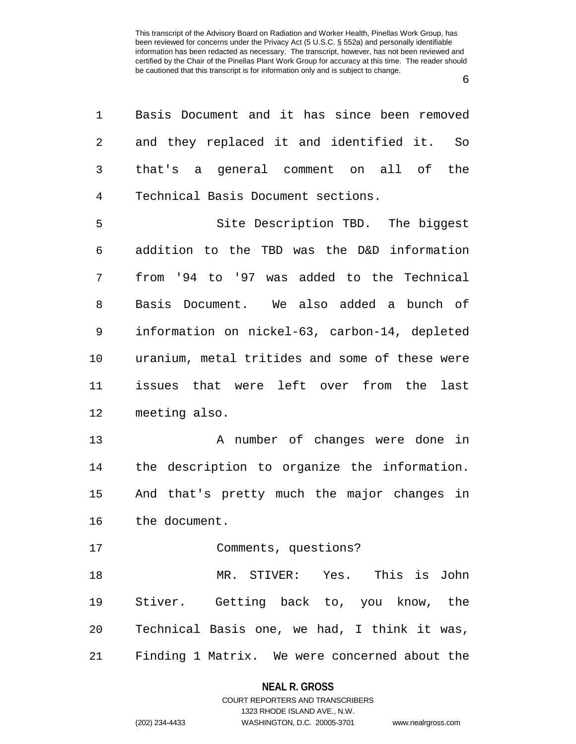6

| 1  | Basis Document and it has since been removed   |
|----|------------------------------------------------|
| 2  | and they replaced it and identified it.<br>So  |
| 3  | that's a general comment on all of the         |
| 4  | Technical Basis Document sections.             |
| 5  | Site Description TBD. The biggest              |
| 6  | addition to the TBD was the D&D information    |
| 7  | from '94 to '97 was added to the Technical     |
| 8  | Basis Document. We also added a bunch of       |
| 9  | information on nickel-63, carbon-14, depleted  |
| 10 | uranium, metal tritides and some of these were |
| 11 | issues that were left over from the<br>last    |
| 12 | meeting also.                                  |
| 13 | A number of changes were done in               |
| 14 | the description to organize the information.   |
| 15 | And that's pretty much the major changes in    |
| 16 | the document.                                  |
| 17 | Comments, questions?                           |
| 18 | MR. STIVER: Yes. This is John                  |
| 19 | Stiver. Getting back to, you know, the         |
| 20 | Technical Basis one, we had, I think it was,   |
| 21 | Finding 1 Matrix. We were concerned about the  |
|    |                                                |

### **NEAL R. GROSS**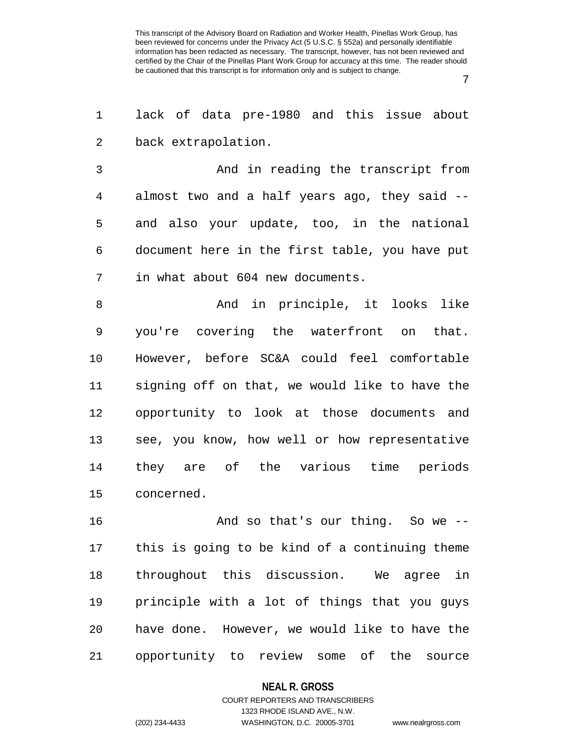7

1 lack of data pre-1980 and this issue about 2 back extrapolation.

3 And in reading the transcript from 4 almost two and a half years ago, they said -- 5 and also your update, too, in the national 6 document here in the first table, you have put 7 in what about 604 new documents.

8 And in principle, it looks like 9 you're covering the waterfront on that. 10 However, before SC&A could feel comfortable 11 signing off on that, we would like to have the 12 opportunity to look at those documents and 13 see, you know, how well or how representative 14 they are of the various time periods 15 concerned.

16 And so that's our thing. So we -- 17 this is going to be kind of a continuing theme 18 throughout this discussion. We agree in 19 principle with a lot of things that you guys 20 have done. However, we would like to have the 21 opportunity to review some of the source

**NEAL R. GROSS**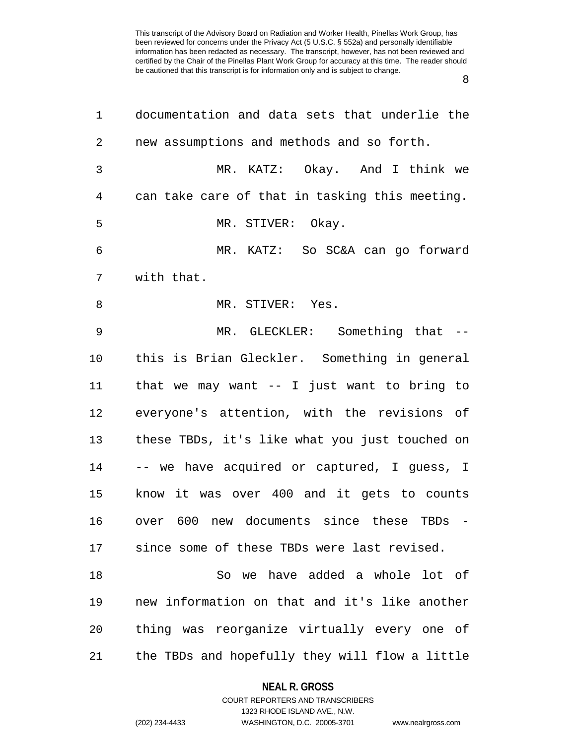8

| 1              | documentation and data sets that underlie the                          |
|----------------|------------------------------------------------------------------------|
| 2              | new assumptions and methods and so forth.                              |
| 3              | MR. KATZ: Okay. And I think we                                         |
| $\overline{4}$ | can take care of that in tasking this meeting.                         |
| 5              | MR. STIVER: Okay.                                                      |
| 6              | MR. KATZ: So SC&A can go forward                                       |
| 7              | with that.                                                             |
| 8              | MR. STIVER: Yes.                                                       |
| 9              | MR. GLECKLER: Something that --                                        |
| 10             | this is Brian Gleckler. Something in general                           |
| 11             | that we may want $--$ I just want to bring to                          |
| 12             | everyone's attention, with the revisions of                            |
| 13             | these TBDs, it's like what you just touched on                         |
| 14             | -- we have acquired or captured, I guess, I                            |
| 15             | know it was over 400 and it gets to counts                             |
| 16             | over 600<br>new documents since these TBDs<br>$\overline{\phantom{0}}$ |
| 17             | since some of these TBDs were last revised.                            |
| 18             | So we have added a whole lot of                                        |
| 19             | new information on that and it's like another                          |
| 20             | thing was reorganize virtually every one of                            |
| 21             | the TBDs and hopefully they will flow a little                         |

### **NEAL R. GROSS**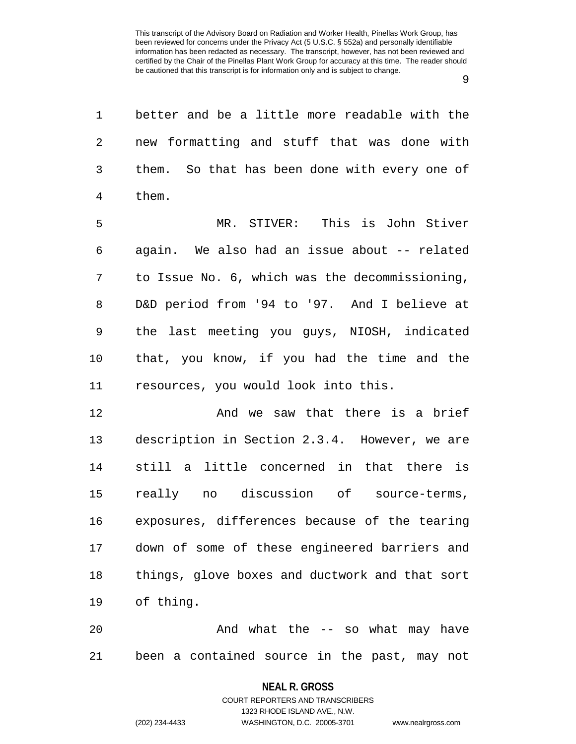9

1 better and be a little more readable with the 2 new formatting and stuff that was done with 3 them. So that has been done with every one of 4 them.

5 MR. STIVER: This is John Stiver 6 again. We also had an issue about -- related 7 to Issue No. 6, which was the decommissioning, 8 D&D period from '94 to '97. And I believe at 9 the last meeting you guys, NIOSH, indicated 10 that, you know, if you had the time and the 11 resources, you would look into this.

12 **And we saw that there is a brief** 13 description in Section 2.3.4. However, we are 14 still a little concerned in that there is 15 really no discussion of source-terms, 16 exposures, differences because of the tearing 17 down of some of these engineered barriers and 18 things, glove boxes and ductwork and that sort 19 of thing.

20 And what the -- so what may have 21 been a contained source in the past, may not

## **NEAL R. GROSS** COURT REPORTERS AND TRANSCRIBERS

1323 RHODE ISLAND AVE., N.W.

(202) 234-4433 WASHINGTON, D.C. 20005-3701 www.nealrgross.com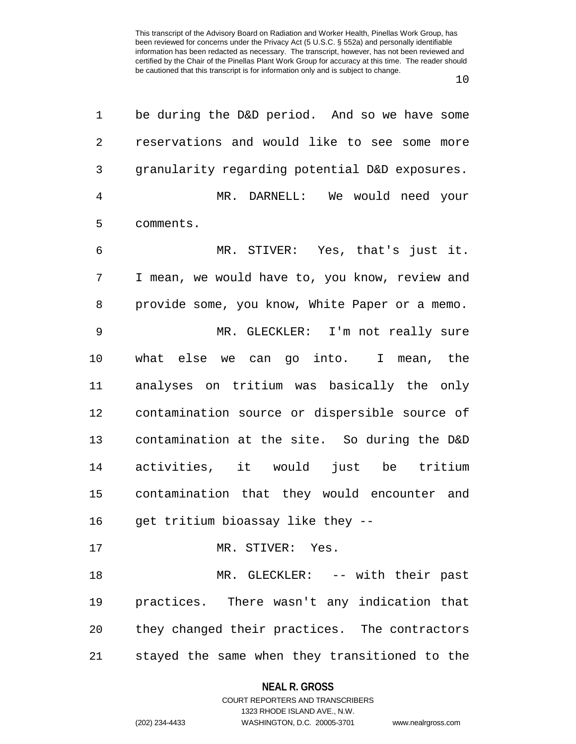| 1  | be during the D&D period. And so we have some   |
|----|-------------------------------------------------|
| 2  | reservations and would like to see some<br>more |
| 3  | granularity regarding potential D&D exposures.  |
| 4  | MR. DARNELL: We would need your                 |
| 5  | comments.                                       |
| 6  | MR. STIVER: Yes, that's just it.                |
| 7  | I mean, we would have to, you know, review and  |
| 8  | provide some, you know, White Paper or a memo.  |
| 9  | MR. GLECKLER: I'm not really sure               |
| 10 | what else we can go into. I mean, the           |
| 11 | analyses on tritium was basically the only      |
| 12 | contamination source or dispersible source of   |
| 13 | contamination at the site. So during the D&D    |
| 14 | activities, it would just be tritium            |
| 15 | contamination that they would encounter and     |
| 16 | get tritium bioassay like they --               |
| 17 | MR. STIVER: Yes.                                |
| 18 | MR. GLECKLER: -- with their past                |
| 19 | practices. There wasn't any indication that     |
| 20 | they changed their practices. The contractors   |
| 21 | stayed the same when they transitioned to the   |

### **NEAL R. GROSS**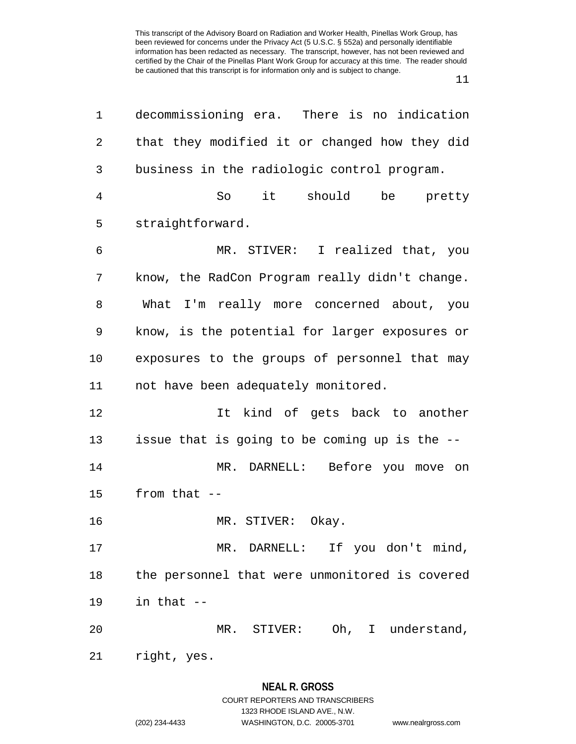11

| 1  | decommissioning era. There is no indication    |
|----|------------------------------------------------|
| 2  | that they modified it or changed how they did  |
| 3  | business in the radiologic control program.    |
| 4  | $i$ t $i$<br>should<br>So<br>be pretty         |
| 5  | straightforward.                               |
| 6  | MR. STIVER: I realized that, you               |
| 7  | know, the RadCon Program really didn't change. |
| 8  | What I'm really more concerned about, you      |
| 9  | know, is the potential for larger exposures or |
| 10 | exposures to the groups of personnel that may  |
| 11 | not have been adequately monitored.            |
| 12 | It kind of gets back to another                |
| 13 | issue that is going to be coming up is the --  |
| 14 | MR. DARNELL: Before you move on                |
| 15 | from that $--$                                 |
| 16 | MR. STIVER: Okay.                              |
| 17 | MR. DARNELL: If you don't mind,                |
| 18 | the personnel that were unmonitored is covered |
| 19 | in that --                                     |
| 20 | MR. STIVER: Oh, I understand,                  |
| 21 | right, yes.                                    |
|    |                                                |

## **NEAL R. GROSS**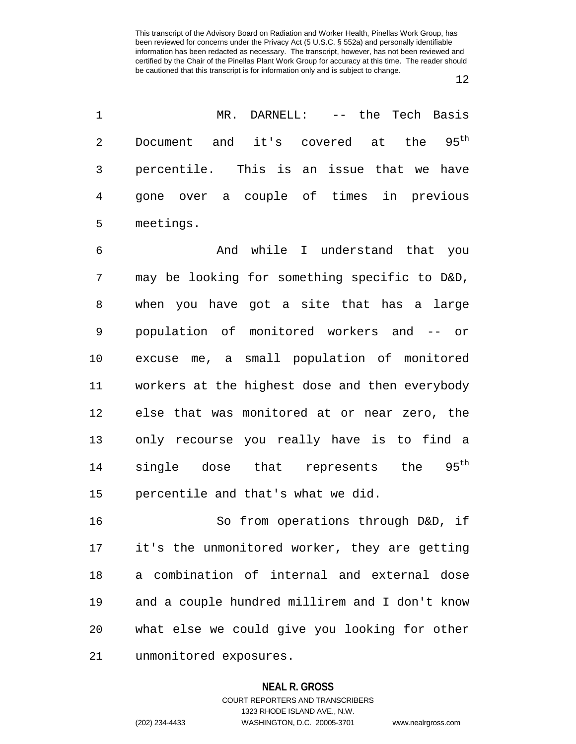12

| 1              | MR.<br>DARNELL: -- the Tech Basis                   |
|----------------|-----------------------------------------------------|
| $\overline{2}$ | Document and it's covered at the 95 <sup>th</sup>   |
| 3              | percentile. This is an issue that we have           |
| 4              | gone over a couple of times in previous             |
| 5              | meetings.                                           |
| 6              | while I understand that you<br>And                  |
| 7              | may be looking for something specific to D&D,       |
| 8              | when you have got a site that has a large           |
| 9              | population of monitored workers and -- or           |
| $10 \,$        | excuse me, a small population of monitored          |
| 11             | workers at the highest dose and then everybody      |
| 12             | else that was monitored at or near zero, the        |
| 13             | only recourse you really have is to find a          |
| 14             | $95^{\text{th}}$<br>single dose that represents the |
| 15             | percentile and that's what we did.                  |
| 16             | So from operations through D&D, if                  |
| 17             | it's the unmonitored worker, they are getting       |
| 18             | a combination of internal and external dose         |
| 19             | and a couple hundred millirem and I don't know      |
| 20             | what else we could give you looking for other       |
|                |                                                     |

21 unmonitored exposures.

#### **NEAL R. GROSS**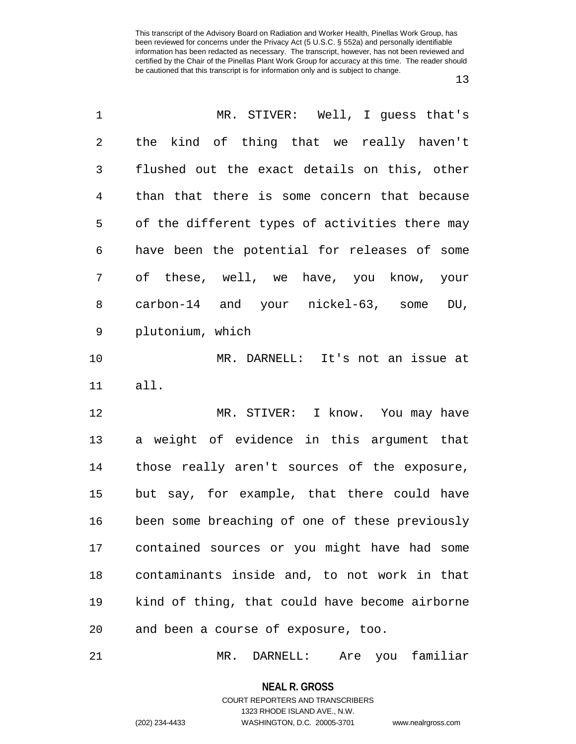| $\mathbf 1$    | MR. STIVER: Well, I guess that's               |
|----------------|------------------------------------------------|
| $\overline{2}$ | the kind of thing that we really haven't       |
| 3              | flushed out the exact details on this, other   |
| 4              | than that there is some concern that because   |
| 5              | of the different types of activities there may |
| 6              | have been the potential for releases of some   |
| 7              | of these, well, we have, you know, your        |
| 8              | carbon-14 and your nickel-63, some DU,         |
| 9              | plutonium, which                               |
| 10             | MR. DARNELL: It's not an issue at              |
| 11             | all.                                           |
| 12             | MR. STIVER: I know. You may have               |
| 13             | a weight of evidence in this argument that     |
| 14             | those really aren't sources of the exposure,   |
| 15             | but say, for example, that there could have    |
| 16             | been some breaching of one of these previously |
| 17             | contained sources or you might have had some   |
| 18             | contaminants inside and, to not work in that   |
| 19             | kind of thing, that could have become airborne |
| 20             | and been a course of exposure, too.            |
|                |                                                |

21 MR. DARNELL: Are you familiar

**NEAL R. GROSS** COURT REPORTERS AND TRANSCRIBERS

1323 RHODE ISLAND AVE., N.W.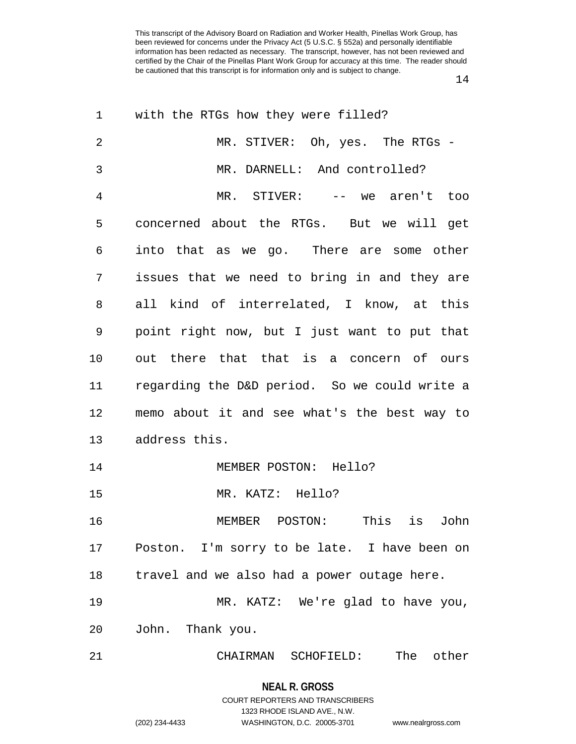| 1              | with the RTGs how they were filled?           |
|----------------|-----------------------------------------------|
| $\overline{2}$ | MR. STIVER: Oh, yes. The RTGs -               |
| 3              | MR. DARNELL: And controlled?                  |
| 4              | MR. STIVER: -- we aren't too                  |
| 5              | concerned about the RTGs. But we will get     |
| 6              | into that as we go. There are some other      |
| 7              | issues that we need to bring in and they are  |
| 8              | all kind of interrelated, I know, at this     |
| 9              | point right now, but I just want to put that  |
| 10             | out there that that is a concern of ours      |
| 11             | regarding the D&D period. So we could write a |
| 12             | memo about it and see what's the best way to  |
| 13             | address this.                                 |
| 14             | MEMBER POSTON: Hello?                         |
| 15             | MR. KATZ: Hello?                              |
| 16             | This<br>is<br>MEMBER POSTON:<br>John          |
| 17             | Poston. I'm sorry to be late. I have been on  |
| 18             | travel and we also had a power outage here.   |
| 19             | MR. KATZ: We're glad to have you,             |
| 20             | John. Thank you.                              |
| 21             | The other<br>CHAIRMAN SCHOFIELD:              |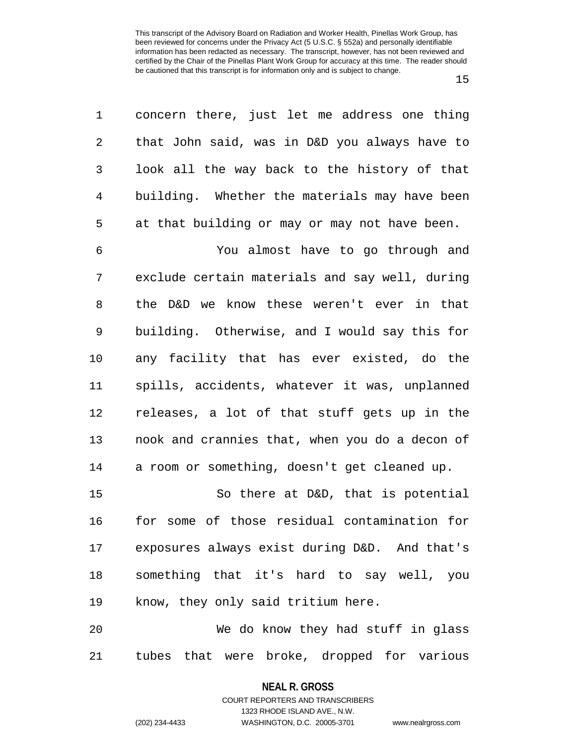15

| 1              | concern there, just let me address one thing   |
|----------------|------------------------------------------------|
| $\overline{2}$ | that John said, was in D&D you always have to  |
| 3              | look all the way back to the history of that   |
| $\overline{4}$ | building. Whether the materials may have been  |
| 5              | at that building or may or may not have been.  |
| 6              | You almost have to go through and              |
| 7              | exclude certain materials and say well, during |
| 8              | the D&D we know these weren't ever in that     |
| 9              | building. Otherwise, and I would say this for  |
| 10             | any facility that has ever existed, do the     |
| 11             | spills, accidents, whatever it was, unplanned  |
| 12             | releases, a lot of that stuff gets up in the   |
| 13             | nook and crannies that, when you do a decon of |
| 14             | a room or something, doesn't get cleaned up.   |
| 15             | So there at D&D, that is potential             |
| 16             | for some of those residual contamination for   |
| 17             | exposures always exist during D&D. And that's  |
| 18             | something that it's hard to say well, you      |
| 19             | know, they only said tritium here.             |
| 20             | We do know they had stuff in glass             |
| 21             | tubes that were broke, dropped for various     |

**NEAL R. GROSS** COURT REPORTERS AND TRANSCRIBERS

1323 RHODE ISLAND AVE., N.W.

(202) 234-4433 WASHINGTON, D.C. 20005-3701 www.nealrgross.com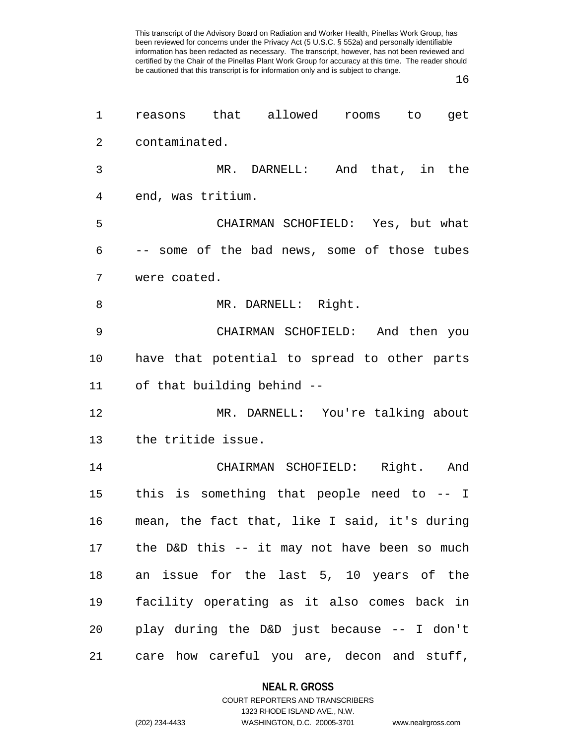16

| 1              | reasons that allowed<br>rooms to<br>get       |
|----------------|-----------------------------------------------|
| $\overline{2}$ | contaminated.                                 |
| 3              | MR. DARNELL: And that, in the                 |
| 4              | end, was tritium.                             |
| 5              | CHAIRMAN SCHOFIELD: Yes, but what             |
| 6              | -- some of the bad news, some of those tubes  |
| 7              | were coated.                                  |
| 8              | MR. DARNELL: Right.                           |
| 9              | CHAIRMAN SCHOFIELD: And then you              |
| $10 \,$        | have that potential to spread to other parts  |
| 11             | of that building behind --                    |
| 12             | MR. DARNELL: You're talking about             |
| 13             | the tritide issue.                            |
| 14             | CHAIRMAN SCHOFIELD: Right. And                |
| 15             | this is something that people need to -- I    |
| 16             | mean, the fact that, like I said, it's during |
| 17             | the D&D this -- it may not have been so much  |
| 18             | an issue for the last 5, 10 years of the      |
| 19             | facility operating as it also comes back in   |
| 20             | play during the D&D just because -- I don't   |
| 21             | care how careful you are, decon and stuff,    |

**NEAL R. GROSS** COURT REPORTERS AND TRANSCRIBERS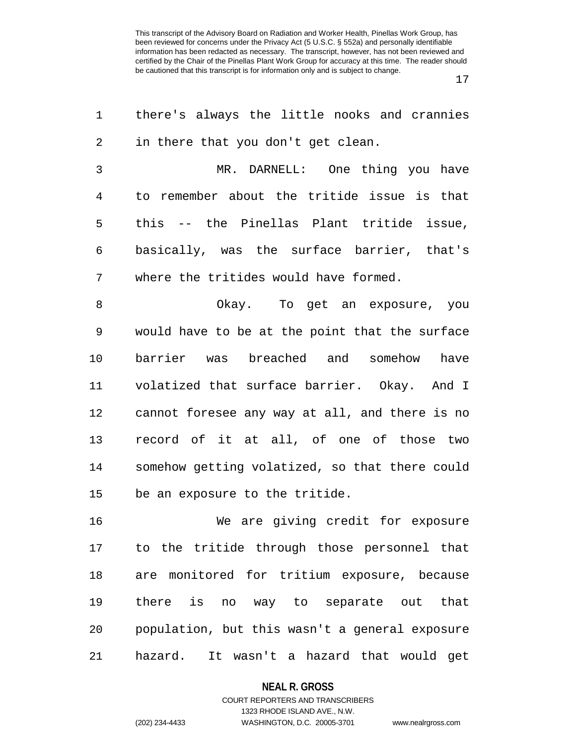17

| 1  | there's always the little nooks and crannies   |
|----|------------------------------------------------|
| 2  | in there that you don't get clean.             |
| 3  | MR. DARNELL: One thing you have                |
| 4  | to remember about the tritide issue is that    |
| 5  | this -- the Pinellas Plant tritide issue,      |
| 6  | basically, was the surface barrier, that's     |
| 7  | where the tritides would have formed.          |
| 8  | Okay. To get an exposure, you                  |
| 9  | would have to be at the point that the surface |
| 10 | barrier was breached and somehow have          |
| 11 | volatized that surface barrier. Okay. And I    |
| 12 | cannot foresee any way at all, and there is no |
| 13 | record of it at all, of one of those two       |
| 14 | somehow getting volatized, so that there could |
| 15 | be an exposure to the tritide.                 |
| 16 | We are giving credit for exposure              |
| 17 | to the tritide through those personnel that    |
| 18 | are monitored for tritium exposure, because    |
| 19 | there is no way to separate out that           |
| 20 | population, but this wasn't a general exposure |
| 21 | hazard.<br>It wasn't a hazard that would get   |

#### **NEAL R. GROSS**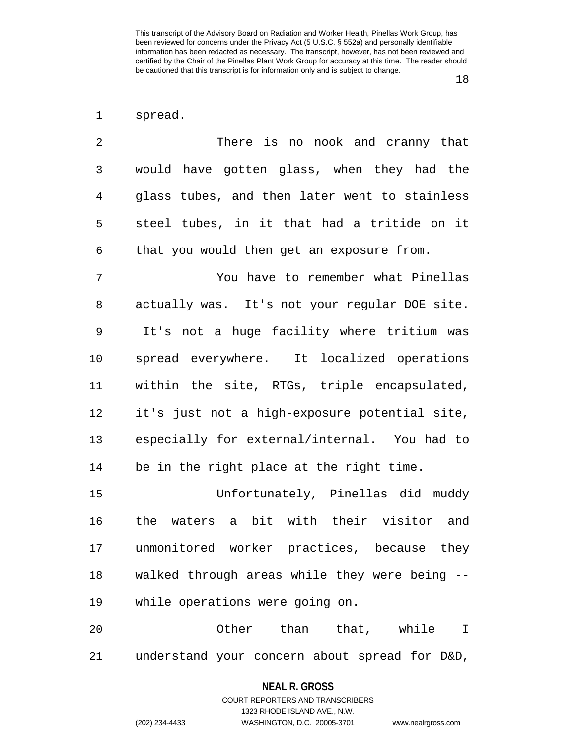1 spread.

2 There is no nook and cranny that 3 would have gotten glass, when they had the 4 glass tubes, and then later went to stainless 5 steel tubes, in it that had a tritide on it 6 that you would then get an exposure from.

7 You have to remember what Pinellas 8 actually was. It's not your regular DOE site. 9 It's not a huge facility where tritium was 10 spread everywhere. It localized operations 11 within the site, RTGs, triple encapsulated, 12 it's just not a high-exposure potential site, 13 especially for external/internal. You had to 14 be in the right place at the right time.

15 Unfortunately, Pinellas did muddy 16 the waters a bit with their visitor and 17 unmonitored worker practices, because they 18 walked through areas while they were being -- 19 while operations were going on.

20 Other than that, while I 21 understand your concern about spread for D&D,

#### **NEAL R. GROSS**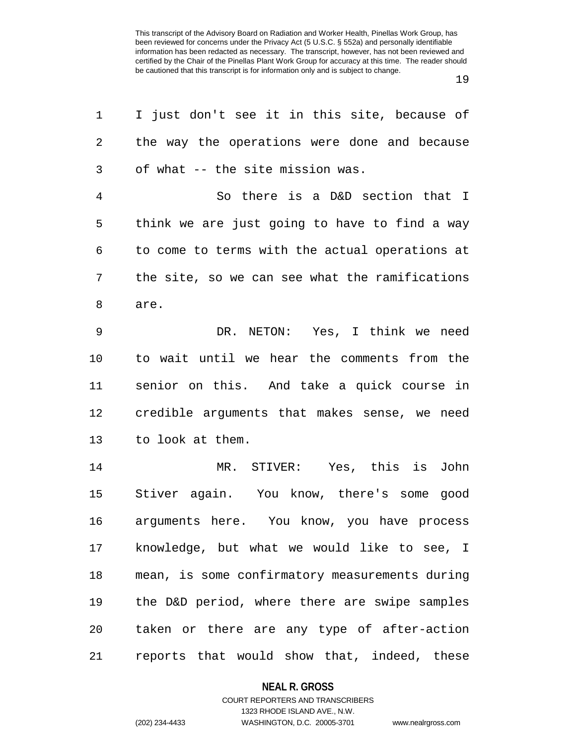19

| 1              | I just don't see it in this site, because of   |
|----------------|------------------------------------------------|
| 2              | the way the operations were done and because   |
| 3              | of what -- the site mission was.               |
| $\overline{4}$ | So there is a D&D section that I               |
| 5              | think we are just going to have to find a way  |
| 6              | to come to terms with the actual operations at |
| 7              | the site, so we can see what the ramifications |
| 8              | are.                                           |
| $\mathsf 9$    | DR. NETON: Yes, I think we need                |
| 10             | to wait until we hear the comments from the    |
| 11             | senior on this. And take a quick course in     |
| 12             | credible arguments that makes sense, we need   |
| 13             | to look at them.                               |
| 14             | MR. STIVER: Yes, this is John                  |
| 15             | Stiver again. You know, there's some good      |
| 16             | arguments here. You know, you have process     |
| 17             | knowledge, but what we would like to see, I    |
| 18             | mean, is some confirmatory measurements during |
| 19             | the D&D period, where there are swipe samples  |
| 20             | taken or there are any type of after-action    |
| 21             | reports that would show that, indeed, these    |

### **NEAL R. GROSS**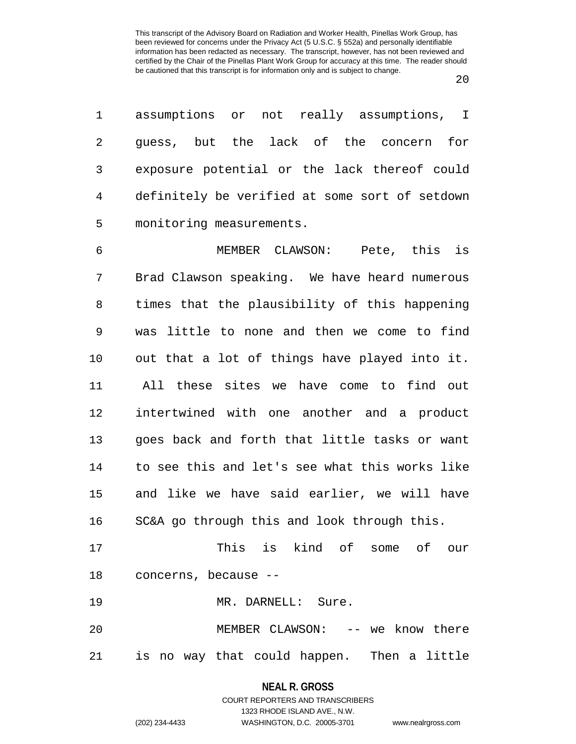| 1  | assumptions or not really assumptions, I       |
|----|------------------------------------------------|
| 2  | guess, but the lack of the concern<br>for      |
| 3  | exposure potential or the lack thereof could   |
| 4  | definitely be verified at some sort of setdown |
| 5  | monitoring measurements.                       |
| 6  | Pete, this is<br>MEMBER CLAWSON:               |
| 7  | Brad Clawson speaking. We have heard numerous  |
| 8  | times that the plausibility of this happening  |
| 9  | was little to none and then we come to find    |
| 10 | out that a lot of things have played into it.  |
| 11 | All these sites we have come to find out       |
| 12 | intertwined with one another and a product     |
| 13 | goes back and forth that little tasks or want  |
| 14 | to see this and let's see what this works like |
| 15 | and like we have said earlier, we will have    |
| 16 | SC&A go through this and look through this.    |
| 17 | This is kind of some of our                    |
|    | 18 concerns, because --                        |
| 19 | MR. DARNELL: Sure.                             |
| 20 | MEMBER CLAWSON: -- we know there               |
| 21 | is no way that could happen. Then a little     |

**NEAL R. GROSS**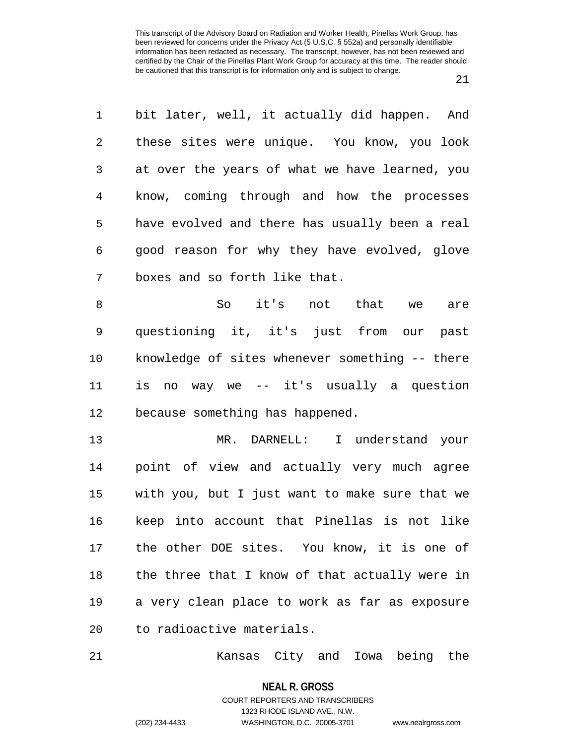1 bit later, well, it actually did happen. And 2 these sites were unique. You know, you look 3 at over the years of what we have learned, you 4 know, coming through and how the processes 5 have evolved and there has usually been a real 6 good reason for why they have evolved, glove 7 boxes and so forth like that. 8 So it's not that we are 9 questioning it, it's just from our past 10 knowledge of sites whenever something -- there 11 is no way we -- it's usually a question 12 because something has happened. 13 MR. DARNELL: I understand your 14 point of view and actually very much agree 15 with you, but I just want to make sure that we 16 keep into account that Pinellas is not like 17 the other DOE sites. You know, it is one of 18 the three that I know of that actually were in 19 a very clean place to work as far as exposure

20 to radioactive materials.

21 Kansas City and Iowa being the

**NEAL R. GROSS** COURT REPORTERS AND TRANSCRIBERS

1323 RHODE ISLAND AVE., N.W.

(202) 234-4433 WASHINGTON, D.C. 20005-3701 www.nealrgross.com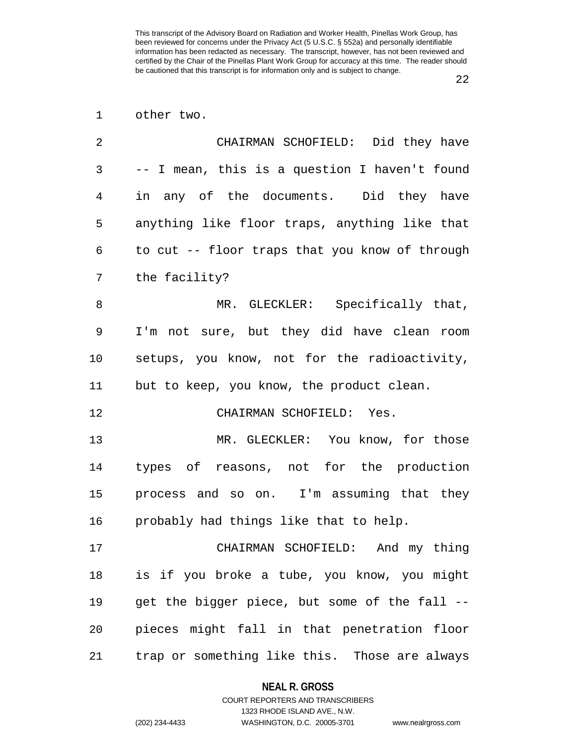## 1 other two.

| 2  | CHAIRMAN SCHOFIELD: Did they have              |
|----|------------------------------------------------|
| 3  | -- I mean, this is a question I haven't found  |
| 4  | in any of the documents. Did they have         |
| 5  | anything like floor traps, anything like that  |
| 6  | to cut -- floor traps that you know of through |
| 7  | the facility?                                  |
| 8  | MR. GLECKLER: Specifically that,               |
| 9  | I'm not sure, but they did have clean room     |
| 10 | setups, you know, not for the radioactivity,   |
| 11 | but to keep, you know, the product clean.      |
| 12 | CHAIRMAN SCHOFIELD: Yes.                       |
| 13 | MR. GLECKLER: You know, for those              |
| 14 | types of reasons, not for the production       |
| 15 | process and so on. I'm assuming that they      |
| 16 | probably had things like that to help.         |
| 17 | CHAIRMAN SCHOFIELD: And my thing               |
| 18 | is if you broke a tube, you know, you might    |
| 19 | get the bigger piece, but some of the fall --  |
| 20 | pieces might fall in that penetration floor    |
| 21 | trap or something like this. Those are always  |

## **NEAL R. GROSS**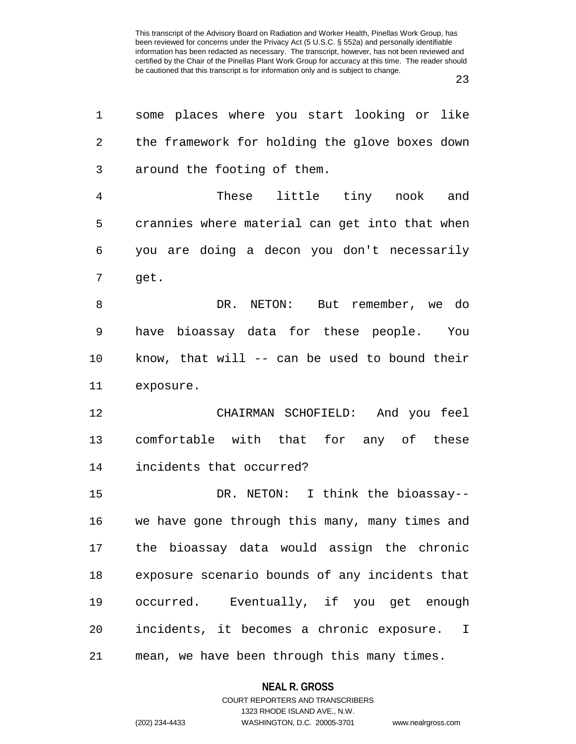| 1  | some places where you start looking or like               |
|----|-----------------------------------------------------------|
| 2  | the framework for holding the glove boxes down            |
| 3  | around the footing of them.                               |
| 4  | These little tiny nook and                                |
| 5  | crannies where material can get into that when            |
| 6  | you are doing a decon you don't necessarily               |
| 7  | get.                                                      |
| 8  | DR. NETON: But remember, we do                            |
| 9  | have bioassay data for these people. You                  |
| 10 | know, that will -- can be used to bound their             |
| 11 | exposure.                                                 |
| 12 | CHAIRMAN SCHOFIELD: And you feel                          |
| 13 | comfortable with that for any of these                    |
| 14 | incidents that occurred?                                  |
| 15 | DR. NETON: I think the bioassay--                         |
| 16 | we have gone through this many, many times and            |
| 17 | the bioassay data would assign the chronic                |
| 18 | exposure scenario bounds of any incidents that            |
| 19 | occurred. Eventually, if you get enough                   |
| 20 | incidents, it becomes a chronic exposure.<br>$\mathbb{I}$ |
| 21 | mean, we have been through this many times.               |

**NEAL R. GROSS** COURT REPORTERS AND TRANSCRIBERS

1323 RHODE ISLAND AVE., N.W. (202) 234-4433 WASHINGTON, D.C. 20005-3701 www.nealrgross.com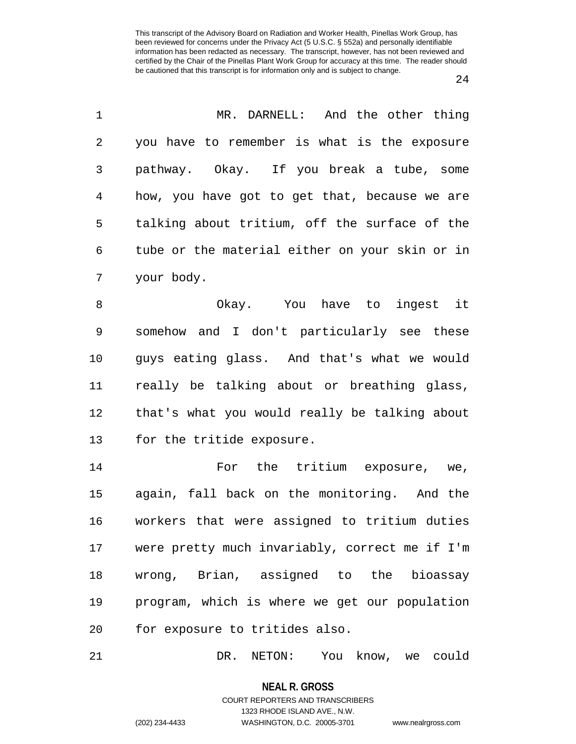1 MR. DARNELL: And the other thing

| 2  | you have to remember is what is the exposure   |
|----|------------------------------------------------|
| 3  | pathway. Okay. If you break a tube, some       |
| 4  | how, you have got to get that, because we are  |
| 5  | talking about tritium, off the surface of the  |
| 6  | tube or the material either on your skin or in |
| 7  | your body.                                     |
| 8  | Okay. You have to ingest it                    |
| 9  | somehow and I don't particularly see these     |
| 10 | guys eating glass. And that's what we would    |
| 11 | really be talking about or breathing glass,    |
| 12 | that's what you would really be talking about  |
| 13 | for the tritide exposure.                      |
| 14 | For the tritium exposure, we,                  |
| 15 | again, fall back on the monitoring. And the    |
| 16 | workers that were assigned to tritium duties   |
| 17 | were pretty much invariably, correct me if I'm |
| 18 | wrong, Brian, assigned to the bioassay         |
| 19 | program, which is where we get our population  |
| 20 | for exposure to tritides also.                 |
|    |                                                |

21 DR. NETON: You know, we could

**NEAL R. GROSS** COURT REPORTERS AND TRANSCRIBERS

1323 RHODE ISLAND AVE., N.W.

(202) 234-4433 WASHINGTON, D.C. 20005-3701 www.nealrgross.com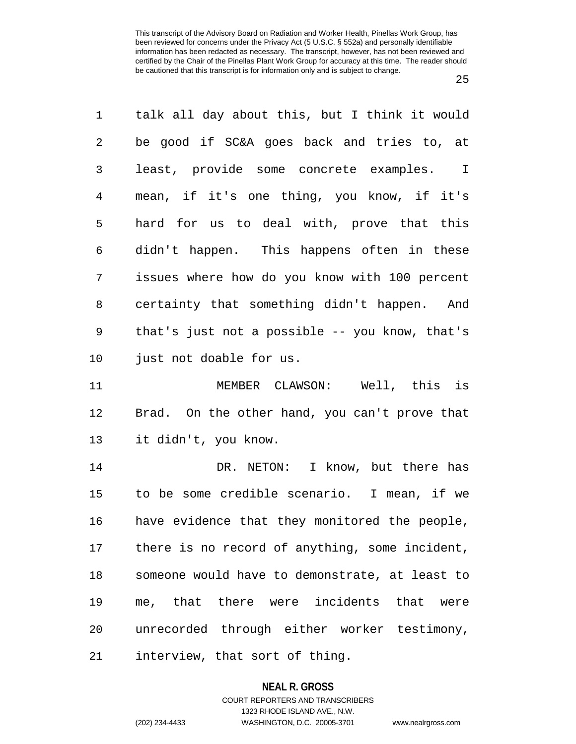1 talk all day about this, but I think it would 2 be good if SC&A goes back and tries to, at 3 least, provide some concrete examples. I 4 mean, if it's one thing, you know, if it's 5 hard for us to deal with, prove that this 6 didn't happen. This happens often in these 7 issues where how do you know with 100 percent 8 certainty that something didn't happen. And 9 that's just not a possible -- you know, that's 10 just not doable for us. 11 MEMBER CLAWSON: Well, this is 12 Brad. On the other hand, you can't prove that 13 it didn't, you know. 14 DR. NETON: I know, but there has 15 to be some credible scenario. I mean, if we 16 have evidence that they monitored the people,

17 there is no record of anything, some incident, 18 someone would have to demonstrate, at least to 19 me, that there were incidents that were 20 unrecorded through either worker testimony, 21 interview, that sort of thing.

#### **NEAL R. GROSS**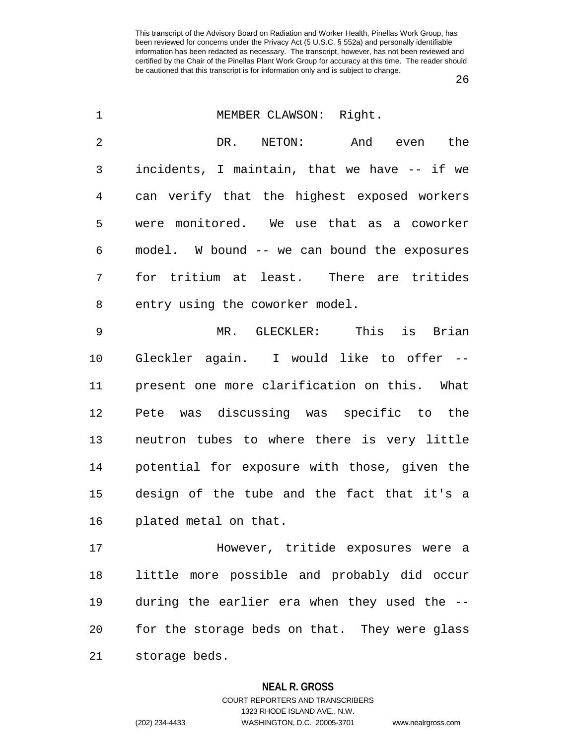26

| $\mathbf 1$    | MEMBER CLAWSON: Right.                        |
|----------------|-----------------------------------------------|
| $\overline{2}$ | DR. NETON:<br>And even the                    |
| 3              | incidents, I maintain, that we have -- if we  |
| 4              | can verify that the highest exposed workers   |
| 5              | were monitored. We use that as a coworker     |
| 6              | model. W bound -- we can bound the exposures  |
| 7              | for tritium at least. There are tritides      |
| 8              | entry using the coworker model.               |
| 9              | MR. GLECKLER: This is Brian                   |
| 10             | Gleckler again. I would like to offer --      |
| 11             | present one more clarification on this. What  |
| 12             | Pete was discussing was specific to the       |
| 13             | neutron tubes to where there is very little   |
| 14             | potential for exposure with those, given the  |
| 15             | design of the tube and the fact that it's a   |
| 16             | plated metal on that.                         |
| 17             | However, tritide exposures were a             |
| 18             | little more possible and probably did occur   |
| 19             | during the earlier era when they used the --  |
| 20             | for the storage beds on that. They were glass |
| 21             | storage beds.                                 |

#### **NEAL R. GROSS**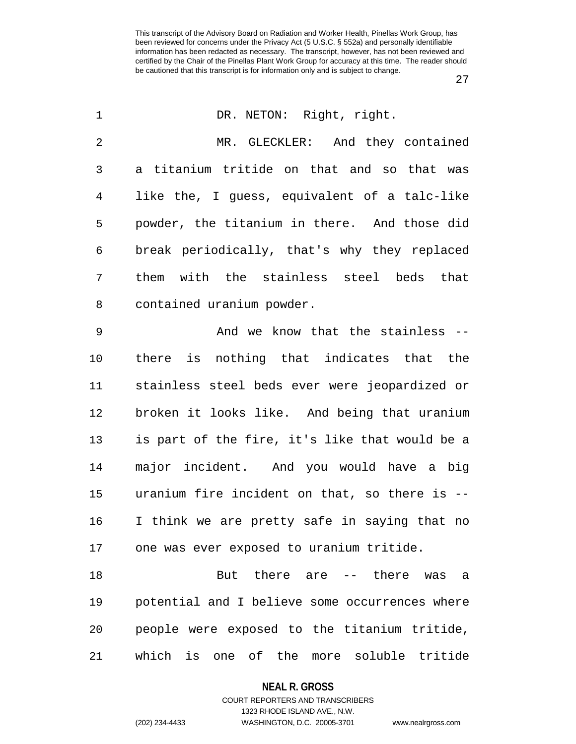27

| $\mathbf 1$    | DR. NETON: Right, right.                       |
|----------------|------------------------------------------------|
| $\overline{2}$ | MR. GLECKLER: And they contained               |
| 3              | a titanium tritide on that and so that was     |
| $\overline{4}$ | like the, I guess, equivalent of a talc-like   |
| 5              | powder, the titanium in there. And those did   |
| 6              | break periodically, that's why they replaced   |
| 7              | them with the stainless steel beds that        |
| 8              | contained uranium powder.                      |
| $\mathsf 9$    | And we know that the stainless --              |
| 10             | there is nothing that indicates that the       |
| 11             | stainless steel beds ever were jeopardized or  |
| 12             | broken it looks like. And being that uranium   |
| 13             | is part of the fire, it's like that would be a |
| 14             | major incident. And you would have a big       |
| 15             | uranium fire incident on that, so there is --  |
| 16             | I think we are pretty safe in saying that no   |
| 17             | one was ever exposed to uranium tritide.       |
| 18             | But there are -- there was a                   |
| 19             | potential and I believe some occurrences where |
| 20             | people were exposed to the titanium tritide,   |
| 21             | which is one of the more soluble tritide       |

**NEAL R. GROSS** COURT REPORTERS AND TRANSCRIBERS

1323 RHODE ISLAND AVE., N.W.

(202) 234-4433 WASHINGTON, D.C. 20005-3701 www.nealrgross.com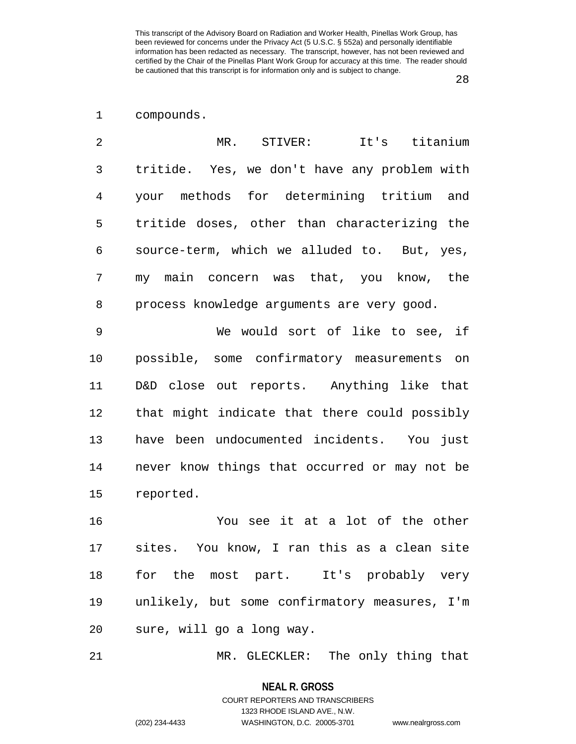## 1 compounds.

| $\mathfrak{D}$ | MR. STIVER: It's titanium                    |
|----------------|----------------------------------------------|
| 3              | tritide. Yes, we don't have any problem with |
| 4              | your methods for determining tritium and     |
| 5              | tritide doses, other than characterizing the |
| 6              | source-term, which we alluded to. But, yes,  |
| 7              | my main concern was that, you know, the      |
| 8              | process knowledge arguments are very good.   |
| 9              | We would sort of like to see, if             |
| 10             | possible, some confirmatory measurements on  |

11 D&D close out reports. Anything like that 12 that might indicate that there could possibly 13 have been undocumented incidents. You just 14 never know things that occurred or may not be 15 reported.

16 You see it at a lot of the other 17 sites. You know, I ran this as a clean site 18 for the most part. It's probably very 19 unlikely, but some confirmatory measures, I'm 20 sure, will go a long way.

21 MR. GLECKLER: The only thing that

**NEAL R. GROSS**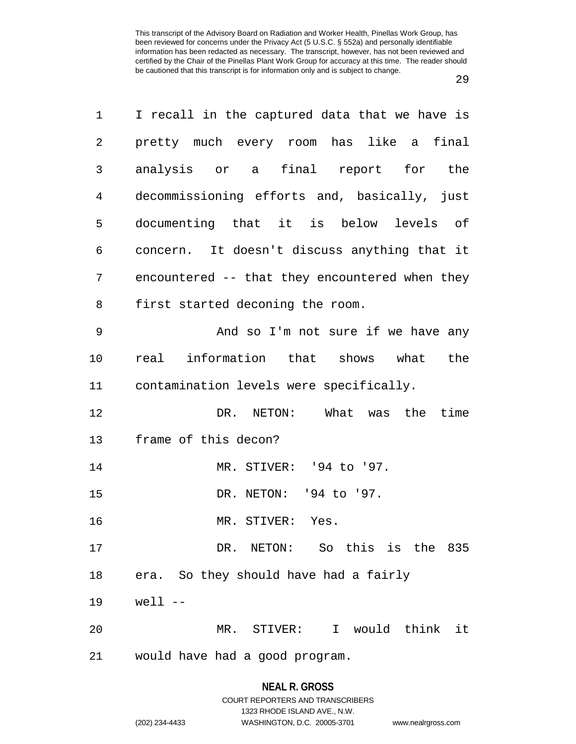29

| 1       | I recall in the captured data that we have is  |
|---------|------------------------------------------------|
| 2       | pretty much every room has like a final        |
| 3       | analysis or a final report for the             |
| 4       | decommissioning efforts and, basically, just   |
| 5       | documenting that it is below levels of         |
| 6       | concern. It doesn't discuss anything that it   |
| 7       | encountered -- that they encountered when they |
| 8       | first started deconing the room.               |
| 9       | And so I'm not sure if we have any             |
| $10 \,$ | real information that shows what<br>the        |
| 11      | contamination levels were specifically.        |
| 12      | DR. NETON: What was the<br>time                |
| 13      | frame of this decon?                           |
| 14      | MR. STIVER: '94 to '97.                        |
| 15      | DR. NETON: '94 to '97.                         |
| 16      | MR. STIVER: Yes.                               |
| 17      | DR. NETON: So this is the 835                  |
| 18      | era. So they should have had a fairly          |
| 19      | $well$ --                                      |
| 20      | MR. STIVER: I would think it                   |
| 21      | would have had a good program.                 |
|         |                                                |

## **NEAL R. GROSS** COURT REPORTERS AND TRANSCRIBERS

1323 RHODE ISLAND AVE., N.W. (202) 234-4433 WASHINGTON, D.C. 20005-3701 www.nealrgross.com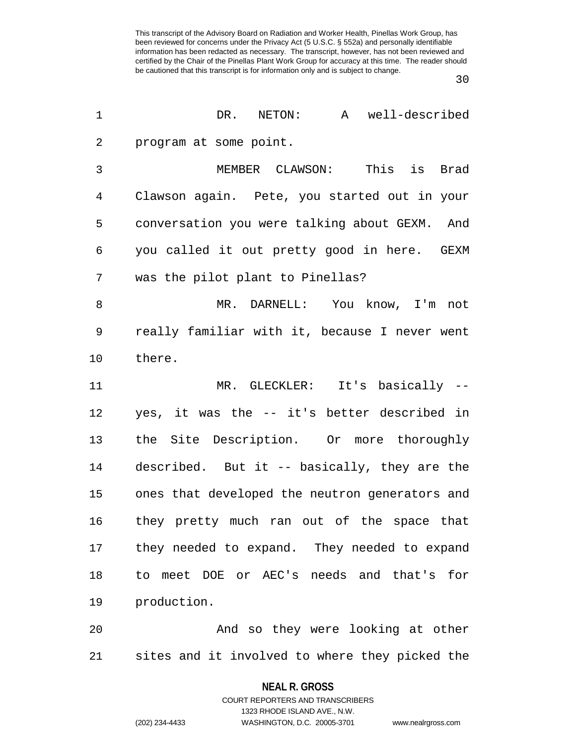30

| 1              | DR. NETON:<br>A well-described                 |
|----------------|------------------------------------------------|
| $\overline{c}$ | program at some point.                         |
| $\mathfrak{Z}$ | MEMBER CLAWSON: This is<br>Brad                |
| 4              | Clawson again. Pete, you started out in your   |
| 5              | conversation you were talking about GEXM. And  |
| 6              | you called it out pretty good in here. GEXM    |
| 7              | was the pilot plant to Pinellas?               |
| 8              | MR. DARNELL: You know, I'm not                 |
| 9              | really familiar with it, because I never went  |
| $10$           | there.                                         |
| 11             | MR. GLECKLER: It's basically --                |
| 12             | yes, it was the -- it's better described in    |
| 13             | the Site Description. Or more thoroughly       |
| 14             | described. But it -- basically, they are the   |
| 15             | ones that developed the neutron generators and |
| 16             | they pretty much ran out of the space that     |
| 17             | they needed to expand. They needed to expand   |
| 18             | to meet DOE or AEC's needs and that's for      |
| 19             | production.                                    |
| 20             | And so they were looking at other              |
| 21             | sites and it involved to where they picked the |

**NEAL R. GROSS** COURT REPORTERS AND TRANSCRIBERS

1323 RHODE ISLAND AVE., N.W.

(202) 234-4433 WASHINGTON, D.C. 20005-3701 www.nealrgross.com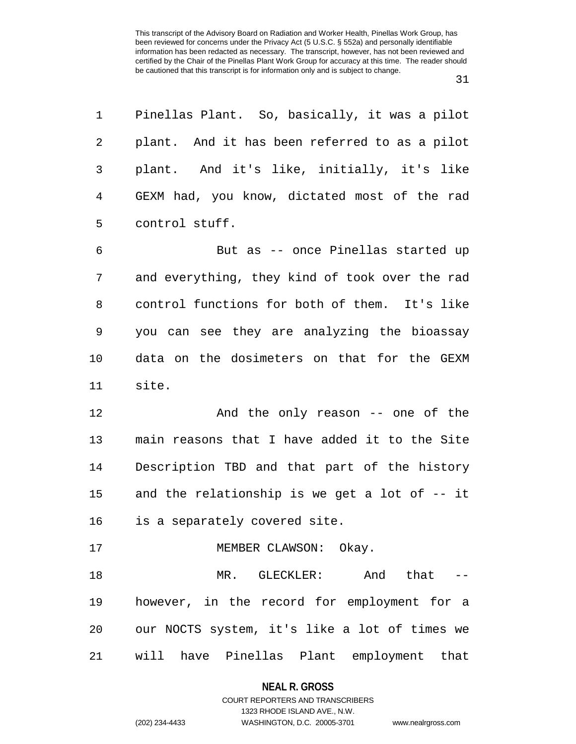1 Pinellas Plant. So, basically, it was a pilot 2 plant. And it has been referred to as a pilot 3 plant. And it's like, initially, it's like 4 GEXM had, you know, dictated most of the rad 5 control stuff. 6 But as -- once Pinellas started up 7 and everything, they kind of took over the rad 8 control functions for both of them. It's like 9 you can see they are analyzing the bioassay 10 data on the dosimeters on that for the GEXM 11 site. 12 And the only reason -- one of the 13 main reasons that I have added it to the Site 14 Description TBD and that part of the history 15 and the relationship is we get a lot of -- it 16 is a separately covered site. 17 MEMBER CLAWSON: Okay. 18 MR. GLECKLER: And that -- 19 however, in the record for employment for a 20 our NOCTS system, it's like a lot of times we 21 will have Pinellas Plant employment that

#### **NEAL R. GROSS**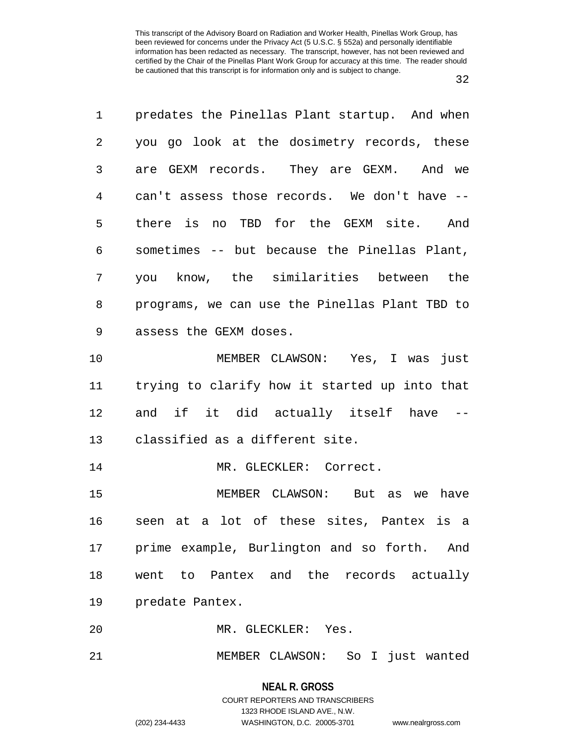| $\mathbf{1}$ | predates the Pinellas Plant startup. And when  |
|--------------|------------------------------------------------|
| 2            | you go look at the dosimetry records, these    |
| 3            | are GEXM records. They are GEXM. And we        |
| 4            | can't assess those records. We don't have --   |
| 5            | there is no TBD for the GEXM site. And         |
| 6            | sometimes -- but because the Pinellas Plant,   |
| 7            | you know, the similarities between the         |
| 8            | programs, we can use the Pinellas Plant TBD to |
| $\mathsf 9$  | assess the GEXM doses.                         |
| 10           | MEMBER CLAWSON: Yes, I was just                |
| 11           | trying to clarify how it started up into that  |
| 12           | and if it did actually itself have             |
| 13           | classified as a different site.                |
| 14           | MR. GLECKLER: Correct.                         |
| 15           | MEMBER CLAWSON: But as we have                 |
| 16           | seen at a lot of these sites, Pantex is a      |
|              | 17 prime example, Burlington and so forth. And |
| 18           | went to Pantex and the records actually        |
| 19           | predate Pantex.                                |
| 20           | MR. GLECKLER: Yes.                             |
| 21           | MEMBER CLAWSON: So I just wanted               |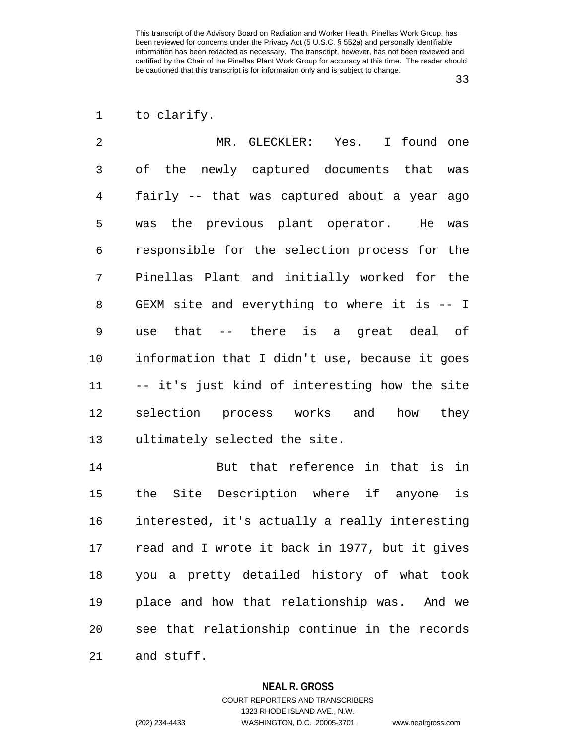# 1 to clarify.

| $\overline{2}$ | MR. GLECKLER: Yes. I found one                 |
|----------------|------------------------------------------------|
| 3              | of the newly captured documents that was       |
| 4              | fairly -- that was captured about a year ago   |
| 5              | was the previous plant operator. He was        |
| 6              | responsible for the selection process for the  |
| 7              | Pinellas Plant and initially worked for the    |
| 8              | GEXM site and everything to where it is -- I   |
| 9              | use that -- there is a great deal of           |
| 10             | information that I didn't use, because it goes |
| 11             | -- it's just kind of interesting how the site  |
| 12             | selection process works and how they           |
| 13             | ultimately selected the site.                  |

14 But that reference in that is in 15 the Site Description where if anyone is 16 interested, it's actually a really interesting 17 read and I wrote it back in 1977, but it gives 18 you a pretty detailed history of what took 19 place and how that relationship was. And we 20 see that relationship continue in the records 21 and stuff.

#### **NEAL R. GROSS**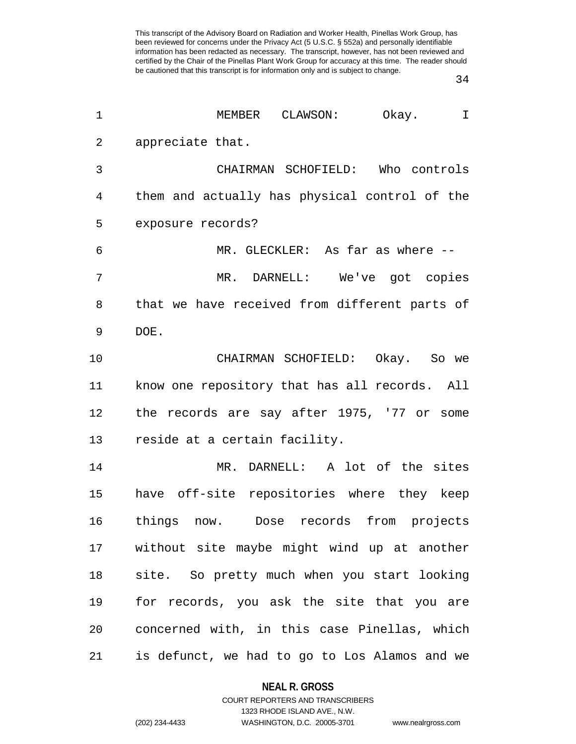34

| 1              | MEMBER CLAWSON: Okay.<br>$\mathbf I$          |
|----------------|-----------------------------------------------|
| $\overline{2}$ | appreciate that.                              |
| 3              | CHAIRMAN SCHOFIELD: Who controls              |
| 4              | them and actually has physical control of the |
| 5              | exposure records?                             |
| 6              | MR. GLECKLER: As far as where --              |
| 7              | MR. DARNELL: We've got copies                 |
| 8              | that we have received from different parts of |
| 9              | DOE.                                          |
| 10             | CHAIRMAN SCHOFIELD: Okay. So we               |
| 11             | know one repository that has all records. All |
| 12             | the records are say after 1975, '77 or some   |
| 13             | reside at a certain facility.                 |
| 14             | MR. DARNELL: A lot of the sites               |
| 15             | have off-site repositories where they keep    |
| 16             | things<br>Dose records from projects<br>now.  |
| 17             | without site maybe might wind up at another   |
| 18             | site. So pretty much when you start looking   |
| 19             | for records, you ask the site that you are    |
| 20             | concerned with, in this case Pinellas, which  |
| 21             | is defunct, we had to go to Los Alamos and we |

### **NEAL R. GROSS**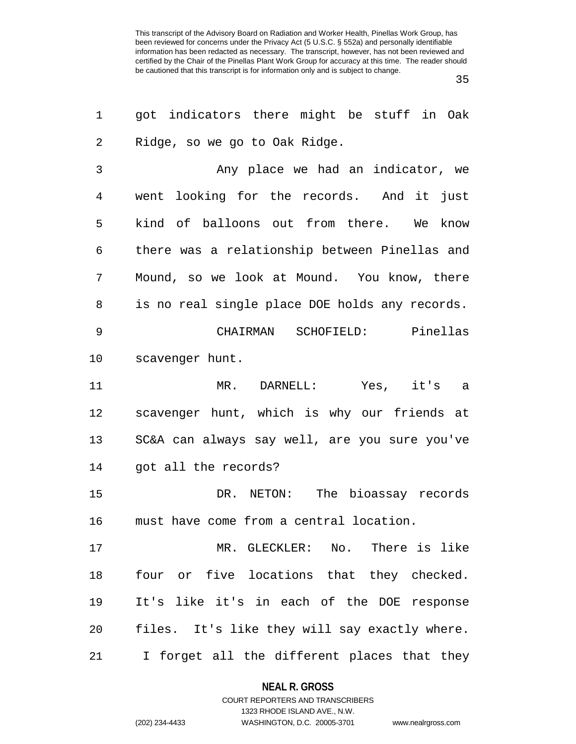35

| 1              | got indicators there might be stuff in Oak                |
|----------------|-----------------------------------------------------------|
| $\overline{2}$ | Ridge, so we go to Oak Ridge.                             |
| 3              | Any place we had an indicator, we                         |
| 4              | went looking for the records. And it just                 |
| 5              | kind of balloons out from there. We know                  |
| 6              | there was a relationship between Pinellas and             |
| 7              | Mound, so we look at Mound. You know, there               |
| 8              | is no real single place DOE holds any records.            |
| 9              | CHAIRMAN SCHOFIELD: Pinellas                              |
| 10             | scavenger hunt.                                           |
| 11             | MR. DARNELL: Yes, it's a                                  |
| 12             | scavenger hunt, which is why our friends at               |
| 13             | SC&A can always say well, are you sure you've             |
| 14             | got all the records?                                      |
| 15             | DR. NETON: The bioassay records                           |
| 16             | must have come from a central location.                   |
| 17             | MR. GLECKLER: No. There is like                           |
| 18             | four or five locations that they checked.                 |
| 19             | It's like it's in each of the DOE response                |
| 20             | files. It's like they will say exactly where.             |
| 21             | forget all the different places that they<br>$\mathbf{I}$ |

## **NEAL R. GROSS** COURT REPORTERS AND TRANSCRIBERS

1323 RHODE ISLAND AVE., N.W.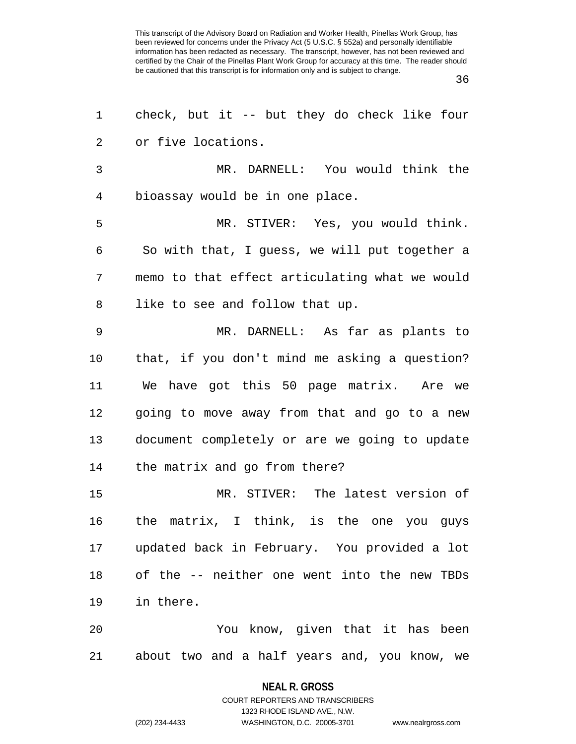36

| 1  | check, but it -- but they do check like four   |
|----|------------------------------------------------|
| 2  | or five locations.                             |
| 3  | MR. DARNELL: You would think the               |
| 4  | bioassay would be in one place.                |
| 5  | MR. STIVER: Yes, you would think.              |
| 6  | So with that, I guess, we will put together a  |
| 7  | memo to that effect articulating what we would |
| 8  | like to see and follow that up.                |
| 9  | MR. DARNELL: As far as plants to               |
| 10 | that, if you don't mind me asking a question?  |
| 11 | We have got this 50 page matrix. Are we        |
| 12 | going to move away from that and go to a new   |
| 13 | document completely or are we going to update  |
| 14 | the matrix and go from there?                  |
| 15 | MR. STIVER: The latest version of              |
| 16 | the matrix, I think, is the one you guys       |
| 17 | updated back in February. You provided a lot   |
| 18 | of the -- neither one went into the new TBDs   |
| 19 | in there.                                      |
| 20 | You know, given that it has been               |
| 21 | about two and a half years and, you know, we   |

#### **NEAL R. GROSS**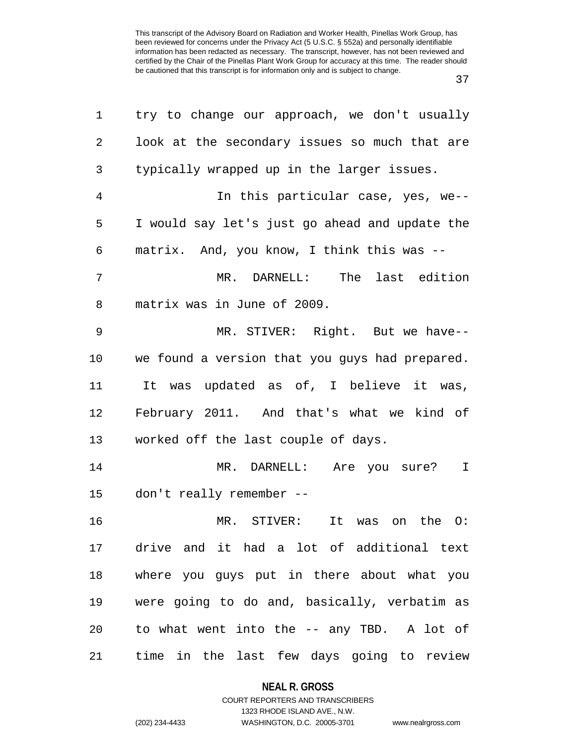37

| 1              | try to change our approach, we don't usually   |
|----------------|------------------------------------------------|
| $\overline{2}$ | look at the secondary issues so much that are  |
| 3              | typically wrapped up in the larger issues.     |
| $\overline{4}$ | In this particular case, yes, we--             |
| 5              | I would say let's just go ahead and update the |
| 6              | matrix. And, you know, I think this was --     |
| 7              | MR. DARNELL: The last edition                  |
| 8              | matrix was in June of 2009.                    |
| 9              | MR. STIVER: Right. But we have--               |
| 10             | we found a version that you guys had prepared. |
| 11             | It was updated as of, I believe it was,        |
| 12             | February 2011. And that's what we kind of      |
| 13             | worked off the last couple of days.            |
| 14             | MR. DARNELL: Are you sure?<br>$\mathbf I$      |
| 15             | don't really remember --                       |
| 16             | MR. STIVER:<br>It was on the O:                |
| 17             | drive and it had a lot of additional text      |
| 18             | where you guys put in there about what you     |
| 19             | were going to do and, basically, verbatim as   |
| 20             | to what went into the -- any TBD. A lot of     |
| 21             | time in the last few days going to review      |

**NEAL R. GROSS** COURT REPORTERS AND TRANSCRIBERS

1323 RHODE ISLAND AVE., N.W. (202) 234-4433 WASHINGTON, D.C. 20005-3701 www.nealrgross.com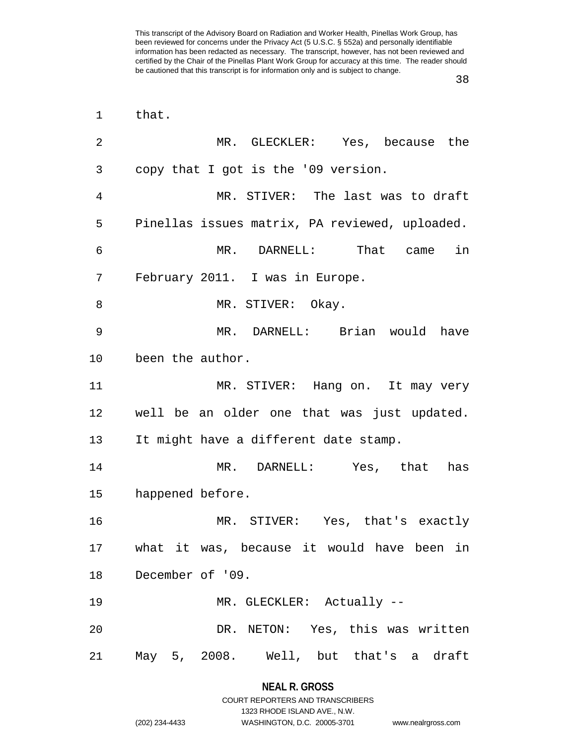| $\mathbf 1$ | that.                                          |
|-------------|------------------------------------------------|
| 2           | MR. GLECKLER: Yes, because the                 |
| 3           | copy that I got is the '09 version.            |
| 4           | MR. STIVER: The last was to draft              |
| 5           | Pinellas issues matrix, PA reviewed, uploaded. |
| 6           | MR. DARNELL: That came in                      |
| 7           | February 2011. I was in Europe.                |
| 8           | MR. STIVER: Okay.                              |
| 9           | MR. DARNELL: Brian would have                  |
| 10          | been the author.                               |
| 11          | MR. STIVER: Hang on. It may very               |
| 12          | well be an older one that was just updated.    |
| 13          | It might have a different date stamp.          |
| 14          | MR. DARNELL: Yes, that<br>has                  |
| 15          | happened before.                               |
| 16          | MR. STIVER: Yes, that's exactly                |
|             | 17 what it was, because it would have been in  |
|             | 18 December of '09.                            |
| 19          | MR. GLECKLER: Actually --                      |
| 20          | DR. NETON: Yes, this was written               |
| 21          | May 5, 2008.   Well, but that's a draft        |

#### **NEAL R. GROSS**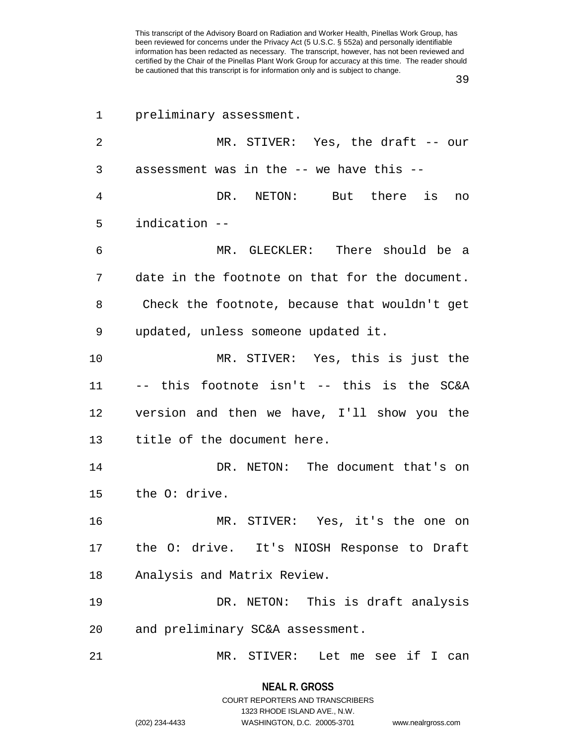39

| 1  | preliminary assessment.                        |
|----|------------------------------------------------|
| 2  | MR. STIVER: Yes, the draft $--$ our            |
| 3  | assessment was in the -- we have this --       |
| 4  | DR. NETON: But there is<br>no                  |
| 5  | indication --                                  |
| 6  | MR. GLECKLER: There should be a                |
| 7  | date in the footnote on that for the document. |
| 8  | Check the footnote, because that wouldn't get  |
| 9  | updated, unless someone updated it.            |
| 10 | MR. STIVER: Yes, this is just the              |
| 11 | -- this footnote isn't -- this is the SC&A     |
| 12 | version and then we have, I'll show you the    |
| 13 | title of the document here.                    |
| 14 | DR. NETON: The document that's on              |
| 15 | the O: drive.                                  |
| 16 | MR. STIVER: Yes, it's the one on               |
|    | 17 the O: drive. It's NIOSH Response to Draft  |
| 18 | Analysis and Matrix Review.                    |
| 19 | DR. NETON: This is draft analysis              |
| 20 | and preliminary SC&A assessment.               |
| 21 | MR. STIVER:<br>Let me see if I<br>can          |

(202) 234-4433 WASHINGTON, D.C. 20005-3701 www.nealrgross.com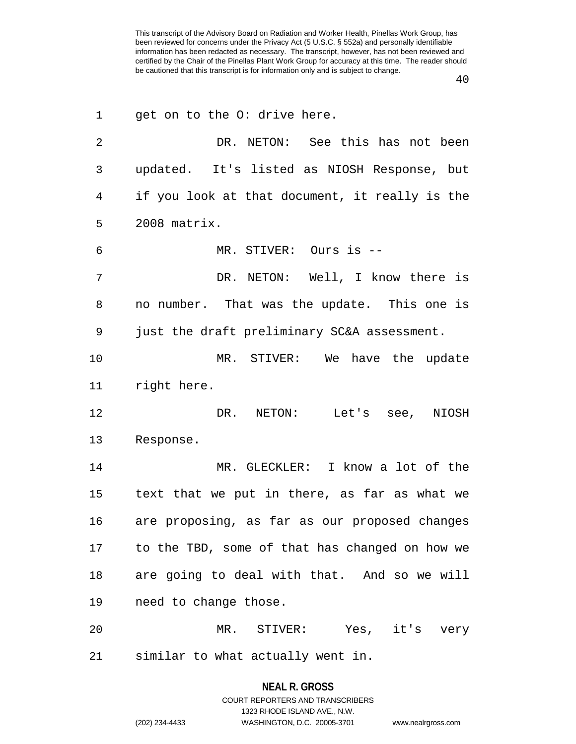| 1  | get on to the O: drive here.                   |
|----|------------------------------------------------|
| 2  | DR. NETON: See this has not been               |
| 3  | updated. It's listed as NIOSH Response, but    |
| 4  | if you look at that document, it really is the |
| 5  | $2008$ matrix.                                 |
| 6  | MR. STIVER: Ours is --                         |
| 7  | DR. NETON: Well, I know there is               |
| 8  | no number. That was the update. This one is    |
| 9  | just the draft preliminary SC&A assessment.    |
| 10 | MR. STIVER: We have the update                 |
| 11 | right here.                                    |
| 12 | DR.<br>NETON: Let's see, NIOSH                 |
| 13 | Response.                                      |
| 14 | MR. GLECKLER: I know a lot of the              |
| 15 | text that we put in there, as far as what we   |
| 16 | are proposing, as far as our proposed changes  |
| 17 | to the TBD, some of that has changed on how we |
| 18 | are going to deal with that. And so we will    |
| 19 | need to change those.                          |
| 20 | MR. STIVER: Yes, it's very                     |
| 21 | similar to what actually went in.              |

## **NEAL R. GROSS** COURT REPORTERS AND TRANSCRIBERS 1323 RHODE ISLAND AVE., N.W.

(202) 234-4433 WASHINGTON, D.C. 20005-3701 www.nealrgross.com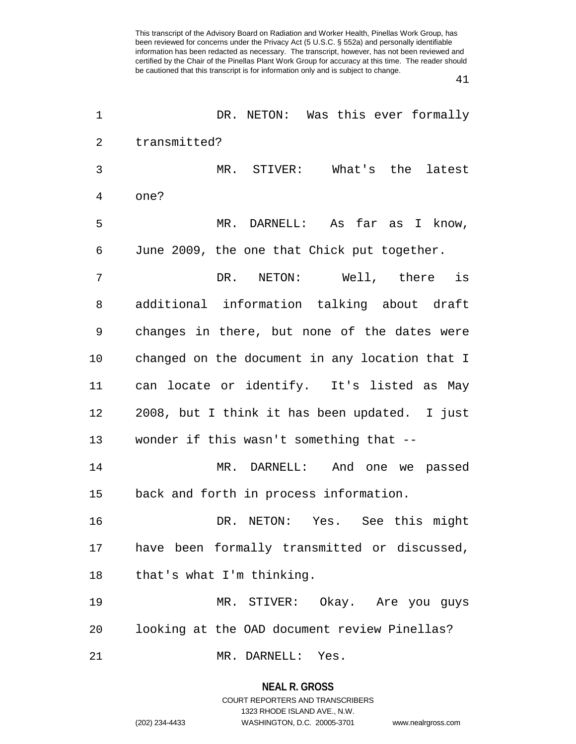41

| $\mathbf 1$    | DR. NETON: Was this ever formally              |
|----------------|------------------------------------------------|
| $\overline{2}$ | transmitted?                                   |
| 3              | MR. STIVER: What's the latest                  |
| 4              | one?                                           |
| 5              | MR. DARNELL: As far as I know,                 |
| 6              | June 2009, the one that Chick put together.    |
| 7              | DR. NETON: Well, there is                      |
| 8              | additional information talking about draft     |
| 9              | changes in there, but none of the dates were   |
| 10             | changed on the document in any location that I |
| 11             | can locate or identify. It's listed as May     |
| 12             | 2008, but I think it has been updated. I just  |
| 13             | wonder if this wasn't something that --        |
| 14             | MR. DARNELL: And one we passed                 |
| 15             | back and forth in process information.         |
| 16             | DR. NETON: Yes. See this might                 |
| 17             | have been formally transmitted or discussed,   |
| 18             | that's what I'm thinking.                      |
| 19             | MR. STIVER: Okay. Are you guys                 |
| 20             | looking at the OAD document review Pinellas?   |
| 21             | MR. DARNELL: Yes.                              |

**NEAL R. GROSS** COURT REPORTERS AND TRANSCRIBERS

1323 RHODE ISLAND AVE., N.W. (202) 234-4433 WASHINGTON, D.C. 20005-3701 www.nealrgross.com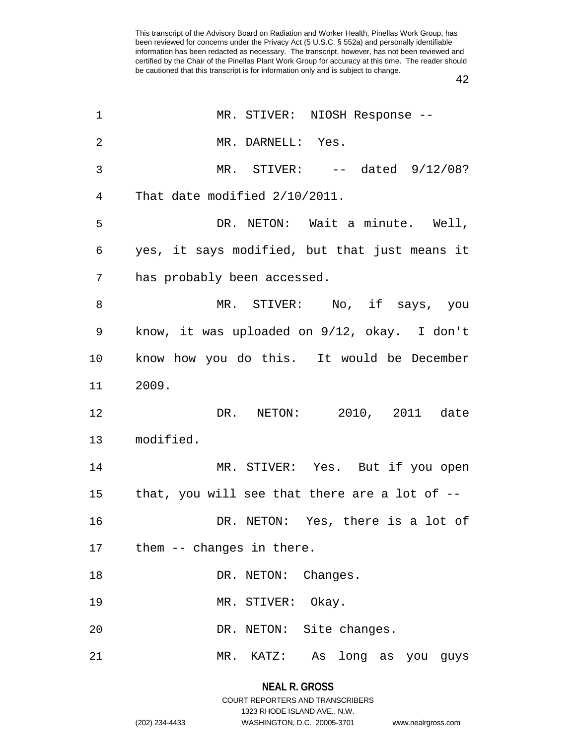42

| MR. STIVER: NIOSH Response --                 |
|-----------------------------------------------|
| MR. DARNELL: Yes.                             |
| MR. STIVER: $--$ dated $9/12/08$ ?            |
| That date modified 2/10/2011.                 |
| DR. NETON: Wait a minute. Well,               |
| yes, it says modified, but that just means it |
| has probably been accessed.                   |
| MR. STIVER: No, if says, you                  |
| know, it was uploaded on 9/12, okay. I don't  |
| know how you do this. It would be December    |
| 2009.                                         |
| DR. NETON: 2010, 2011 date                    |
| modified.                                     |
| MR. STIVER: Yes. But if you open              |
| that, you will see that there are a lot of -- |
| DR. NETON: Yes, there is a lot of             |
|                                               |
| them -- changes in there.<br>17               |
| DR. NETON: Changes.                           |
| MR. STIVER: Okay.                             |
| DR. NETON: Site changes.                      |
|                                               |

## **NEAL R. GROSS** COURT REPORTERS AND TRANSCRIBERS 1323 RHODE ISLAND AVE., N.W.

(202) 234-4433 WASHINGTON, D.C. 20005-3701 www.nealrgross.com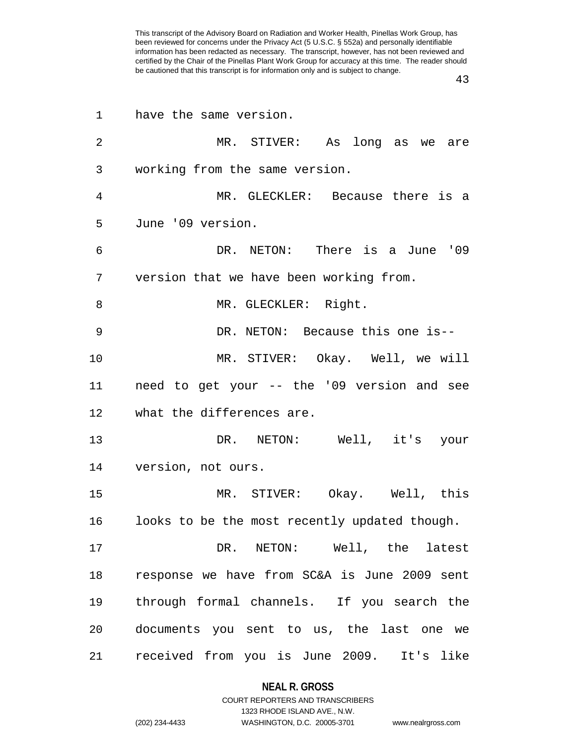| 1              | have the same version.                        |
|----------------|-----------------------------------------------|
| $\overline{2}$ | MR. STIVER: As long as we are                 |
| 3              | working from the same version.                |
| 4              | MR. GLECKLER: Because there is a              |
| 5              | June '09 version.                             |
| 6              | DR. NETON: There is a June '09                |
| 7              | version that we have been working from.       |
| 8              | MR. GLECKLER: Right.                          |
| 9              | DR. NETON: Because this one is--              |
| 10             | MR. STIVER: Okay. Well, we will               |
| 11             | need to get your -- the '09 version and see   |
| 12             | what the differences are.                     |
| 13             | DR. NETON: Well, it's your                    |
| 14             | version, not ours.                            |
| 15             | MR. STIVER: Okay. Well, this                  |
| 16             | looks to be the most recently updated though. |
| 17             | DR. NETON: Well, the latest                   |
| 18             | response we have from SC&A is June 2009 sent  |
| 19             | through formal channels. If you search the    |
| 20             | documents you sent to us, the last one we     |
| 21             | received from you is June 2009. It's like     |

**NEAL R. GROSS** COURT REPORTERS AND TRANSCRIBERS

1323 RHODE ISLAND AVE., N.W.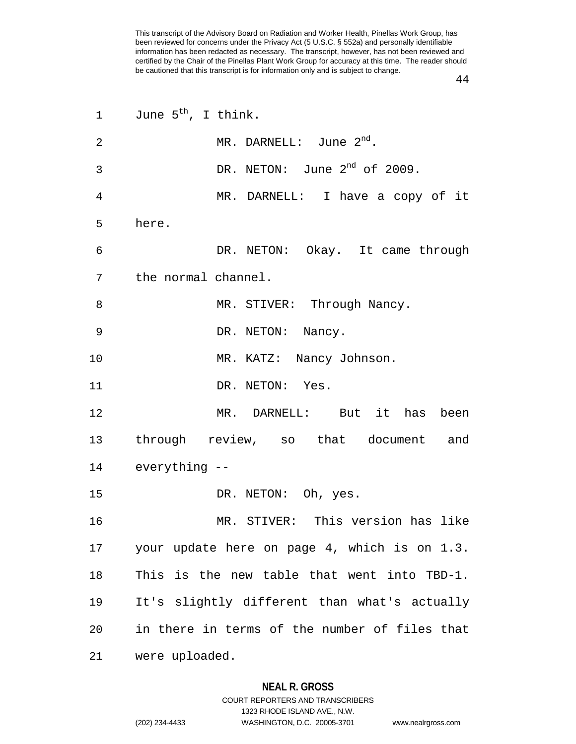44

| $\mathbf{1}$ | June $5^{th}$ , I think.                      |
|--------------|-----------------------------------------------|
| 2            | MR. DARNELL: June $2^{nd}$ .                  |
| 3            | DR. NETON: June $2^{nd}$ of 2009.             |
| 4            | MR. DARNELL: I have a copy of it              |
| 5            | here.                                         |
| 6            | DR. NETON: Okay. It came through              |
| 7            | the normal channel.                           |
| 8            | MR. STIVER: Through Nancy.                    |
| 9            | DR. NETON: Nancy.                             |
| 10           | MR. KATZ: Nancy Johnson.                      |
| 11           | DR. NETON: Yes.                               |
| 12           | MR. DARNELL: But it has been                  |
| 13           | through review, so that document and          |
|              | 14 everything --                              |
| 15           | DR. NETON: Oh, yes.                           |
| 16           | MR. STIVER: This version has like             |
| 17           | your update here on page 4, which is on 1.3.  |
| 18           | This is the new table that went into TBD-1.   |
| 19           | It's slightly different than what's actually  |
| 20           | in there in terms of the number of files that |
| 21           | were uploaded.                                |

#### **NEAL R. GROSS**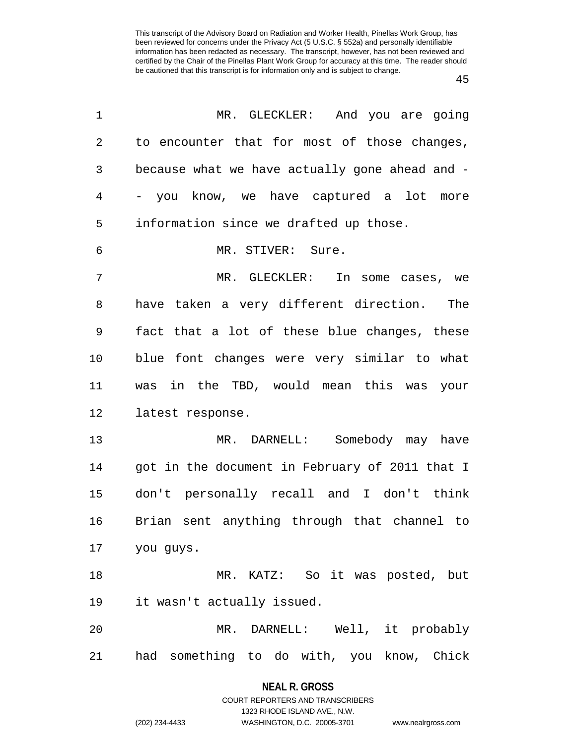45

| 1       | MR. GLECKLER: And you are going                |
|---------|------------------------------------------------|
| 2       | to encounter that for most of those changes,   |
| 3       | because what we have actually gone ahead and - |
| 4       | - you know, we have captured a lot<br>more     |
| 5       | information since we drafted up those.         |
| 6       | MR. STIVER: Sure.                              |
| 7       | MR. GLECKLER: In some cases, we                |
| 8       | have taken a very different direction. The     |
| 9       | fact that a lot of these blue changes, these   |
| $10 \,$ | blue font changes were very similar to what    |
| 11      | was in the TBD, would mean this was your       |
| 12      | latest response.                               |
| 13      | MR. DARNELL: Somebody may have                 |
| 14      | got in the document in February of 2011 that I |
| 15      | don't personally recall and I don't think      |
| 16      | Brian sent anything through that channel to    |
| 17      | you guys.                                      |
| 18      | MR. KATZ: So it was posted, but                |
| 19      | it wasn't actually issued.                     |
| 20      | MR. DARNELL: Well, it probably                 |
| 21      | had something to do with, you know, Chick      |

**NEAL R. GROSS** COURT REPORTERS AND TRANSCRIBERS

1323 RHODE ISLAND AVE., N.W.

(202) 234-4433 WASHINGTON, D.C. 20005-3701 www.nealrgross.com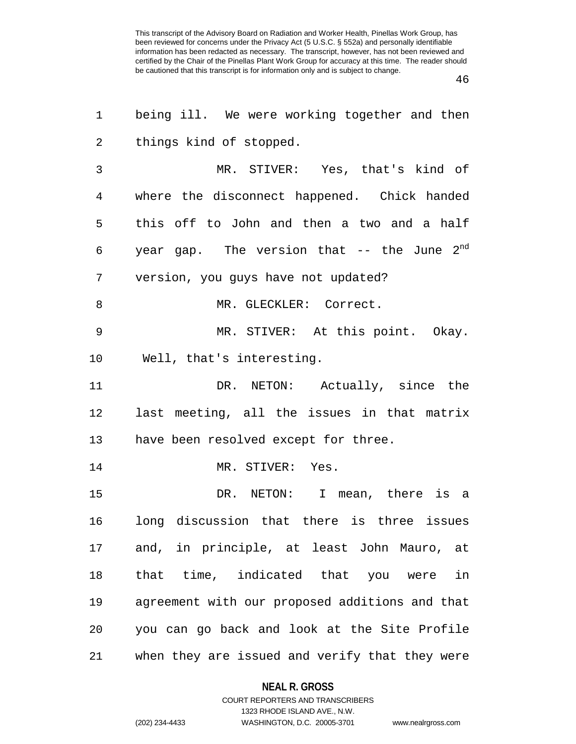46

| 1  | being ill. We were working together and then    |
|----|-------------------------------------------------|
| 2  | things kind of stopped.                         |
| 3  | MR. STIVER: Yes, that's kind of                 |
| 4  | where the disconnect happened. Chick handed     |
| 5  | this off to John and then a two and a half      |
| 6  | year gap. The version that -- the June $2^{nd}$ |
| 7  | version, you guys have not updated?             |
| 8  | MR. GLECKLER: Correct.                          |
| 9  | MR. STIVER: At this point. Okay.                |
| 10 | Well, that's interesting.                       |
| 11 | DR. NETON: Actually, since the                  |
| 12 | last meeting, all the issues in that matrix     |
| 13 | have been resolved except for three.            |
| 14 | MR. STIVER: Yes.                                |
| 15 | DR. NETON: I mean, there is a                   |
| 16 | long discussion that there is three issues      |
| 17 | and, in principle, at least John Mauro, at      |
| 18 | that time, indicated that you were in           |
| 19 | agreement with our proposed additions and that  |
| 20 | you can go back and look at the Site Profile    |
| 21 | when they are issued and verify that they were  |

#### **NEAL R. GROSS**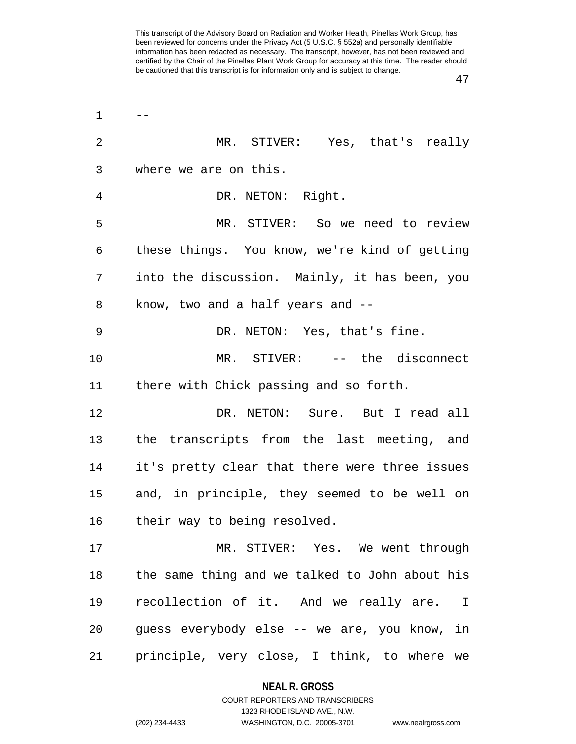| 2  | MR. STIVER: Yes, that's really                         |
|----|--------------------------------------------------------|
| 3  | where we are on this.                                  |
| 4  | DR. NETON: Right.                                      |
| 5  | MR. STIVER: So we need to review                       |
| 6  | these things. You know, we're kind of getting          |
| 7  | into the discussion. Mainly, it has been, you          |
| 8  | know, two and a half years and --                      |
| 9  | DR. NETON: Yes, that's fine.                           |
| 10 | MR. STIVER: -- the disconnect                          |
| 11 | there with Chick passing and so forth.                 |
| 12 | DR. NETON: Sure. But I read all                        |
| 13 | the transcripts from the last meeting, and             |
| 14 | it's pretty clear that there were three issues         |
| 15 | and, in principle, they seemed to be well on           |
| 16 | their way to being resolved.                           |
| 17 | MR. STIVER: Yes. We went through                       |
| 18 | the same thing and we talked to John about his         |
| 19 | recollection of it. And we really are.<br>$\mathbb{I}$ |
| 20 | guess everybody else -- we are, you know, in           |
| 21 | principle, very close, I think, to where we            |

#### **NEAL R. GROSS**

 $1 \qquad -$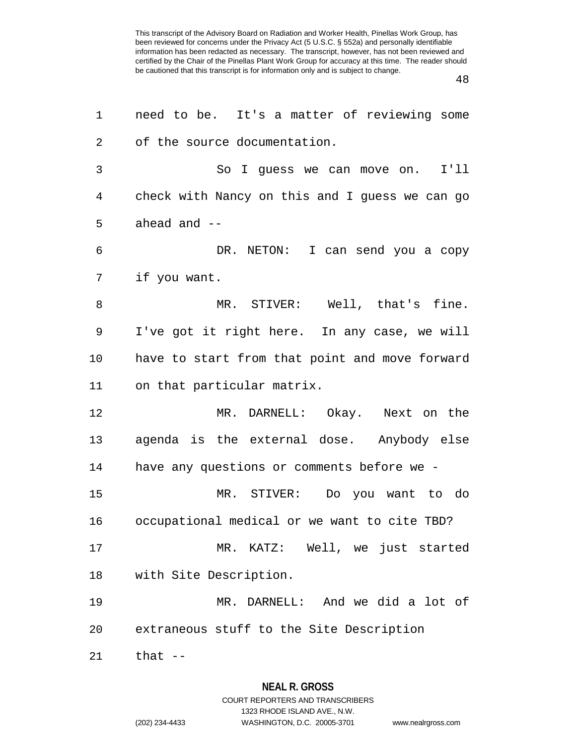48

| 1              | need to be. It's a matter of reviewing some    |
|----------------|------------------------------------------------|
| $\overline{2}$ | of the source documentation.                   |
| 3              | I'11<br>So I guess we can move on.             |
| 4              | check with Nancy on this and I guess we can go |
| 5              | ahead and $-$                                  |
| 6              | DR. NETON: I can send you a copy               |
| 7              | if you want.                                   |
| 8              | MR. STIVER: Well, that's fine.                 |
| 9              | I've got it right here. In any case, we will   |
| 10             | have to start from that point and move forward |
| 11             | on that particular matrix.                     |
| 12             | MR. DARNELL: Okay. Next on the                 |
| 13             | agenda is the external dose. Anybody else      |
| 14             | have any questions or comments before we -     |
| 15             | MR. STIVER: Do you want to do                  |
| 16             | occupational medical or we want to cite TBD?   |
| 17             | MR. KATZ: Well, we just started                |
| 18             | with Site Description.                         |
| 19             | MR. DARNELL: And we did a lot of               |
| 20             | extraneous stuff to the Site Description       |
| 21             | that $--$                                      |

# **NEAL R. GROSS**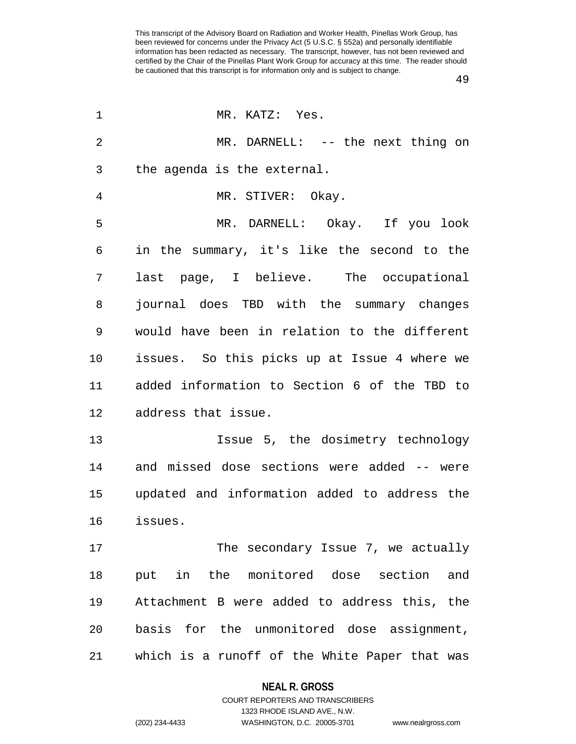| 1              | MR. KATZ: Yes.                                |
|----------------|-----------------------------------------------|
| $\overline{2}$ | MR. DARNELL: -- the next thing on             |
| 3              | the agenda is the external.                   |
| 4              | MR. STIVER: Okay.                             |
| 5              | MR. DARNELL: Okay. If you look                |
| 6              | in the summary, it's like the second to the   |
| 7              | last page, I believe. The occupational        |
| 8              | journal does TBD with the summary changes     |
| 9              | would have been in relation to the different  |
| 10             | issues. So this picks up at Issue 4 where we  |
| 11             | added information to Section 6 of the TBD to  |
| 12             | address that issue.                           |
| 13             | Issue 5, the dosimetry technology             |
| 14             | and missed dose sections were added -- were   |
| 15             | updated and information added to address the  |
| 16             | issues.                                       |
| 17             | The secondary Issue 7, we actually            |
| 18             | put in the monitored dose section and         |
| 19             | Attachment B were added to address this, the  |
| 20             | basis for the unmonitored dose assignment,    |
| 21             | which is a runoff of the White Paper that was |

#### **NEAL R. GROSS**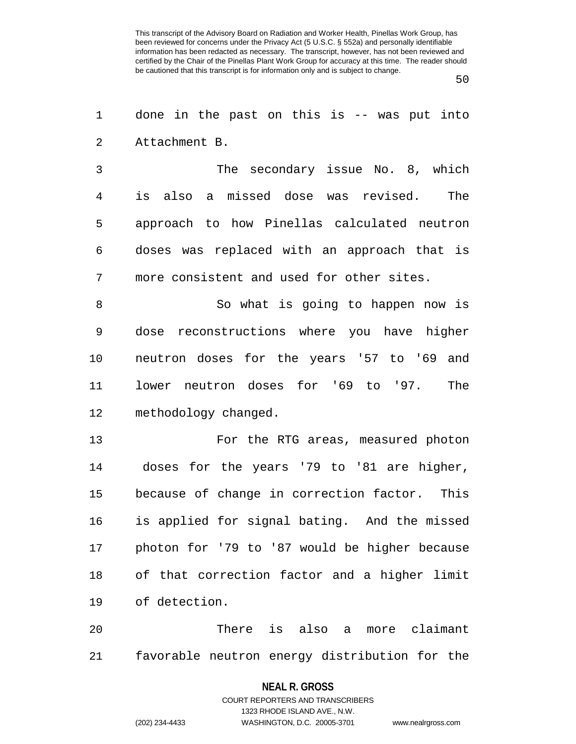50

1 done in the past on this is -- was put into 2 Attachment B.

3 The secondary issue No. 8, which 4 is also a missed dose was revised. The 5 approach to how Pinellas calculated neutron 6 doses was replaced with an approach that is 7 more consistent and used for other sites.

8 So what is going to happen now is 9 dose reconstructions where you have higher 10 neutron doses for the years '57 to '69 and 11 lower neutron doses for '69 to '97. The 12 methodology changed.

13 For the RTG areas, measured photon 14 doses for the years '79 to '81 are higher, 15 because of change in correction factor. This 16 is applied for signal bating. And the missed 17 photon for '79 to '87 would be higher because 18 of that correction factor and a higher limit 19 of detection.

20 There is also a more claimant 21 favorable neutron energy distribution for the

#### **NEAL R. GROSS**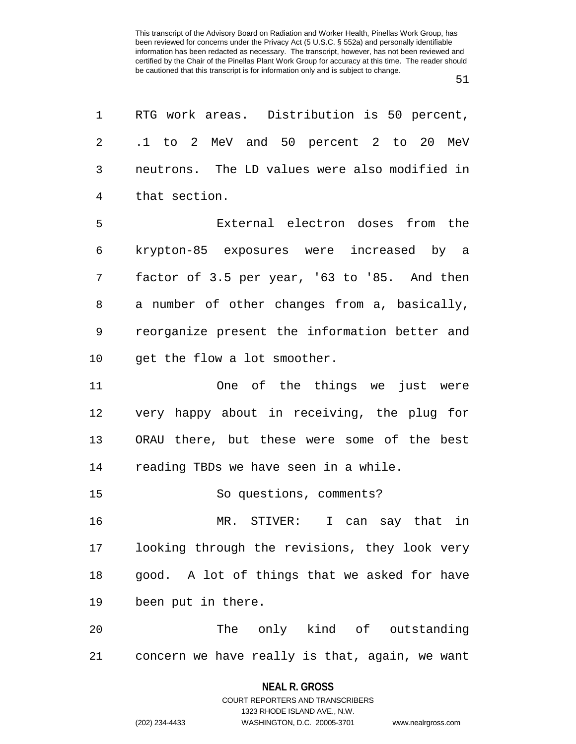1 RTG work areas. Distribution is 50 percent, 2 .1 to 2 MeV and 50 percent 2 to 20 MeV 3 neutrons. The LD values were also modified in 4 that section.

5 External electron doses from the 6 krypton-85 exposures were increased by a 7 factor of 3.5 per year, '63 to '85. And then 8 a number of other changes from a, basically, 9 reorganize present the information better and 10 get the flow a lot smoother.

11 One of the things we just were 12 very happy about in receiving, the plug for 13 ORAU there, but these were some of the best 14 reading TBDs we have seen in a while.

15 So questions, comments?

16 MR. STIVER: I can say that in 17 looking through the revisions, they look very 18 good. A lot of things that we asked for have 19 been put in there.

20 The only kind of outstanding 21 concern we have really is that, again, we want

#### **NEAL R. GROSS**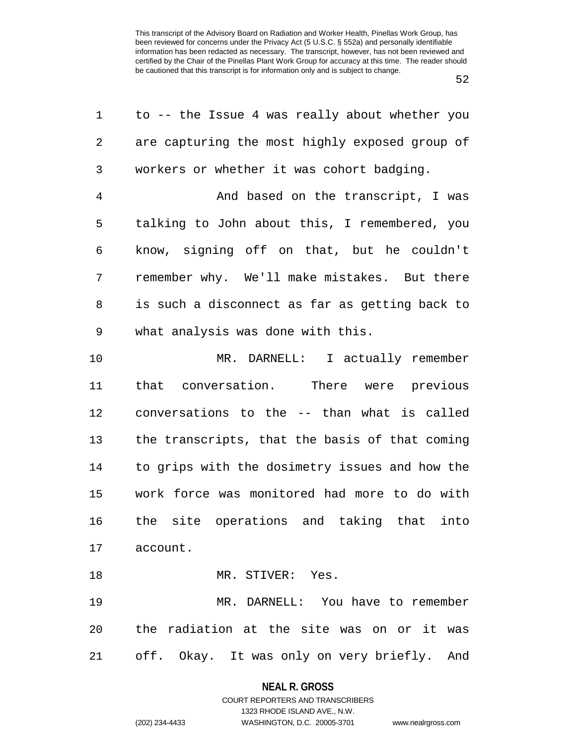52

| 1              | to -- the Issue 4 was really about whether you |
|----------------|------------------------------------------------|
| 2              | are capturing the most highly exposed group of |
| $\mathsf{3}$   | workers or whether it was cohort badging.      |
| $\overline{4}$ | And based on the transcript, I was             |
| 5              | talking to John about this, I remembered, you  |
| 6              | know, signing off on that, but he couldn't     |
| 7              | remember why. We'll make mistakes. But there   |
| 8              | is such a disconnect as far as getting back to |
| 9              | what analysis was done with this.              |
| 10             | MR. DARNELL: I actually remember               |
| 11             | that conversation. There were previous         |
| 12             | conversations to the -- than what is called    |
| 13             | the transcripts, that the basis of that coming |
| 14             | to grips with the dosimetry issues and how the |
| 15             | work force was monitored had more to do with   |
| 16             | the site operations and taking that<br>into    |
|                | 17 account.                                    |
| 18             | MR. STIVER: Yes.                               |
| 19             | MR. DARNELL: You have to remember              |
| 20             | the radiation at the site was on or it was     |
| 21             | off. Okay. It was only on very briefly. And    |

#### **NEAL R. GROSS**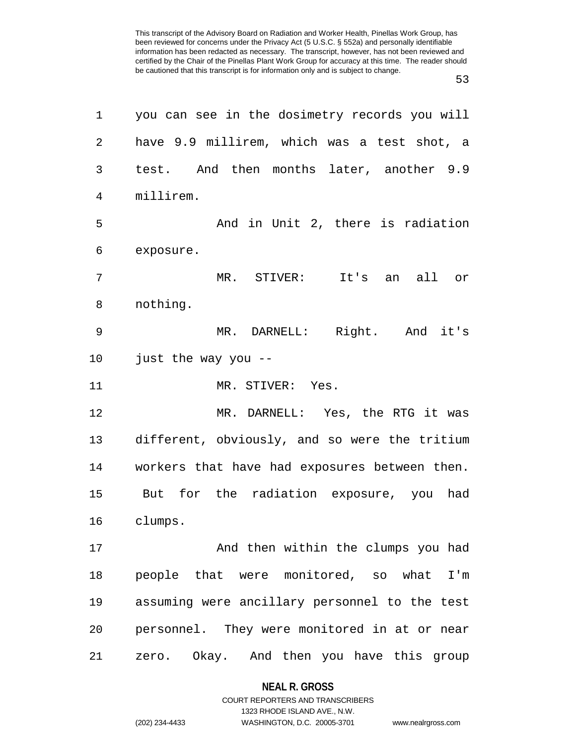| 1              | you can see in the dosimetry records you will |
|----------------|-----------------------------------------------|
| $\overline{2}$ | have 9.9 millirem, which was a test shot, a   |
| 3              | test. And then months later, another 9.9      |
| 4              | millirem.                                     |
| 5              | And in Unit 2, there is radiation             |
| 6              | exposure.                                     |
| 7              | MR. STIVER: It's an all or                    |
| 8              | nothing.                                      |
| 9              | MR. DARNELL: Right. And it's                  |
| 10             | just the way you --                           |
| 11             | MR. STIVER: Yes.                              |
| 12             | MR. DARNELL: Yes, the RTG it was              |
| 13             | different, obviously, and so were the tritium |
| 14             | workers that have had exposures between then. |
| 15             | But for the radiation exposure, you had       |
| 16             | clumps.                                       |
| 17             | And then within the clumps you had            |
| 18             | people that were monitored, so what I'm       |
| 19             | assuming were ancillary personnel to the test |
| 20             | personnel. They were monitored in at or near  |
| 21             | zero. Okay. And then you have this group      |

#### **NEAL R. GROSS**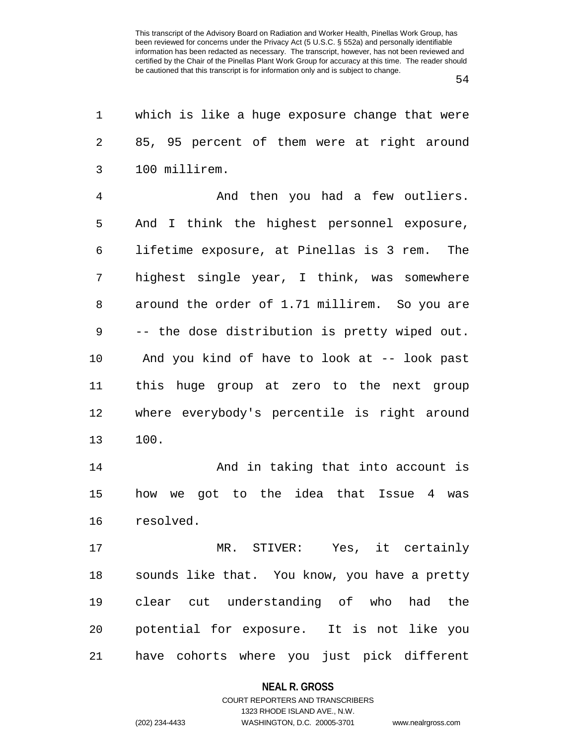54

| 1              | which is like a huge exposure change that were |
|----------------|------------------------------------------------|
| $\overline{2}$ | 85, 95 percent of them were at right around    |
| 3              | 100 millirem.                                  |
| $\overline{4}$ | And then you had a few outliers.               |
| 5              | And I think the highest personnel exposure,    |
| 6              | lifetime exposure, at Pinellas is 3 rem. The   |
| 7              | highest single year, I think, was somewhere    |
| 8              | around the order of 1.71 millirem. So you are  |
| 9              | -- the dose distribution is pretty wiped out.  |
| 10             | And you kind of have to look at -- look past   |
| 11             | this huge group at zero to the next group      |
| 12             | where everybody's percentile is right around   |
| 13             | 100.                                           |
| 14             | And in taking that into account is             |
| 15             | how we got to the idea that Issue 4 was        |
| 16             | resolved.                                      |
| 17             | MR. STIVER: Yes, it certainly                  |
| 18             | sounds like that. You know, you have a pretty  |
| 19             | clear cut understanding of who had the         |
| 20             | potential for exposure. It is not like you     |
| 21             | have cohorts where you just pick different     |

# **NEAL R. GROSS** COURT REPORTERS AND TRANSCRIBERS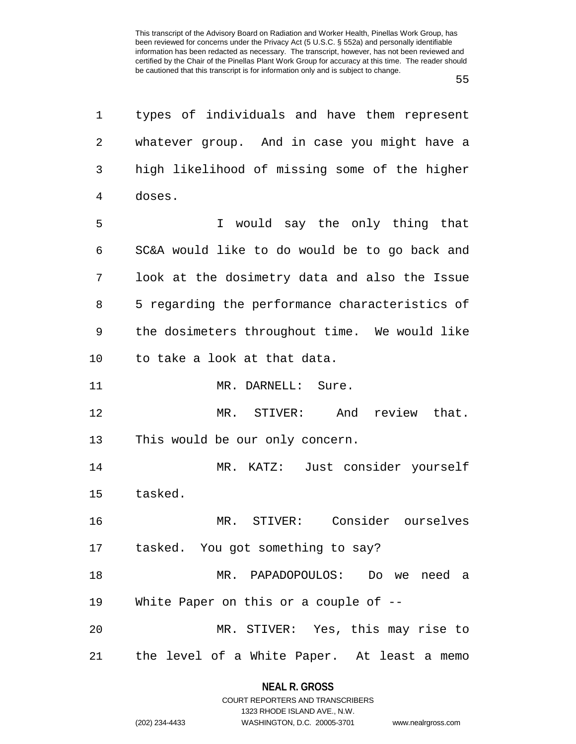55

| $\mathbf 1$ | types of individuals and have them represent   |
|-------------|------------------------------------------------|
| 2           | whatever group. And in case you might have a   |
| 3           | high likelihood of missing some of the higher  |
| 4           | doses.                                         |
| 5           | I would say the only thing that                |
| 6           | SC&A would like to do would be to go back and  |
| 7           | look at the dosimetry data and also the Issue  |
| 8           | 5 regarding the performance characteristics of |
| 9           | the dosimeters throughout time. We would like  |
| 10          | to take a look at that data.                   |
| 11          | MR. DARNELL: Sure.                             |
| 12          | MR. STIVER:<br>And review that.                |
| 13          | This would be our only concern.                |
| 14          | MR. KATZ: Just consider yourself               |
| 15          | tasked.                                        |
| 16          | STIVER: Consider ourselves<br>MR.              |
|             | 17 tasked. You got something to say?           |
| 18          | MR. PAPADOPOULOS: Do we need a                 |
| 19          | White Paper on this or a couple of --          |
| 20          | MR. STIVER: Yes, this may rise to              |
|             | 21 the level of a White Paper. At least a memo |
|             |                                                |

# **NEAL R. GROSS** COURT REPORTERS AND TRANSCRIBERS

1323 RHODE ISLAND AVE., N.W.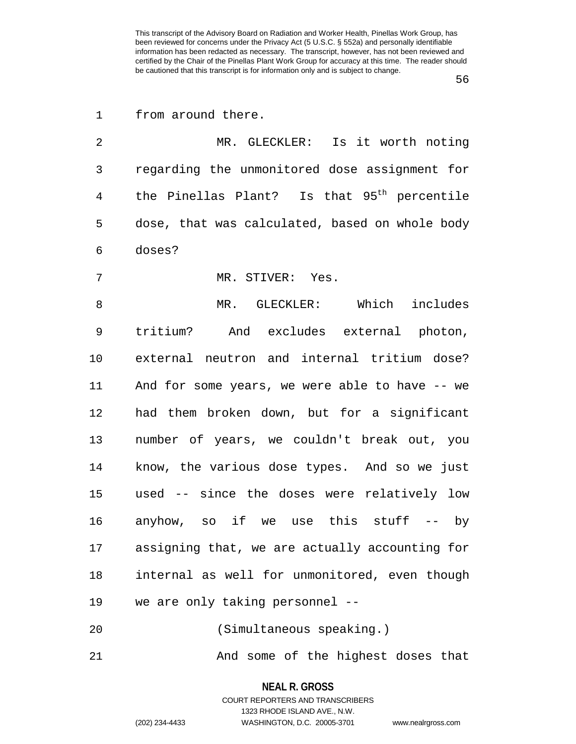56

| 1              | from around there.                                      |
|----------------|---------------------------------------------------------|
| $\overline{2}$ | MR. GLECKLER: Is it worth noting                        |
| 3              | regarding the unmonitored dose assignment for           |
| 4              | the Pinellas Plant? Is that 95 <sup>th</sup> percentile |
| 5              | dose, that was calculated, based on whole body          |
| 6              | doses?                                                  |
| 7              | MR. STIVER: Yes.                                        |
| 8              | MR. GLECKLER: Which includes                            |
| 9              | tritium? And excludes external photon,                  |
| 10             | external neutron and internal tritium dose?             |
| 11             | And for some years, we were able to have -- we          |
| 12             | had them broken down, but for a significant             |
| 13             | number of years, we couldn't break out, you             |
| 14             | know, the various dose types. And so we just            |
| 15             | used -- since the doses were relatively low             |
| 16             | anyhow, so if we use this stuff -- by                   |
| 17             | assigning that, we are actually accounting for          |
| 18             | internal as well for unmonitored, even though           |
| 19             | we are only taking personnel --                         |
| 20             | (Simultaneous speaking.)                                |
|                |                                                         |

21 And some of the highest doses that

**NEAL R. GROSS** COURT REPORTERS AND TRANSCRIBERS

1323 RHODE ISLAND AVE., N.W.

(202) 234-4433 WASHINGTON, D.C. 20005-3701 www.nealrgross.com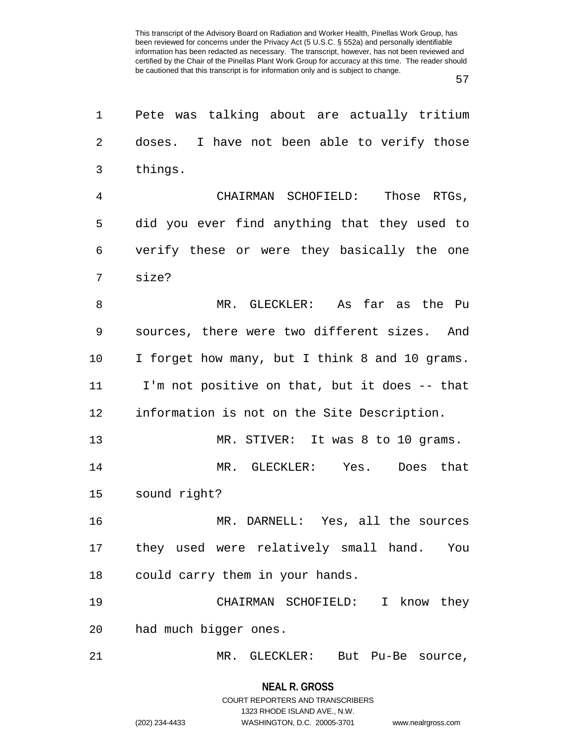57

| $\mathbf 1$    | Pete was talking about are actually tritium    |
|----------------|------------------------------------------------|
| 2              | doses. I have not been able to verify those    |
| 3              | things.                                        |
| $\overline{4}$ | CHAIRMAN SCHOFIELD: Those RTGs,                |
| 5              | did you ever find anything that they used to   |
| 6              | verify these or were they basically the one    |
| 7              | size?                                          |
| 8              | MR. GLECKLER: As far as the Pu                 |
| 9              | sources, there were two different sizes. And   |
| 10             | I forget how many, but I think 8 and 10 grams. |
| 11             | I'm not positive on that, but it does -- that  |
| 12             | information is not on the Site Description.    |
| 13             | MR. STIVER: It was 8 to 10 grams.              |
| 14             | MR. GLECKLER: Yes.<br>Does that                |
| 15             | sound right?                                   |
| 16             | MR. DARNELL: Yes, all the sources              |
| 17             | they used were relatively small hand. You      |
| 18             | could carry them in your hands.                |
| 19             | CHAIRMAN SCHOFIELD: I know they                |
| 20             | had much bigger ones.                          |
| 21             | MR. GLECKLER: But Pu-Be source,                |
|                |                                                |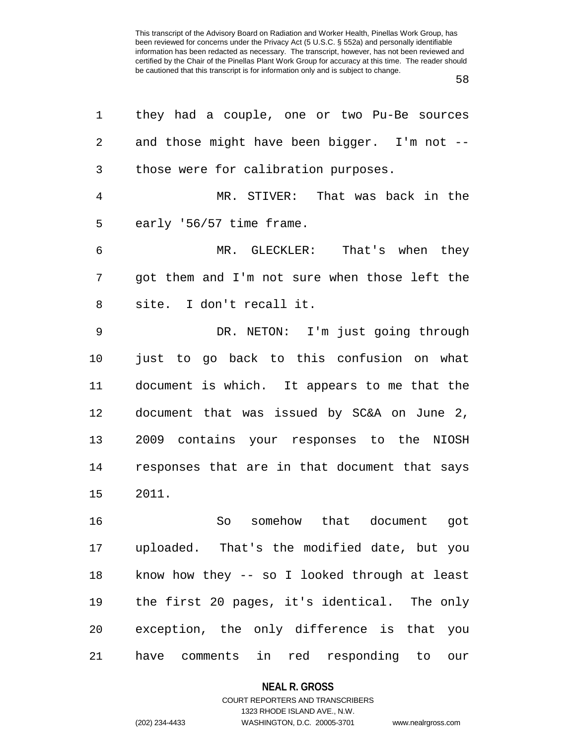58

| 1              | they had a couple, one or two Pu-Be sources     |
|----------------|-------------------------------------------------|
| $\overline{2}$ | and those might have been bigger. I'm not --    |
| 3              | those were for calibration purposes.            |
| $\overline{4}$ | MR. STIVER: That was back in the                |
| 5              | early '56/57 time frame.                        |
| 6              | MR. GLECKLER: That's when they                  |
| 7              | got them and I'm not sure when those left the   |
| 8              | site. I don't recall it.                        |
| 9              | DR. NETON: I'm just going through               |
| 10             | just to go back to this confusion on what       |
| 11             | document is which. It appears to me that the    |
| 12             | document that was issued by SC&A on June 2,     |
| 13             | 2009 contains your responses to the NIOSH       |
| 14             | responses that are in that document that says   |
| 15             | 2011.                                           |
| 16             | So somehow that document got                    |
| 17             | uploaded. That's the modified date, but you     |
| 18             | know how they -- so I looked through at least   |
| 19             | the first 20 pages, it's identical. The only    |
| 20             | exception, the only difference is that you      |
| 21             | red responding to<br>have comments<br>in<br>our |

#### **NEAL R. GROSS**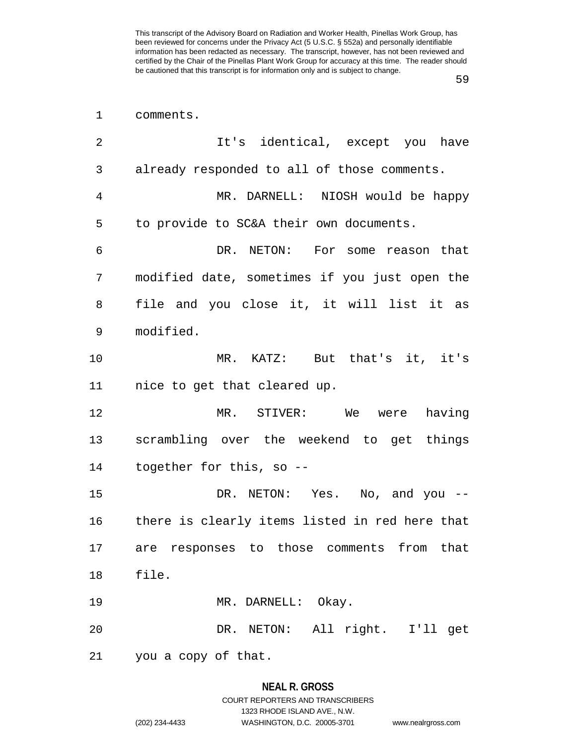59

| $\mathbf 1$ | comments.                                      |
|-------------|------------------------------------------------|
| 2           | It's identical, except you have                |
| 3           | already responded to all of those comments.    |
| 4           | MR. DARNELL: NIOSH would be happy              |
| 5           | to provide to SC&A their own documents.        |
| 6           | DR. NETON: For some reason that                |
| 7           | modified date, sometimes if you just open the  |
| 8           | file and you close it, it will list it as      |
| 9           | modified.                                      |
| 10          | MR. KATZ: But that's it, it's                  |
| 11          | nice to get that cleared up.                   |
| 12          | MR. STIVER: We were having                     |
| 13          | scrambling over the weekend to get things      |
| 14          | together for this, so --                       |
| 15          | DR. NETON: Yes. No, and you --                 |
| 16          | there is clearly items listed in red here that |
|             | 17 are responses to those comments from that   |
| 18          | file.                                          |
| 19          | MR. DARNELL: Okay.                             |
| 20          | DR. NETON: All right. I'll get                 |
| 21          | you a copy of that.                            |

## **NEAL R. GROSS**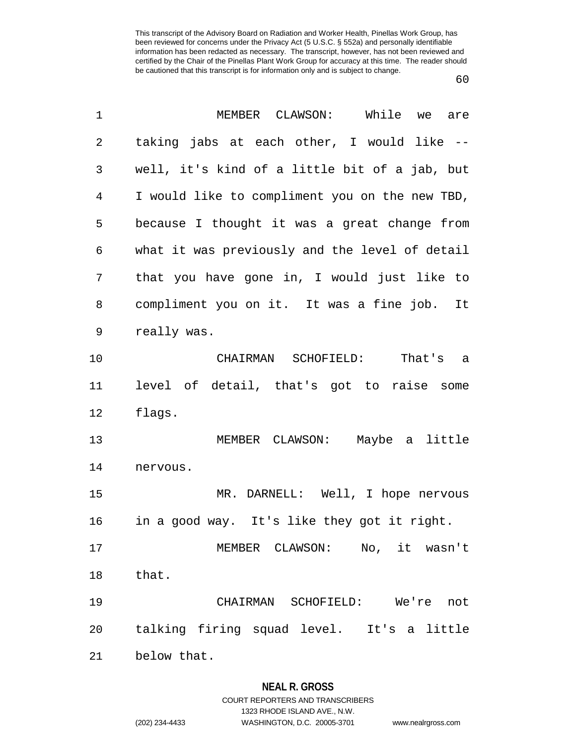60

| $\mathbf 1$    | MEMBER CLAWSON: While we<br>are                |
|----------------|------------------------------------------------|
| 2              | taking jabs at each other, I would like --     |
| 3              | well, it's kind of a little bit of a jab, but  |
| $\overline{4}$ | I would like to compliment you on the new TBD, |
| 5              | because I thought it was a great change from   |
| 6              | what it was previously and the level of detail |
| 7              | that you have gone in, I would just like to    |
| 8              | compliment you on it. It was a fine job. It    |
| 9              | really was.                                    |
| 10             | CHAIRMAN SCHOFIELD: That's a                   |
| 11             | level of detail, that's got to raise some      |
| 12             | flags.                                         |
| 13             | MEMBER CLAWSON: Maybe a little                 |
| 14             | nervous.                                       |
| 15             | MR. DARNELL: Well, I hope nervous              |
| 16             | in a good way. It's like they got it right.    |
| 17             | MEMBER CLAWSON: No, it wasn't                  |
| 18             | that.                                          |
| 19             | CHAIRMAN SCHOFIELD: We're not                  |
| 20             | talking firing squad level. It's a little      |
| 21             | below that.                                    |
|                |                                                |

### **NEAL R. GROSS**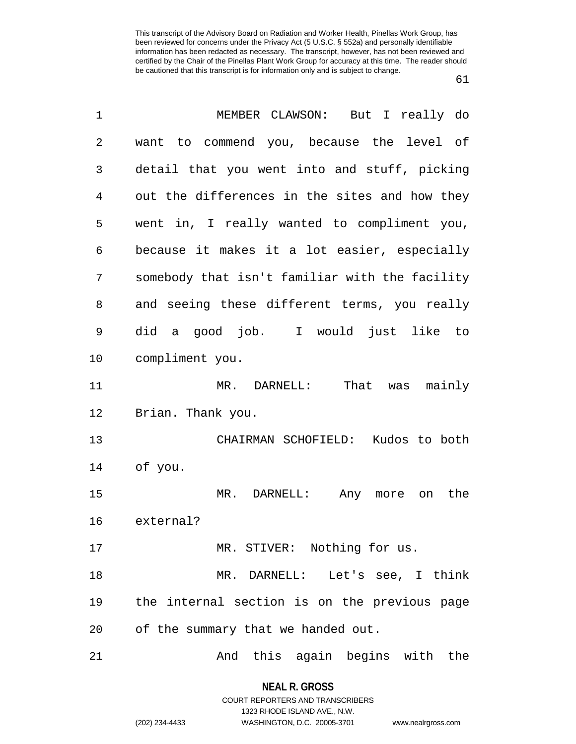| $\mathbf 1$ | MEMBER CLAWSON: But I really do                |
|-------------|------------------------------------------------|
| 2           | want to commend you, because the level of      |
| 3           | detail that you went into and stuff, picking   |
| 4           | out the differences in the sites and how they  |
| 5           | went in, I really wanted to compliment you,    |
| 6           | because it makes it a lot easier, especially   |
| 7           | somebody that isn't familiar with the facility |
| 8           | and seeing these different terms, you really   |
| 9           | did a good job. I would just like to           |
| 10          | compliment you.                                |
| 11          | MR. DARNELL: That was mainly                   |
| 12          | Brian. Thank you.                              |
| 13          | CHAIRMAN SCHOFIELD: Kudos to both              |
| 14          | of you.                                        |
| 15          | MR. DARNELL:<br>the<br>Any more on             |
| 16          | external?                                      |
| 17          | MR. STIVER: Nothing for us.                    |
| 18          | MR. DARNELL: Let's see, I think                |
| 19          | the internal section is on the previous page   |
| 20          | of the summary that we handed out.             |
| 21          | And this again begins with the                 |

**NEAL R. GROSS** COURT REPORTERS AND TRANSCRIBERS

1323 RHODE ISLAND AVE., N.W. (202) 234-4433 WASHINGTON, D.C. 20005-3701 www.nealrgross.com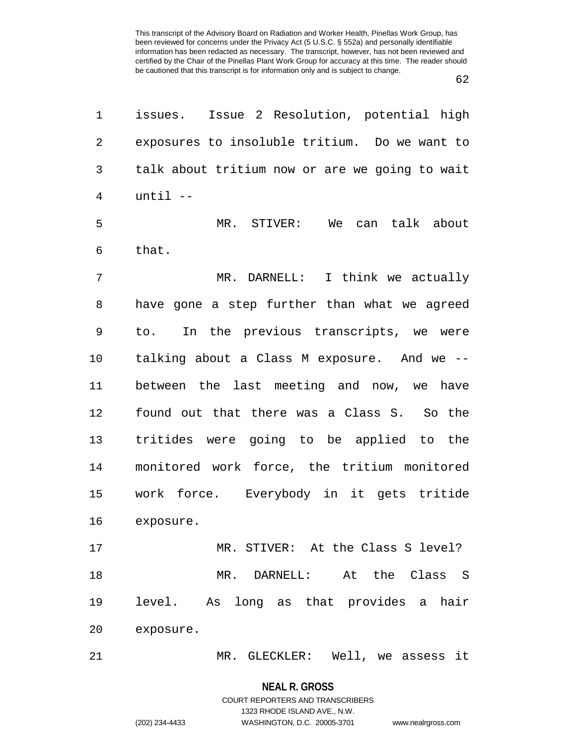62

| 1              | Issue 2 Resolution, potential high<br>issues.  |
|----------------|------------------------------------------------|
| $\overline{2}$ | exposures to insoluble tritium. Do we want to  |
| 3              | talk about tritium now or are we going to wait |
| 4              | $until$ --                                     |
| 5              | MR. STIVER:<br>We<br>can talk about            |
| 6              | that.                                          |
| 7              | I think we actually<br>MR. DARNELL:            |
| 8              | have gone a step further than what we agreed   |
| 9              | In the previous transcripts, we were<br>to.    |
| 10             | talking about a Class M exposure. And we --    |
| 11             | between the last meeting and now, we have      |
| 12             | found out that there was a Class S. So the     |
| 13             | tritides were going to be applied to the       |
| 14             | monitored work force, the tritium monitored    |
| 15             | work force. Everybody in it gets tritide       |
| 16             | exposure.                                      |
| 17             | MR. STIVER: At the Class S level?              |
| 18             | MR. DARNELL: At the Class S                    |
| 19             | level. As long as that provides a hair         |
| 20             | exposure.                                      |
| 21             | MR. GLECKLER: Well, we assess it               |

**NEAL R. GROSS**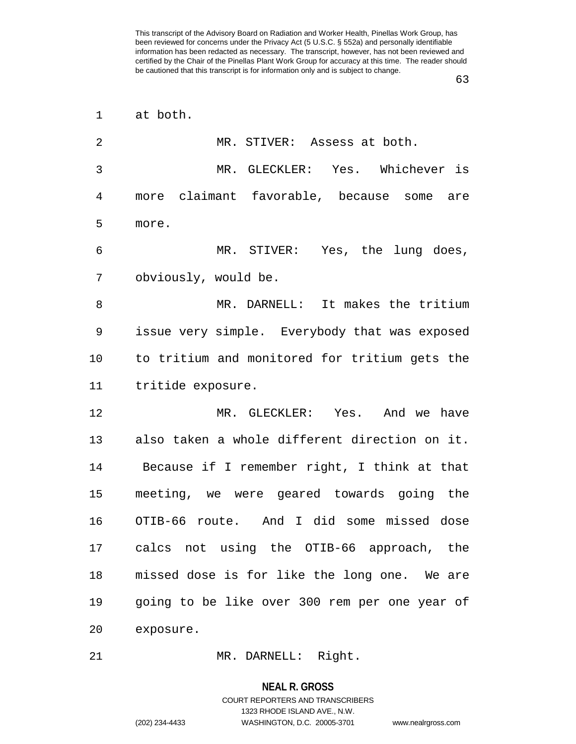63

| $\mathbf 1$    | at both.                                      |
|----------------|-----------------------------------------------|
| $\overline{2}$ | MR. STIVER: Assess at both.                   |
| 3              | MR. GLECKLER: Yes. Whichever is               |
| 4              | more claimant favorable, because some<br>are  |
| 5              | more.                                         |
| 6              | MR. STIVER: Yes, the lung does,               |
| 7              | obviously, would be.                          |
| 8              | MR. DARNELL: It makes the tritium             |
| 9              | issue very simple. Everybody that was exposed |
| 10             | to tritium and monitored for tritium gets the |
| 11             | tritide exposure.                             |
| 12             | MR. GLECKLER: Yes. And we have                |
| 13             | also taken a whole different direction on it. |
| 14             | Because if I remember right, I think at that  |
| 15             | meeting, we were geared towards going the     |
| 16             | OTIB-66 route. And I did some missed dose     |
| 17             | calcs not using the OTIB-66 approach, the     |
| 18             | missed dose is for like the long one. We are  |
| 19             | going to be like over 300 rem per one year of |
| 20             | exposure.                                     |
| 21             | MR. DARNELL: Right.                           |

## **NEAL R. GROSS**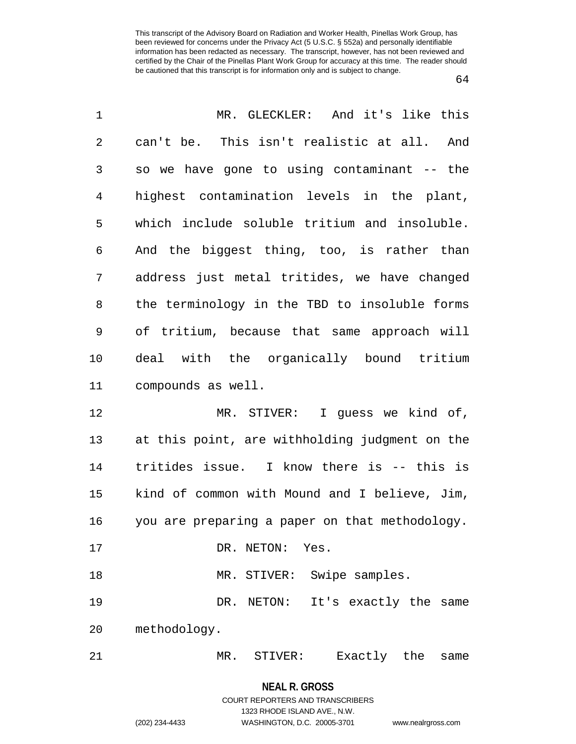| 1  | MR. GLECKLER: And it's like this               |
|----|------------------------------------------------|
| 2  | can't be. This isn't realistic at all. And     |
| 3  | so we have gone to using contaminant -- the    |
| 4  | highest contamination levels in the plant,     |
| 5  | which include soluble tritium and insoluble.   |
| 6  | And the biggest thing, too, is rather than     |
| 7  | address just metal tritides, we have changed   |
| 8  | the terminology in the TBD to insoluble forms  |
| 9  | of tritium, because that same approach will    |
| 10 | deal with the organically bound tritium        |
| 11 | compounds as well.                             |
| 12 | MR. STIVER: I quess we kind of,                |
| 13 | at this point, are withholding judgment on the |
| 14 | tritides issue. I know there is -- this is     |
| 15 | kind of common with Mound and I believe, Jim,  |
| 16 | you are preparing a paper on that methodology. |
| 17 | DR. NETON: Yes.                                |
| 18 | MR. STIVER: Swipe samples.                     |
| 19 | DR. NETON: It's exactly the same               |
| 20 | methodology.                                   |
| 21 | MR. STIVER:<br>Exactly the<br>same             |

1323 RHODE ISLAND AVE., N.W.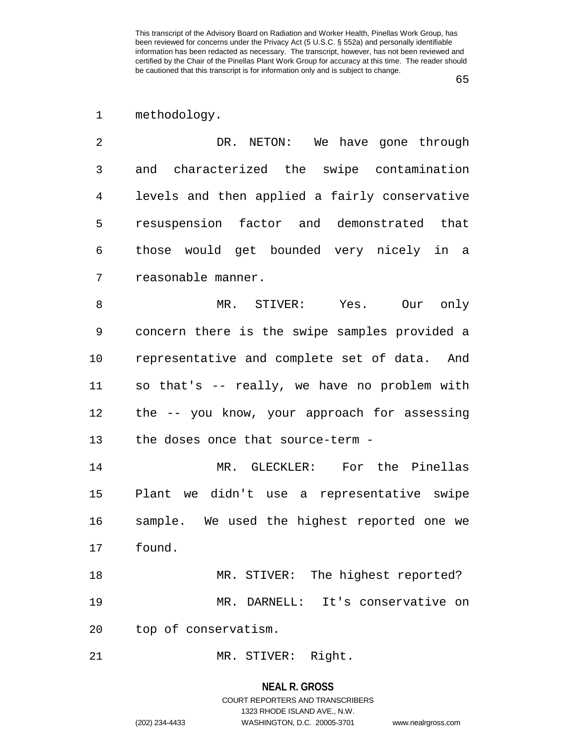1 methodology.

2 DR. NETON: We have gone through 3 and characterized the swipe contamination 4 levels and then applied a fairly conservative 5 resuspension factor and demonstrated that 6 those would get bounded very nicely in a 7 reasonable manner.

8 MR. STIVER: Yes. Our only 9 concern there is the swipe samples provided a 10 representative and complete set of data. And 11 so that's -- really, we have no problem with 12 the -- you know, your approach for assessing 13 the doses once that source-term -

14 MR. GLECKLER: For the Pinellas 15 Plant we didn't use a representative swipe 16 sample. We used the highest reported one we 17 found.

18 MR. STIVER: The highest reported? 19 MR. DARNELL: It's conservative on 20 top of conservatism.

21 MR. STIVER: Right.

#### **NEAL R. GROSS**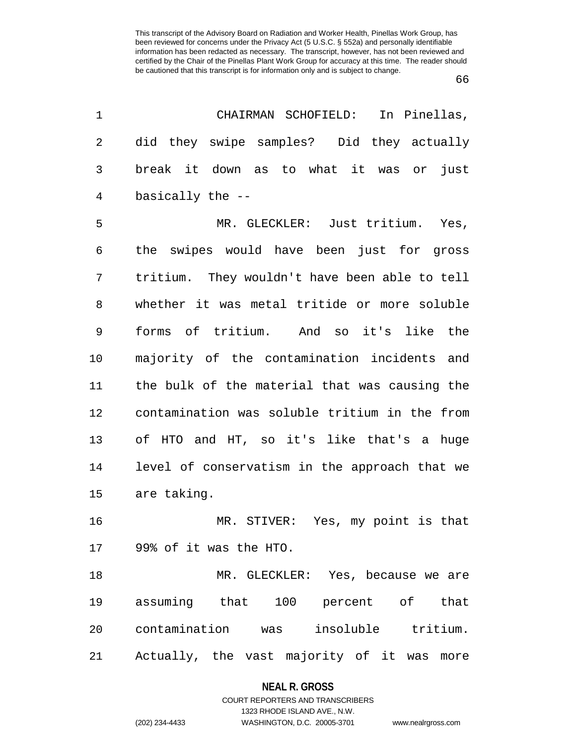| 1  | CHAIRMAN SCHOFIELD:<br>In Pinellas,           |
|----|-----------------------------------------------|
| 2  | did they swipe samples? Did they actually     |
| 3  | break it down as to what it was or just       |
| 4  | basically the --                              |
| 5  | MR. GLECKLER: Just tritium. Yes,              |
| 6  | the swipes would have been just for gross     |
| 7  | tritium. They wouldn't have been able to tell |
| 8  | whether it was metal tritide or more soluble  |
| 9  | forms of tritium. And so it's like the        |
| 10 | majority of the contamination incidents and   |
| 11 | the bulk of the material that was causing the |
| 12 | contamination was soluble tritium in the from |
| 13 | of HTO and HT, so it's like that's a huge     |
| 14 | level of conservatism in the approach that we |
| 15 | are taking.                                   |
| 16 | MR. STIVER: Yes, my point is that             |
| 17 | 99% of it was the HTO.                        |
| 18 | MR. GLECKLER: Yes, because we are             |
| 19 | assuming that 100 percent of that             |
| 20 | contamination was insoluble tritium.          |
| 21 | Actually, the vast majority of it was<br>more |

#### **NEAL R. GROSS**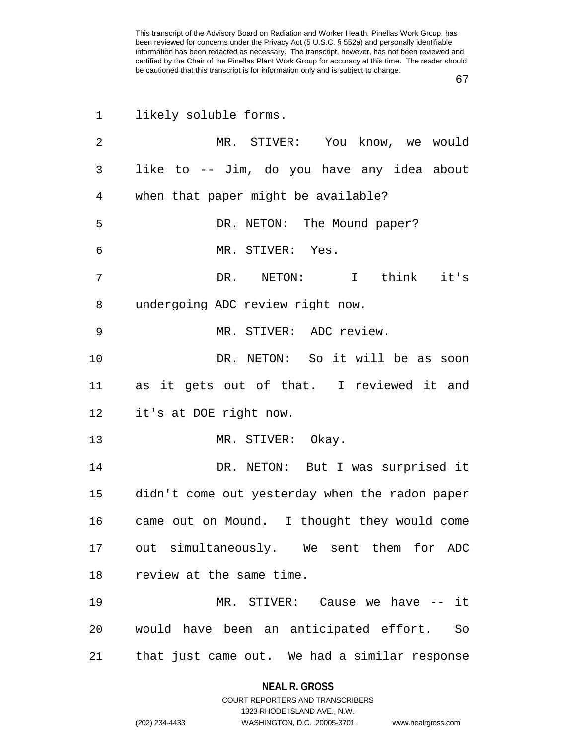67

| $\mathbf 1$ | likely soluble forms.                          |
|-------------|------------------------------------------------|
| 2           | MR. STIVER: You know, we would                 |
| 3           | like to -- Jim, do you have any idea about     |
| 4           | when that paper might be available?            |
| 5           | DR. NETON: The Mound paper?                    |
| 6           | MR. STIVER: Yes.                               |
| 7           | DR. NETON: I think it's                        |
| 8           | undergoing ADC review right now.               |
| 9           | MR. STIVER: ADC review.                        |
| 10          | DR. NETON: So it will be as soon               |
| 11          | as it gets out of that. I reviewed it and      |
| 12          | it's at DOE right now.                         |
| 13          | MR. STIVER: Okay.                              |
| 14          | DR. NETON: But I was surprised it              |
| 15          | didn't come out yesterday when the radon paper |
| 16          | came out on Mound. I thought they would come   |
|             | 17 out simultaneously. We sent them for ADC    |
| 18          | review at the same time.                       |
| 19          | MR. STIVER: Cause we have -- it                |
| 20          | would have been an anticipated effort. So      |
| 21          | that just came out. We had a similar response  |

**NEAL R. GROSS**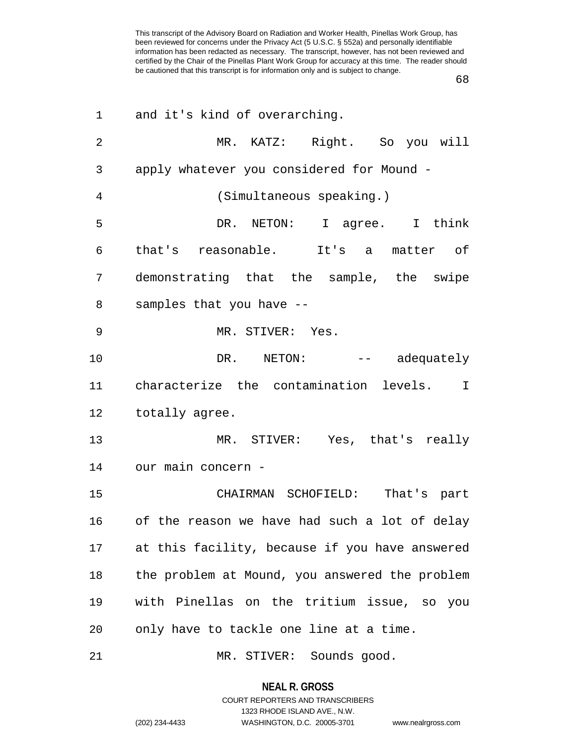| 1              | and it's kind of overarching.                         |
|----------------|-------------------------------------------------------|
| $\overline{2}$ | MR. KATZ: Right. So you will                          |
| 3              | apply whatever you considered for Mound -             |
| 4              | (Simultaneous speaking.)                              |
| 5              | DR. NETON: I agree. I think                           |
| 6              | that's reasonable. It's a matter of                   |
| 7              | demonstrating that the sample, the swipe              |
| 8              | samples that you have --                              |
| 9              | MR. STIVER: Yes.                                      |
| 10             | DR. NETON: -- adequately                              |
| 11             | characterize the contamination levels.<br>$\mathbf I$ |
| 12             | totally agree.                                        |
| 13             | MR. STIVER: Yes, that's really                        |
| 14             | our main concern -                                    |
| 15             | CHAIRMAN SCHOFIELD: That's part                       |
| 16             | of the reason we have had such a lot of delay         |
| 17             | at this facility, because if you have answered        |
| 18             | the problem at Mound, you answered the problem        |
| 19             | with Pinellas on the tritium issue, so you            |
| 20             | only have to tackle one line at a time.               |
| 21             | MR. STIVER: Sounds good.                              |

# **NEAL R. GROSS** COURT REPORTERS AND TRANSCRIBERS

1323 RHODE ISLAND AVE., N.W.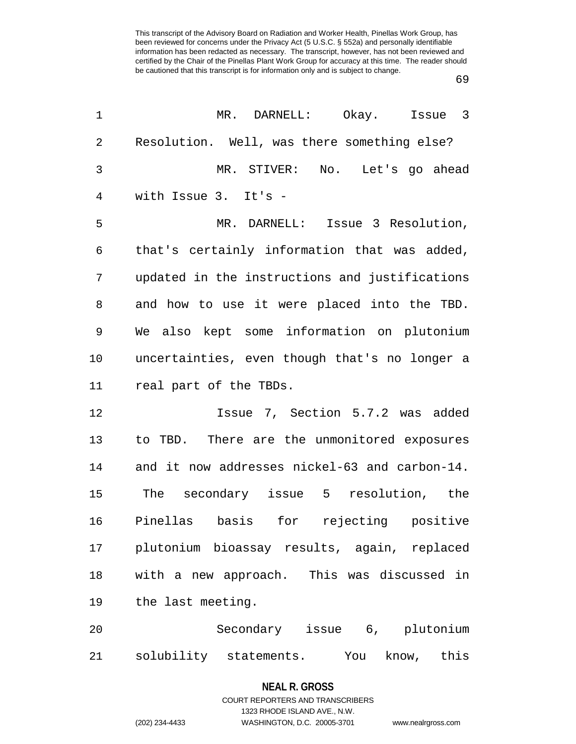69

| $\mathbf 1$ | Issue 3<br>MR. DARNELL: Okay.                  |
|-------------|------------------------------------------------|
| 2           | Resolution. Well, was there something else?    |
| 3           | MR. STIVER: No. Let's go ahead                 |
| 4           | with Issue 3. It's -                           |
| 5           | MR. DARNELL: Issue 3 Resolution,               |
| 6           | that's certainly information that was added,   |
| 7           | updated in the instructions and justifications |
| 8           | and how to use it were placed into the TBD.    |
| 9           | We also kept some information on plutonium     |
| 10          | uncertainties, even though that's no longer a  |
| 11          | real part of the TBDs.                         |
| 12          | Issue 7, Section 5.7.2 was added               |
| 13          | to TBD. There are the unmonitored exposures    |
| 14          | and it now addresses nickel-63 and carbon-14.  |
| 15          | The secondary issue 5 resolution, the          |
| 16          | Pinellas basis for rejecting positive          |
| 17          | plutonium bioassay results, again, replaced    |
| 18          | with a new approach. This was discussed in     |
| 19          | the last meeting.                              |
| 20          | Secondary issue 6, plutonium                   |
| 21          | solubility statements.<br>You<br>know,<br>this |

# **NEAL R. GROSS**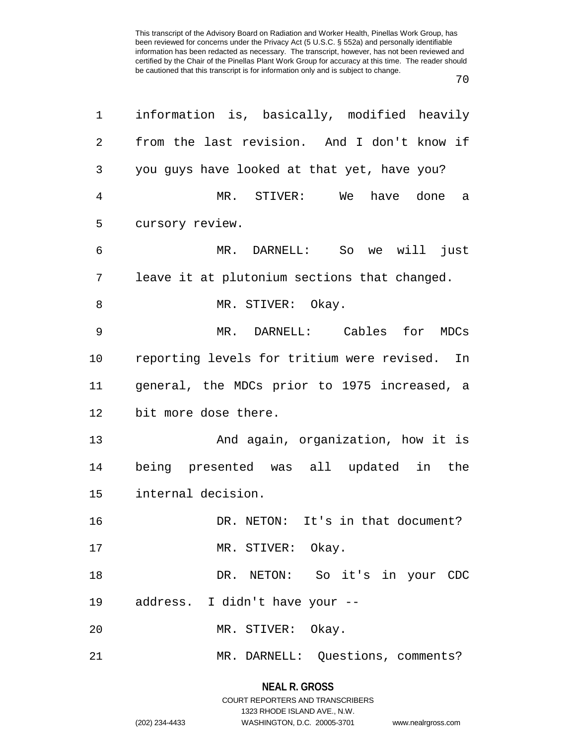70

|    | information is, basically, modified heavily      |
|----|--------------------------------------------------|
| 2  | from the last revision. And I don't know if      |
| 3  | you guys have looked at that yet, have you?      |
| 4  | MR. STIVER:<br>have done<br>We<br>a              |
| 5  | cursory review.                                  |
| 6  | MR. DARNELL: So we will just                     |
| 7  | leave it at plutonium sections that changed.     |
| 8  | MR. STIVER: Okay.                                |
| 9  | MR. DARNELL: Cables for MDCs                     |
| 10 | reporting levels for tritium were revised.<br>In |
|    |                                                  |
| 11 | general, the MDCs prior to 1975 increased, a     |
| 12 | bit more dose there.                             |
| 13 | And again, organization, how it is               |
| 14 | being presented was all updated in the           |
| 15 | internal decision.                               |
| 16 | DR. NETON: It's in that document?                |
| 17 | MR. STIVER: Okay.                                |
| 18 | DR. NETON: So it's in your CDC                   |
| 19 | address. I didn't have your --                   |
| 20 | MR. STIVER: Okay.                                |

# **NEAL R. GROSS**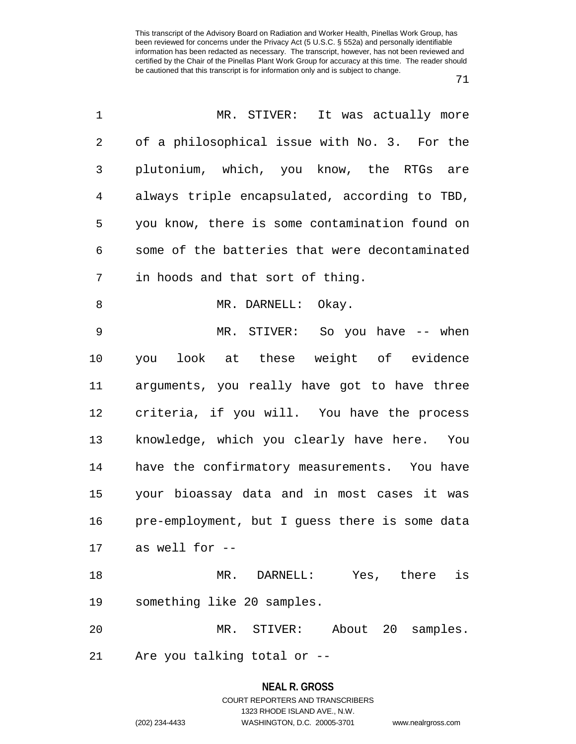| $\mathbf 1$ | MR. STIVER:<br>It was actually more            |
|-------------|------------------------------------------------|
| 2           | of a philosophical issue with No. 3. For the   |
| 3           | plutonium, which, you know, the RTGs are       |
| 4           | always triple encapsulated, according to TBD,  |
| 5           | you know, there is some contamination found on |
| 6           | some of the batteries that were decontaminated |
| 7           | in hoods and that sort of thing.               |
| 8           | MR. DARNELL: Okay.                             |
| 9           | MR. STIVER: So you have -- when                |
| 10          | you look at these weight of evidence           |
| 11          | arguments, you really have got to have three   |
| 12          | criteria, if you will. You have the process    |
| 13          | knowledge, which you clearly have here. You    |
| 14          | have the confirmatory measurements. You have   |
| 15          | your bioassay data and in most cases it was    |
| 16          | pre-employment, but I guess there is some data |
| 17          | as well for --                                 |
| 18          | MR. DARNELL: Yes, there is                     |
| 19          | something like 20 samples.                     |
| 20          | MR. STIVER: About 20 samples.                  |
| 21          | Are you talking total or --                    |

# **NEAL R. GROSS** COURT REPORTERS AND TRANSCRIBERS

1323 RHODE ISLAND AVE., N.W.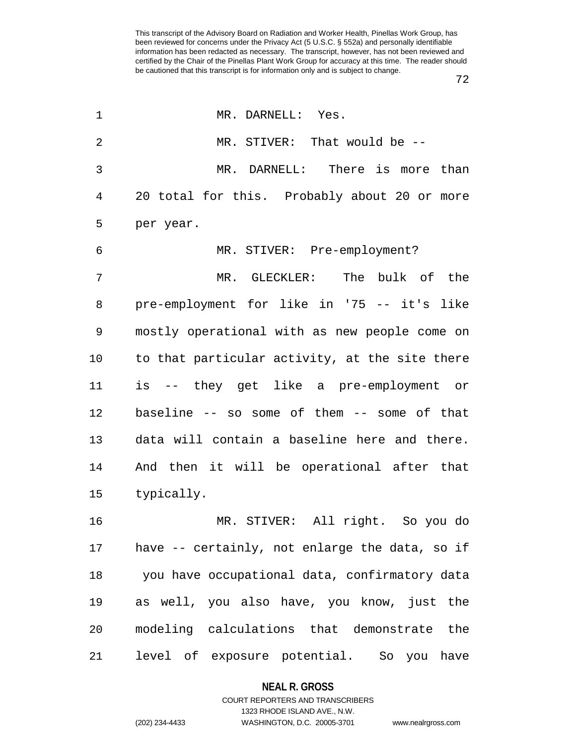| 1       | MR. DARNELL: Yes.                              |
|---------|------------------------------------------------|
| 2       | MR. STIVER: That would be --                   |
| 3       | MR. DARNELL: There is more than                |
| 4       | 20 total for this. Probably about 20 or more   |
| 5       | per year.                                      |
| 6       | MR. STIVER: Pre-employment?                    |
| 7       | MR. GLECKLER: The bulk of the                  |
| 8       | pre-employment for like in '75 -- it's like    |
| 9       | mostly operational with as new people come on  |
| $10 \,$ | to that particular activity, at the site there |
| 11      | is -- they get like a pre-employment or        |
| 12      | baseline -- so some of them -- some of that    |
| 13      | data will contain a baseline here and there.   |
| 14      | And then it will be operational after that     |
| 15      | typically.                                     |
| 16      | MR. STIVER: All right. So you do               |
| 17      | have -- certainly, not enlarge the data, so if |
| 18      | you have occupational data, confirmatory data  |
| 19      | as well, you also have, you know, just the     |
| 20      | modeling calculations that demonstrate<br>the  |
| 21      | level of exposure potential. So you<br>have    |

#### **NEAL R. GROSS**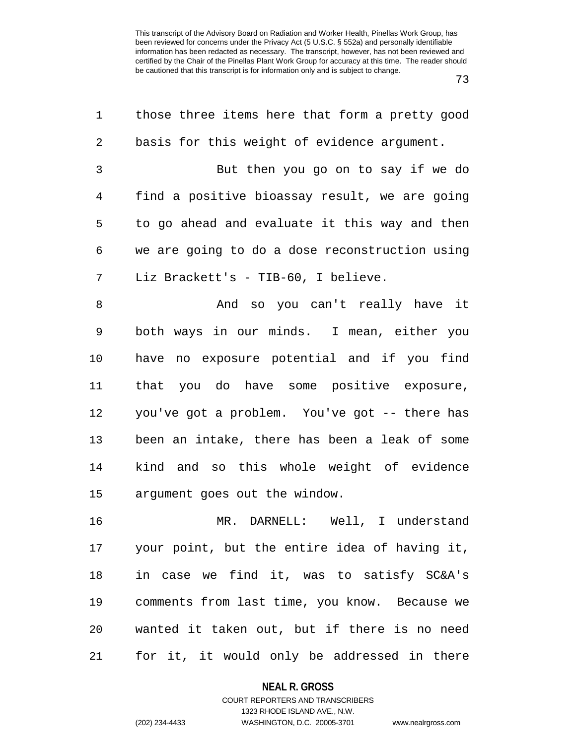73

| 1  | those three items here that form a pretty good |
|----|------------------------------------------------|
| 2  | basis for this weight of evidence argument.    |
| 3  | But then you go on to say if we do             |
| 4  | find a positive bioassay result, we are going  |
| 5  | to go ahead and evaluate it this way and then  |
| 6  | we are going to do a dose reconstruction using |
| 7  | Liz Brackett's - TIB-60, I believe.            |
| 8  | And so you can't really have it                |
| 9  | both ways in our minds. I mean, either you     |
| 10 | have no exposure potential and if you find     |
| 11 | that you do have some positive exposure,       |
| 12 | you've got a problem. You've got -- there has  |
| 13 | been an intake, there has been a leak of some  |
| 14 | kind and so this whole weight of evidence      |
| 15 | argument goes out the window.                  |
| 16 | MR. DARNELL: Well, I understand                |
| 17 | your point, but the entire idea of having it,  |
| 18 | in case we find it, was to satisfy SC&A's      |
| 19 | comments from last time, you know. Because we  |
| 20 | wanted it taken out, but if there is no need   |
| 21 | for it, it would only be addressed in there    |

# **NEAL R. GROSS** COURT REPORTERS AND TRANSCRIBERS

1323 RHODE ISLAND AVE., N.W.

(202) 234-4433 WASHINGTON, D.C. 20005-3701 www.nealrgross.com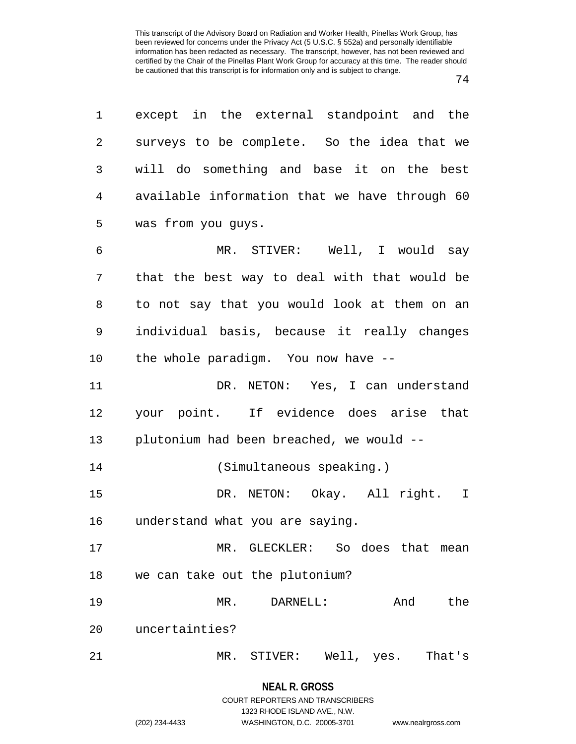| 1              | except in the external standpoint and the     |
|----------------|-----------------------------------------------|
| $\overline{2}$ | surveys to be complete. So the idea that we   |
| 3              | will do something and base it on the best     |
| 4              | available information that we have through 60 |
| 5              | was from you guys.                            |
| 6              | MR. STIVER: Well, I would say                 |
| 7              | that the best way to deal with that would be  |
| 8              | to not say that you would look at them on an  |
| 9              | individual basis, because it really changes   |
| 10             | the whole paradigm. You now have --           |
| 11             | DR. NETON: Yes, I can understand              |
| 12             | your point. If evidence does arise that       |
| 13             | plutonium had been breached, we would --      |
| 14             | (Simultaneous speaking.)                      |
| 15             | DR. NETON: Okay. All right. I                 |
| 16             | understand what you are saying.               |
| 17             | MR. GLECKLER: So does that<br>mean            |
| 18             | we can take out the plutonium?                |
| 19             | And<br>$MR$ .<br>DARNELL:<br>the              |
| 20             | uncertainties?                                |
| 21             | MR. STIVER:<br>Well, yes.<br>That's           |

1323 RHODE ISLAND AVE., N.W.

(202) 234-4433 WASHINGTON, D.C. 20005-3701 www.nealrgross.com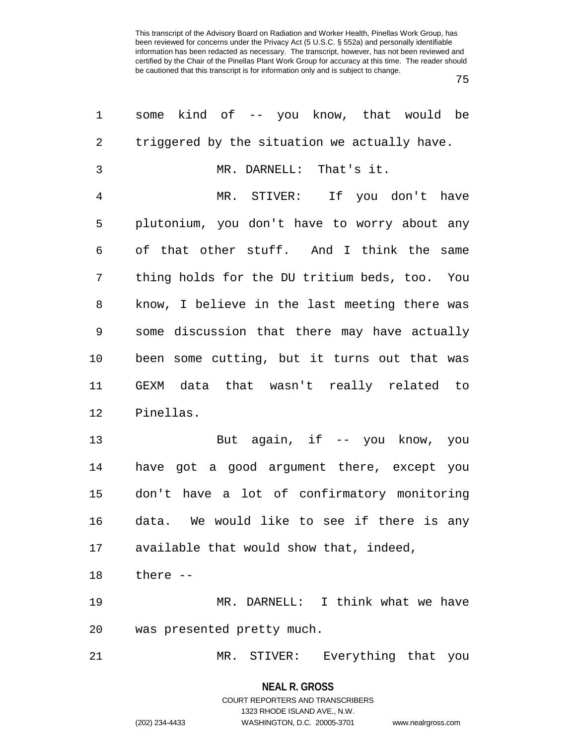75

| 1  | some kind of -- you know, that would be       |
|----|-----------------------------------------------|
| 2  | triggered by the situation we actually have.  |
| 3  | MR. DARNELL: That's it.                       |
| 4  | MR. STIVER: If you don't have                 |
| 5  | plutonium, you don't have to worry about any  |
| 6  | of that other stuff. And I think the same     |
| 7  | thing holds for the DU tritium beds, too. You |
| 8  | know, I believe in the last meeting there was |
| 9  | some discussion that there may have actually  |
| 10 | been some cutting, but it turns out that was  |
| 11 | GEXM data that wasn't really related to       |
| 12 | Pinellas.                                     |
| 13 | But again, if -- you know, you                |
| 14 | have got a good argument there, except you    |
| 15 | don't have a lot of confirmatory monitoring   |
| 16 | data. We would like to see if there is any    |
| 17 | available that would show that, indeed,       |
| 18 | there --                                      |
| 19 | MR. DARNELL: I think what we have             |
| 20 | was presented pretty much.                    |
| 21 | MR. STIVER: Everything that you               |

**NEAL R. GROSS** COURT REPORTERS AND TRANSCRIBERS

1323 RHODE ISLAND AVE., N.W.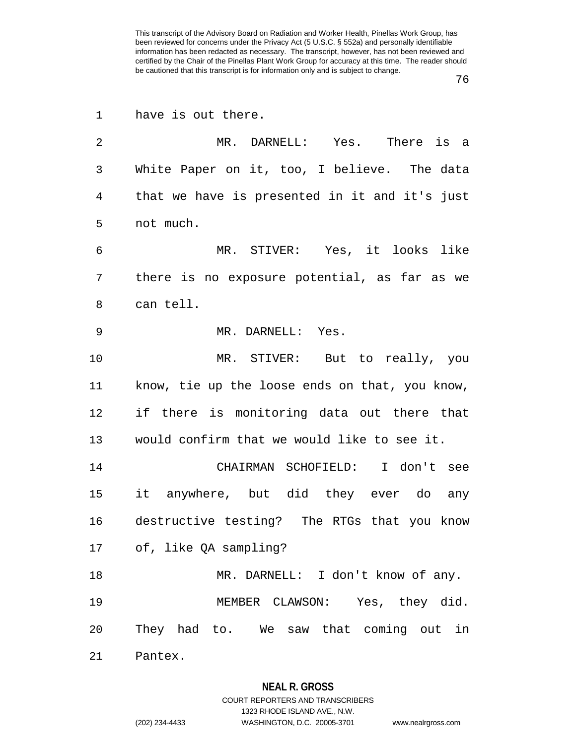| 1  | have is out there.                             |
|----|------------------------------------------------|
| 2  | MR. DARNELL: Yes. There is a                   |
| 3  | White Paper on it, too, I believe. The data    |
| 4  | that we have is presented in it and it's just  |
| 5  | not much.                                      |
| 6  | MR. STIVER: Yes, it looks like                 |
| 7  | there is no exposure potential, as far as we   |
| 8  | can tell.                                      |
| 9  | MR. DARNELL: Yes.                              |
| 10 | MR. STIVER: But to really, you                 |
| 11 | know, tie up the loose ends on that, you know, |
| 12 | if there is monitoring data out there that     |
| 13 | would confirm that we would like to see it.    |
| 14 | CHAIRMAN SCHOFIELD: I don't see                |
| 15 | it anywhere, but did they ever do any          |
| 16 | destructive testing? The RTGs that you know    |
|    | 17 of, like QA sampling?                       |
| 18 | MR. DARNELL: I don't know of any.              |
| 19 | MEMBER CLAWSON: Yes, they did.                 |
| 20 | They had to. We saw that coming out in         |
| 21 | Pantex.                                        |

#### **NEAL R. GROSS**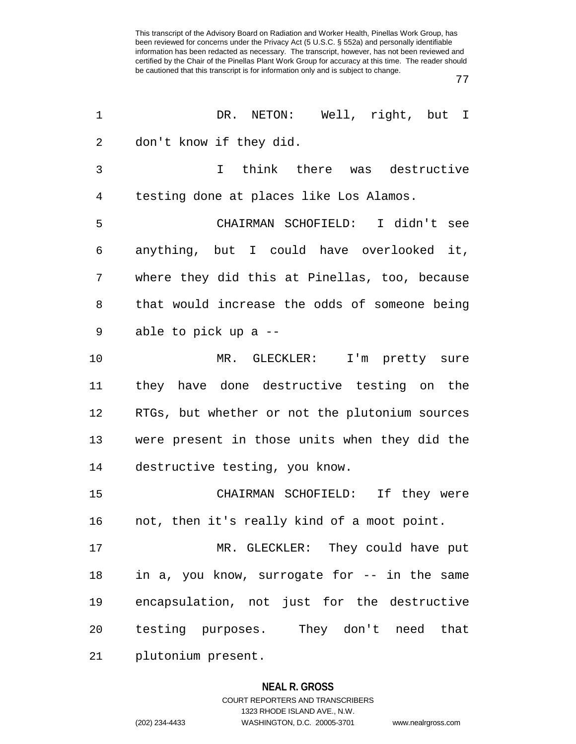77

| 1  | DR. NETON: Well, right, but I                  |
|----|------------------------------------------------|
| 2  | don't know if they did.                        |
| 3  | think there was destructive<br>$\mathsf{T}$    |
| 4  | testing done at places like Los Alamos.        |
| 5  | CHAIRMAN SCHOFIELD: I didn't see               |
| 6  | anything, but I could have overlooked it,      |
| 7  | where they did this at Pinellas, too, because  |
| 8  | that would increase the odds of someone being  |
| 9  | able to pick up a --                           |
| 10 | MR. GLECKLER: I'm pretty sure                  |
| 11 | they have done destructive testing on the      |
| 12 | RTGs, but whether or not the plutonium sources |
| 13 | were present in those units when they did the  |
| 14 | destructive testing, you know.                 |
| 15 | CHAIRMAN SCHOFIELD: If they were               |
| 16 | not, then it's really kind of a moot point.    |
| 17 | MR. GLECKLER: They could have put              |
| 18 | in a, you know, surrogate for -- in the same   |
| 19 | encapsulation, not just for the destructive    |
| 20 | testing purposes. They don't need that         |
| 21 | plutonium present.                             |

## **NEAL R. GROSS**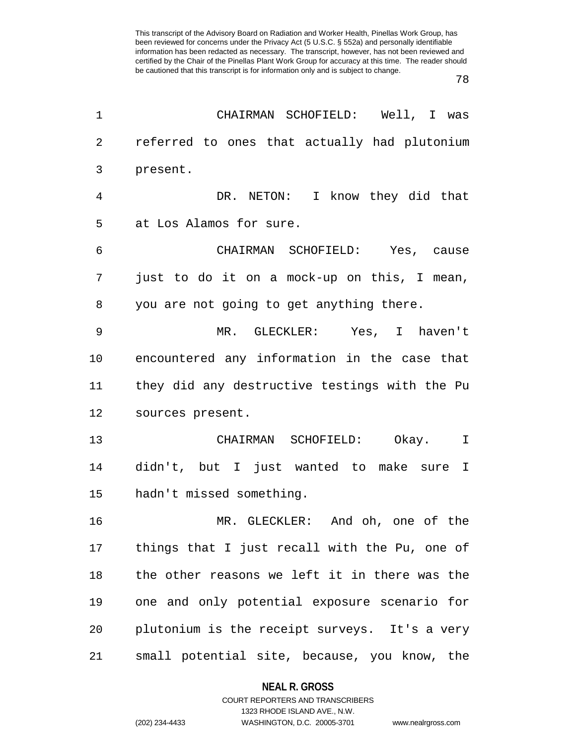78

| 1  | CHAIRMAN SCHOFIELD: Well, I was               |
|----|-----------------------------------------------|
| 2  | referred to ones that actually had plutonium  |
| 3  | present.                                      |
| 4  | DR. NETON: I know they did that               |
| 5  | at Los Alamos for sure.                       |
| 6  | CHAIRMAN SCHOFIELD: Yes, cause                |
| 7  | just to do it on a mock-up on this, I mean,   |
| 8  | you are not going to get anything there.      |
| 9  | MR. GLECKLER: Yes, I haven't                  |
| 10 | encountered any information in the case that  |
| 11 | they did any destructive testings with the Pu |
| 12 | sources present.                              |
| 13 | CHAIRMAN SCHOFIELD: Okay.<br>I                |
| 14 | didn't, but I just wanted to make sure I      |
| 15 | hadn't missed something.                      |
| 16 | MR. GLECKLER: And oh, one of the              |
| 17 | things that I just recall with the Pu, one of |
| 18 | the other reasons we left it in there was the |
| 19 | one and only potential exposure scenario for  |
| 20 | plutonium is the receipt surveys. It's a very |
| 21 | small potential site, because, you know, the  |

# **NEAL R. GROSS** COURT REPORTERS AND TRANSCRIBERS

1323 RHODE ISLAND AVE., N.W. (202) 234-4433 WASHINGTON, D.C. 20005-3701 www.nealrgross.com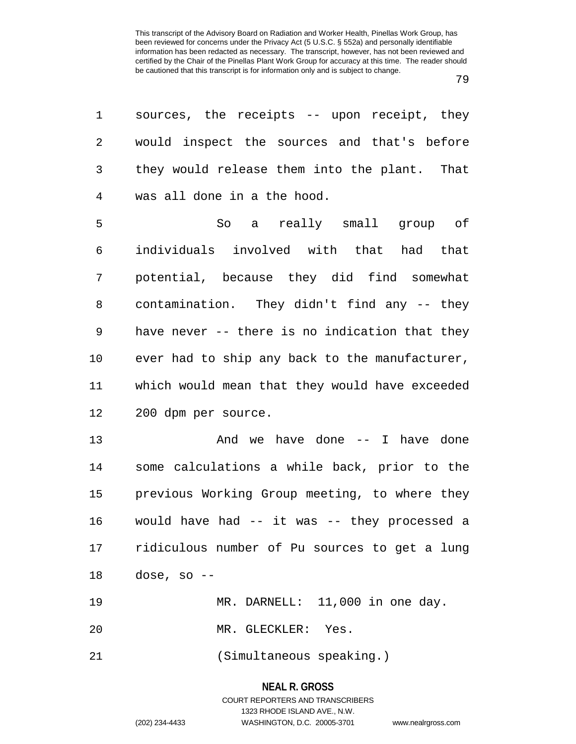| 1              | sources, the receipts -- upon receipt, they    |
|----------------|------------------------------------------------|
| 2              | would inspect the sources and that's before    |
| 3              | they would release them into the plant. That   |
| $\overline{4}$ | was all done in a the hood.                    |
| 5              | So a really small group of                     |
| 6              | individuals involved with that had that        |
| 7              | potential, because they did find somewhat      |
| 8              | contamination. They didn't find any -- they    |
| 9              | have never -- there is no indication that they |
| $10 \,$        | ever had to ship any back to the manufacturer, |
| 11             | which would mean that they would have exceeded |
| 12             | 200 dpm per source.                            |
| 13             | And we have done -- I have done                |
| 14             | some calculations a while back, prior to the   |
| 15             | previous Working Group meeting, to where they  |
| 16             | would have had -- it was -- they processed a   |
| 17             | ridiculous number of Pu sources to get a lung  |
| 18             | dose, so $-$                                   |
| 19             | MR. DARNELL: 11,000 in one day.                |
| 20             | MR. GLECKLER: Yes.                             |
| 21             | (Simultaneous speaking.)                       |

# **NEAL R. GROSS** COURT REPORTERS AND TRANSCRIBERS 1323 RHODE ISLAND AVE., N.W.

(202) 234-4433 WASHINGTON, D.C. 20005-3701 www.nealrgross.com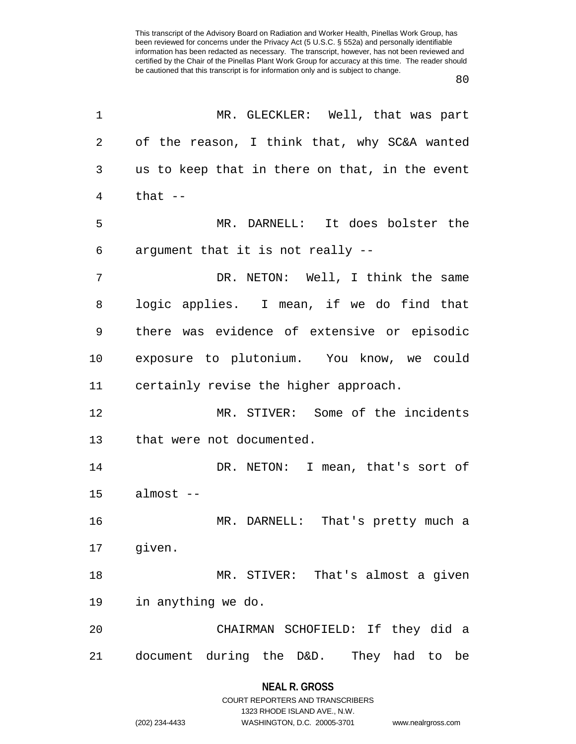| 1              | MR. GLECKLER: Well, that was part              |
|----------------|------------------------------------------------|
| $\overline{2}$ | of the reason, I think that, why SC&A wanted   |
| 3              | us to keep that in there on that, in the event |
| 4              | that $-$                                       |
| 5              | MR. DARNELL: It does bolster the               |
| 6              | argument that it is not really --              |
| 7              | DR. NETON: Well, I think the same              |
| 8              | logic applies. I mean, if we do find that      |
| 9              | there was evidence of extensive or episodic    |
| 10             | exposure to plutonium. You know, we could      |
| 11             | certainly revise the higher approach.          |
| 12             | MR. STIVER: Some of the incidents              |
| 13             | that were not documented.                      |
| 14             | DR. NETON: I mean, that's sort of              |
| 15             | almost --                                      |
| 16             | MR. DARNELL: That's pretty much a              |
| 17             | given.                                         |
| 18             | MR. STIVER: That's almost a given              |
| 19             | in anything we do.                             |
| 20             | CHAIRMAN SCHOFIELD: If they did a              |
| 21             | document during the D&D. They had to be        |
|                |                                                |

## **NEAL R. GROSS**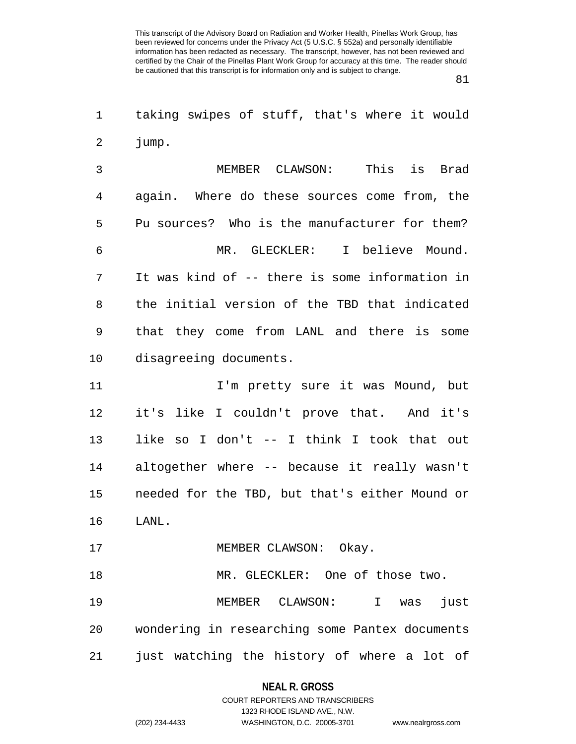81

1 taking swipes of stuff, that's where it would 2 jump.

3 MEMBER CLAWSON: This is Brad 4 again. Where do these sources come from, the 5 Pu sources? Who is the manufacturer for them? 6 MR. GLECKLER: I believe Mound. 7 It was kind of -- there is some information in 8 the initial version of the TBD that indicated 9 that they come from LANL and there is some 10 disagreeing documents.

11 I'm pretty sure it was Mound, but 12 it's like I couldn't prove that. And it's 13 like so I don't -- I think I took that out 14 altogether where -- because it really wasn't 15 needed for the TBD, but that's either Mound or 16 LANL.

17 MEMBER CLAWSON: Okay.

18 MR. GLECKLER: One of those two.

19 MEMBER CLAWSON: I was just 20 wondering in researching some Pantex documents 21 just watching the history of where a lot of

**NEAL R. GROSS**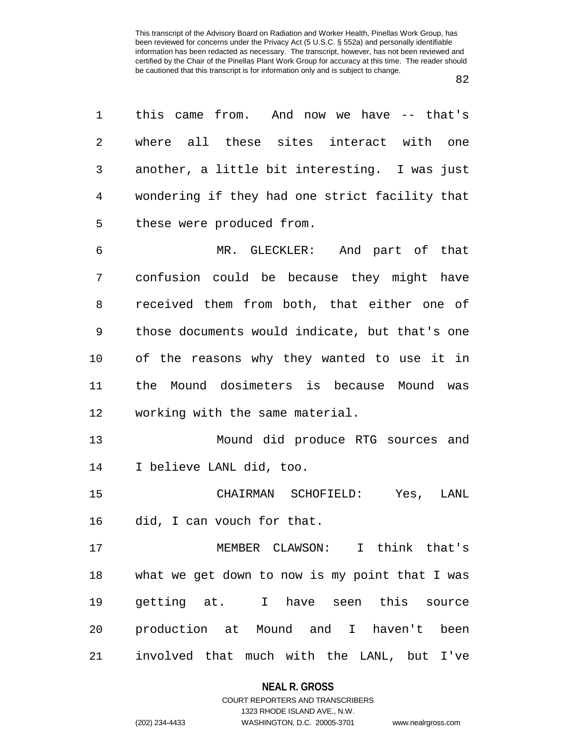| 1  | this came from. And now we have -- that's      |
|----|------------------------------------------------|
| 2  | where all these sites interact with one        |
| 3  | another, a little bit interesting. I was just  |
| 4  | wondering if they had one strict facility that |
| 5  | these were produced from.                      |
| 6  | MR. GLECKLER: And part of that                 |
| 7  | confusion could be because they might have     |
| 8  | received them from both, that either one of    |
| 9  | those documents would indicate, but that's one |
| 10 | of the reasons why they wanted to use it in    |
| 11 | the Mound dosimeters is because Mound was      |
| 12 | working with the same material.                |
| 13 | Mound did produce RTG sources and              |
| 14 | I believe LANL did, too.                       |
| 15 | CHAIRMAN SCHOFIELD: Yes,<br>LANL               |
| 16 | did, I can vouch for that.                     |
| 17 | MEMBER CLAWSON: I think that's                 |
| 18 | what we get down to now is my point that I was |
| 19 | getting at. I have seen this source            |
| 20 | production at Mound and I haven't been         |
| 21 | involved that much with the LANL, but I've     |

# **NEAL R. GROSS** COURT REPORTERS AND TRANSCRIBERS

1323 RHODE ISLAND AVE., N.W.

(202) 234-4433 WASHINGTON, D.C. 20005-3701 www.nealrgross.com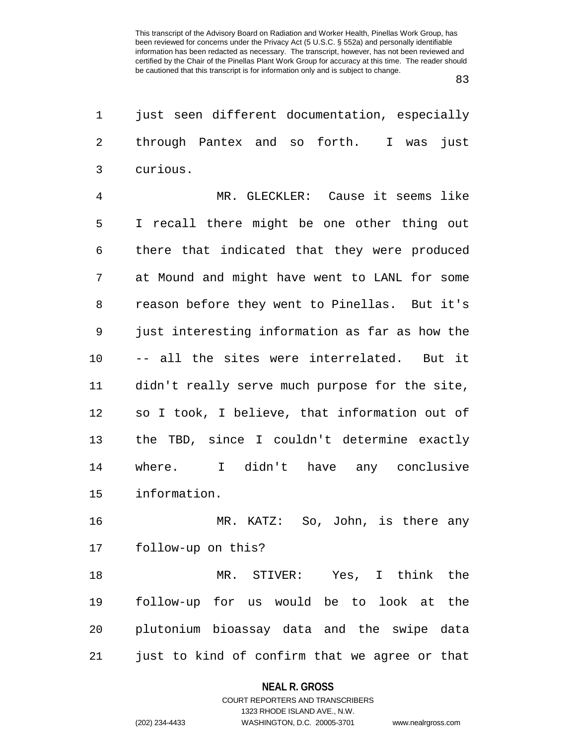| 1              | just seen different documentation, especially  |
|----------------|------------------------------------------------|
| $\mathbf{2}$   | through Pantex and so forth. I was<br>just     |
| 3              | curious.                                       |
| $\overline{4}$ | MR. GLECKLER: Cause it seems like              |
| 5              | I recall there might be one other thing out    |
| 6              | there that indicated that they were produced   |
| 7              | at Mound and might have went to LANL for some  |
| 8              | reason before they went to Pinellas. But it's  |
| 9              | just interesting information as far as how the |
| 10             | -- all the sites were interrelated. But it     |
| 11             | didn't really serve much purpose for the site, |
| 12             | so I took, I believe, that information out of  |
| 13             | the TBD, since I couldn't determine exactly    |
| 14             | where. I didn't have any conclusive            |
| 15             | information.                                   |
| 16             | MR. KATZ: So, John, is there any               |
| 17             | follow-up on this?                             |
| 18             | MR. STIVER: Yes, I think the                   |
| 19             | follow-up for us would be to look at<br>the    |
| 20             | plutonium bioassay data and the swipe data     |
| 21             | just to kind of confirm that we agree or that  |

# **NEAL R. GROSS** COURT REPORTERS AND TRANSCRIBERS

## 1323 RHODE ISLAND AVE., N.W. (202) 234-4433 WASHINGTON, D.C. 20005-3701 www.nealrgross.com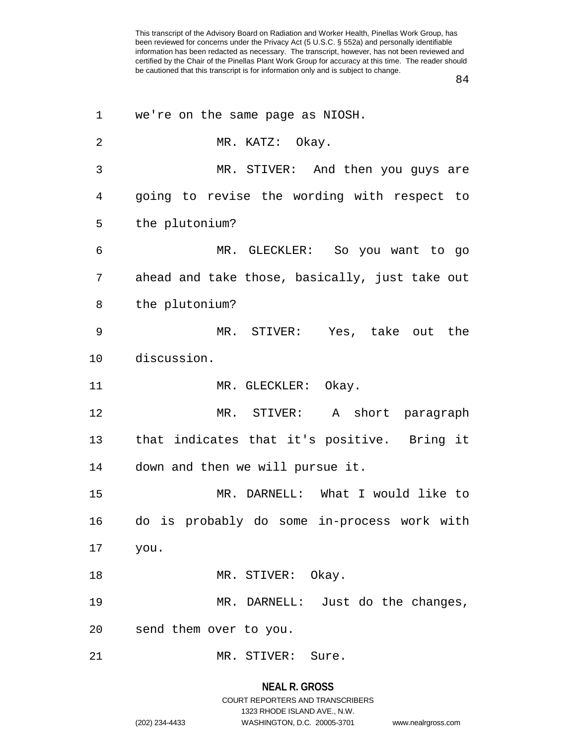84

| 1              | we're on the same page as NIOSH.               |
|----------------|------------------------------------------------|
| $\overline{2}$ | MR. KATZ: Okay.                                |
| 3              | MR. STIVER: And then you guys are              |
| 4              | going to revise the wording with respect to    |
| 5              | the plutonium?                                 |
| 6              | MR. GLECKLER: So you want to go                |
| 7              | ahead and take those, basically, just take out |
| 8              | the plutonium?                                 |
| 9              | MR. STIVER: Yes, take out the                  |
| $10 \,$        | discussion.                                    |
| 11             | MR. GLECKLER: Okay.                            |
| 12             | MR. STIVER: A short paragraph                  |
| 13             | that indicates that it's positive. Bring it    |
| 14             | down and then we will pursue it.               |
| 15             | MR. DARNELL: What I would like to              |
| 16             | do is probably do some in-process work with    |
| 17             | you.                                           |
|                |                                                |
| 18             | MR. STIVER: Okay.                              |
| 19             | MR. DARNELL: Just do the changes,              |
| 20             | send them over to you.                         |

# **NEAL R. GROSS**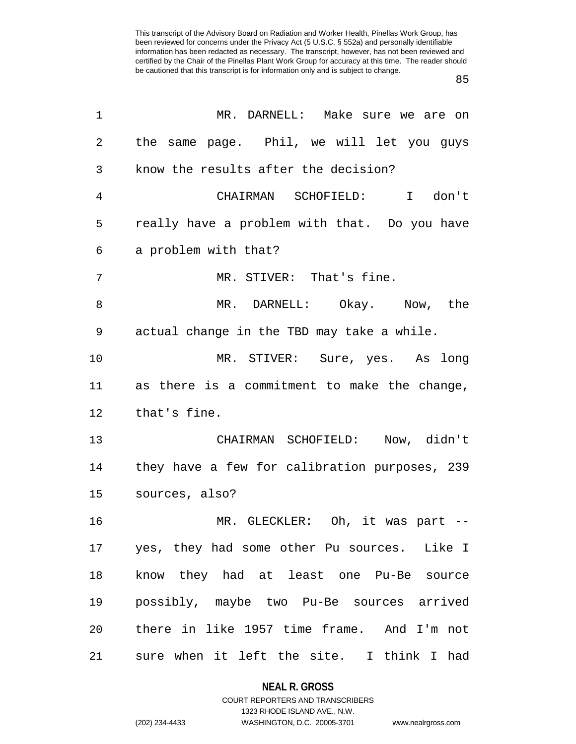85

| $\mathbf 1$ | MR. DARNELL: Make sure we are on              |
|-------------|-----------------------------------------------|
| 2           | the same page. Phil, we will let you guys     |
| 3           | know the results after the decision?          |
| 4           | CHAIRMAN SCHOFIELD: I don't                   |
| 5           | really have a problem with that. Do you have  |
| 6           | a problem with that?                          |
| 7           | MR. STIVER: That's fine.                      |
| 8           | MR. DARNELL: Okay. Now, the                   |
| 9           | actual change in the TBD may take a while.    |
| 10          | MR. STIVER: Sure, yes. As long                |
| 11          | as there is a commitment to make the change,  |
| 12          | that's fine.                                  |
| 13          | CHAIRMAN SCHOFIELD: Now, didn't               |
| 14          | they have a few for calibration purposes, 239 |
| 15          | sources, also?                                |
| 16          | MR. GLECKLER: Oh, it was part --              |
| 17          | yes, they had some other Pu sources. Like I   |
| 18          | know they had at least one Pu-Be source       |
| 19          | possibly, maybe two Pu-Be sources arrived     |
| 20          | there in like 1957 time frame. And I'm not    |
| 21          | sure when it left the site. I think I had     |

**NEAL R. GROSS** COURT REPORTERS AND TRANSCRIBERS

1323 RHODE ISLAND AVE., N.W.

(202) 234-4433 WASHINGTON, D.C. 20005-3701 www.nealrgross.com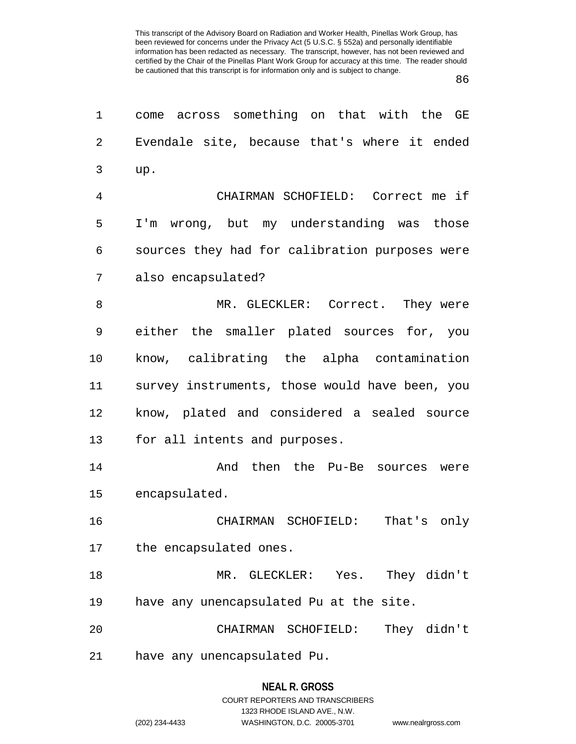86

| 1              | come across something on that with the GE      |
|----------------|------------------------------------------------|
| $\overline{2}$ | Evendale site, because that's where it ended   |
| 3              | up.                                            |
| 4              | CHAIRMAN SCHOFIELD: Correct me if              |
| 5              | I'm wrong, but my understanding was those      |
| 6              | sources they had for calibration purposes were |
| 7              | also encapsulated?                             |
| 8              | MR. GLECKLER: Correct. They were               |
| 9              | either the smaller plated sources for, you     |
| $10 \,$        | know, calibrating the alpha contamination      |
| 11             | survey instruments, those would have been, you |
| 12             | know, plated and considered a sealed source    |
| 13             | for all intents and purposes.                  |
| 14             | And then the Pu-Be sources were                |
| 15             | encapsulated.                                  |
| 16             | CHAIRMAN SCHOFIELD:<br>That's only             |
| 17             | the encapsulated ones.                         |
| 18             | MR. GLECKLER: Yes. They didn't                 |
| 19             | have any unencapsulated Pu at the site.        |
| 20             | They didn't<br>CHAIRMAN SCHOFIELD:             |
| 21             | have any unencapsulated Pu.                    |
|                |                                                |

# **NEAL R. GROSS** COURT REPORTERS AND TRANSCRIBERS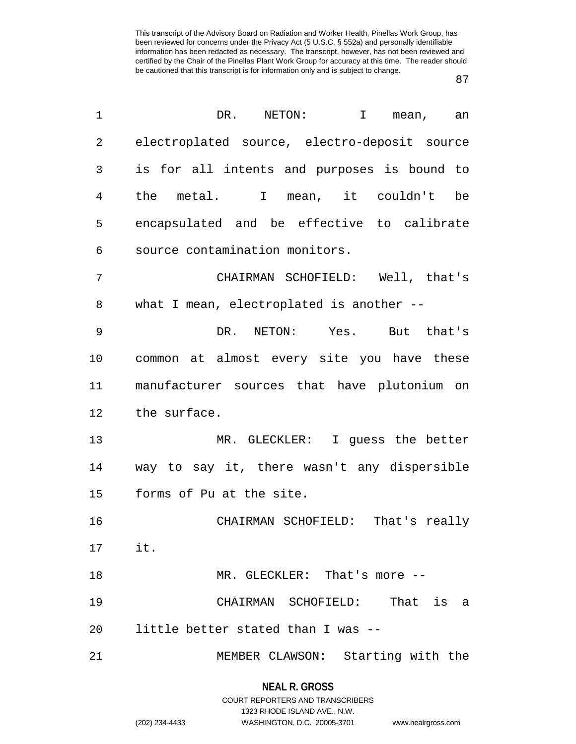| 1              | DR.<br>NETON:<br>T<br>mean, an               |
|----------------|----------------------------------------------|
| $\overline{2}$ | electroplated source, electro-deposit source |
| 3              | is for all intents and purposes is bound to  |
| 4              | the metal. I mean, it couldn't be            |
| 5              | encapsulated and be effective to calibrate   |
| 6              | source contamination monitors.               |
| 7              | CHAIRMAN SCHOFIELD: Well, that's             |
| 8              | what I mean, electroplated is another --     |
| 9              | DR. NETON: Yes. But that's                   |
| 10             | common at almost every site you have these   |
| 11             | manufacturer sources that have plutonium on  |
| 12             | the surface.                                 |
| 13             | MR. GLECKLER: I guess the better             |
| 14             | way to say it, there wasn't any dispersible  |
| 15             | forms of Pu at the site.                     |
| 16             | CHAIRMAN SCHOFIELD: That's really            |
| $17$ it.       |                                              |
| 18             | MR. GLECKLER: That's more --                 |
| 19             | CHAIRMAN SCHOFIELD: That is a                |
| 20             | little better stated than I was --           |
| 21             | MEMBER CLAWSON: Starting with the            |

## **NEAL R. GROSS**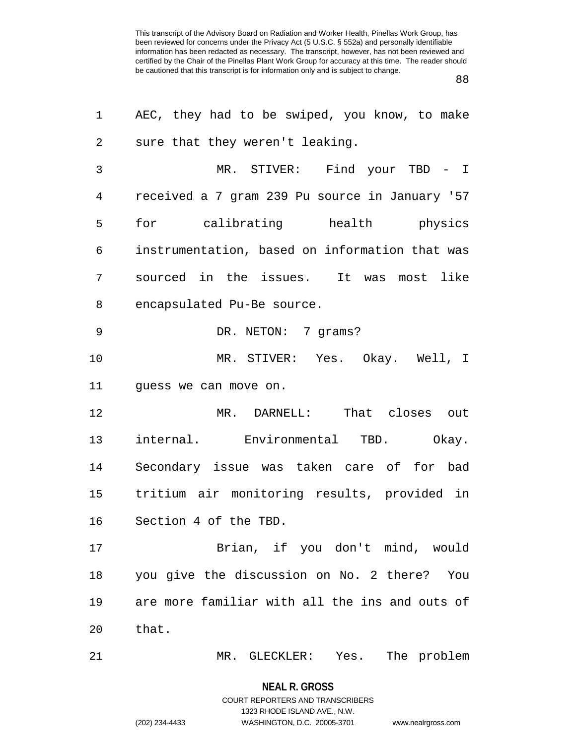88

| 1  | AEC, they had to be swiped, you know, to make  |
|----|------------------------------------------------|
| 2  | sure that they weren't leaking.                |
| 3  | MR. STIVER: Find your TBD - I                  |
| 4  | received a 7 gram 239 Pu source in January '57 |
| 5  | for calibrating health physics                 |
| 6  | instrumentation, based on information that was |
| 7  | sourced in the issues. It was most like        |
| 8  | encapsulated Pu-Be source.                     |
| 9  | DR. NETON: 7 grams?                            |
| 10 | MR. STIVER: Yes. Okay. Well, I                 |
| 11 | guess we can move on.                          |
| 12 | MR. DARNELL: That closes out                   |
| 13 | internal. Environmental TBD. Okay.             |
| 14 | Secondary issue was taken care of for bad      |
| 15 | tritium air monitoring results, provided in    |
| 16 | Section 4 of the TBD.                          |
| 17 | Brian, if you don't mind, would                |
| 18 | you give the discussion on No. 2 there?<br>You |
| 19 | are more familiar with all the ins and outs of |
| 20 | that.                                          |
| 21 | The problem<br>MR. GLECKLER:<br>Yes.           |

**NEAL R. GROSS** COURT REPORTERS AND TRANSCRIBERS

1323 RHODE ISLAND AVE., N.W.

(202) 234-4433 WASHINGTON, D.C. 20005-3701 www.nealrgross.com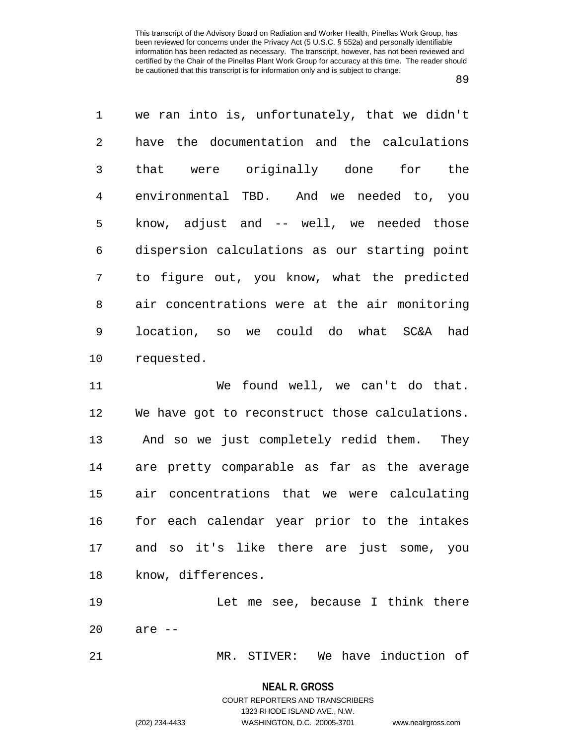| $\mathbf 1$ | we ran into is, unfortunately, that we didn't |
|-------------|-----------------------------------------------|
| 2           | have the documentation and the calculations   |
| 3           | that were originally done for<br>the          |
| 4           | environmental TBD. And we needed to, you      |
| 5           | know, adjust and -- well, we needed those     |
| 6           | dispersion calculations as our starting point |
| 7           | to figure out, you know, what the predicted   |
| 8           | air concentrations were at the air monitoring |
| 9           | location, so we could do what SC&A had        |
| 10          | requested.                                    |

11 We found well, we can't do that. 12 We have got to reconstruct those calculations. 13 And so we just completely redid them. They 14 are pretty comparable as far as the average 15 air concentrations that we were calculating 16 for each calendar year prior to the intakes 17 and so it's like there are just some, you 18 know, differences.

19 Let me see, because I think there 20 are --

21 MR. STIVER: We have induction of

**NEAL R. GROSS** COURT REPORTERS AND TRANSCRIBERS

1323 RHODE ISLAND AVE., N.W.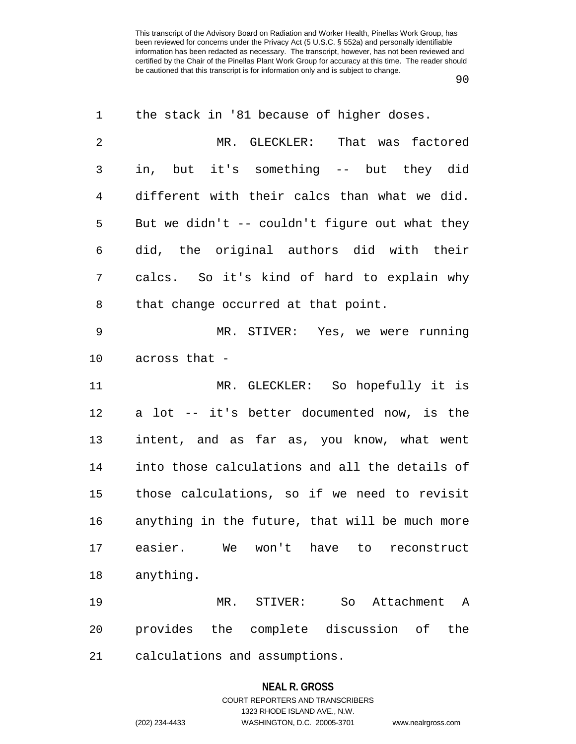| 1              | the stack in '81 because of higher doses.      |
|----------------|------------------------------------------------|
| $\overline{2}$ | MR. GLECKLER: That was factored                |
| 3              | in, but it's something -- but they did         |
| $\overline{4}$ | different with their calcs than what we did.   |
| 5              | But we didn't -- couldn't figure out what they |
| 6              | did, the original authors did with their       |
| 7              | calcs. So it's kind of hard to explain why     |
| 8              | that change occurred at that point.            |
| 9              | MR. STIVER: Yes, we were running               |
| 10             | across that -                                  |
| 11             | MR. GLECKLER: So hopefully it is               |
| 12             | a lot -- it's better documented now, is the    |
| 13             | intent, and as far as, you know, what went     |
| 14             | into those calculations and all the details of |
| 15             | those calculations, so if we need to revisit   |
| 16             | anything in the future, that will be much more |
| 17             | easier.<br>We won't have<br>to<br>reconstruct  |
| 18             | anything.                                      |
| 19             | So<br>Attachment<br>MR.<br>STIVER:<br>A        |
| 20             | provides the complete discussion of<br>the     |
| 21             | calculations and assumptions.                  |

## **NEAL R. GROSS**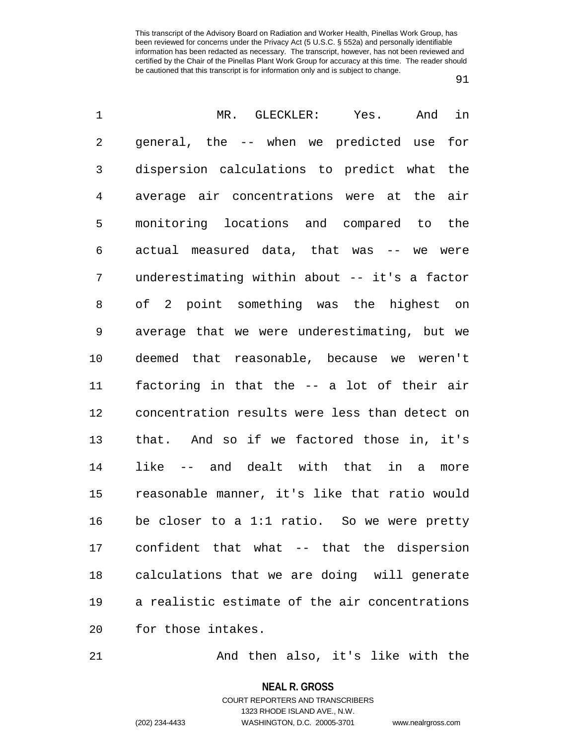91

| 1  | MR. GLECKLER: Yes.<br>And<br>in                |
|----|------------------------------------------------|
| 2  | general, the -- when we predicted use<br>for   |
| 3  | dispersion calculations to predict what the    |
| 4  | average air concentrations were at the air     |
| 5  | monitoring locations and compared to the       |
| 6  | actual measured data, that was -- we were      |
| 7  | underestimating within about -- it's a factor  |
| 8  | of 2 point something was the highest on        |
| 9  | average that we were underestimating, but we   |
| 10 | deemed that reasonable, because we weren't     |
| 11 | factoring in that the -- a lot of their air    |
| 12 | concentration results were less than detect on |
| 13 | that. And so if we factored those in, it's     |
| 14 | like -- and dealt with that in a<br>more       |
| 15 | reasonable manner, it's like that ratio would  |
| 16 | be closer to a 1:1 ratio. So we were pretty    |
| 17 | confident that what -- that the dispersion     |
| 18 | calculations that we are doing will generate   |
| 19 | a realistic estimate of the air concentrations |
| 20 | for those intakes.                             |
|    |                                                |

21 And then also, it's like with the

**NEAL R. GROSS**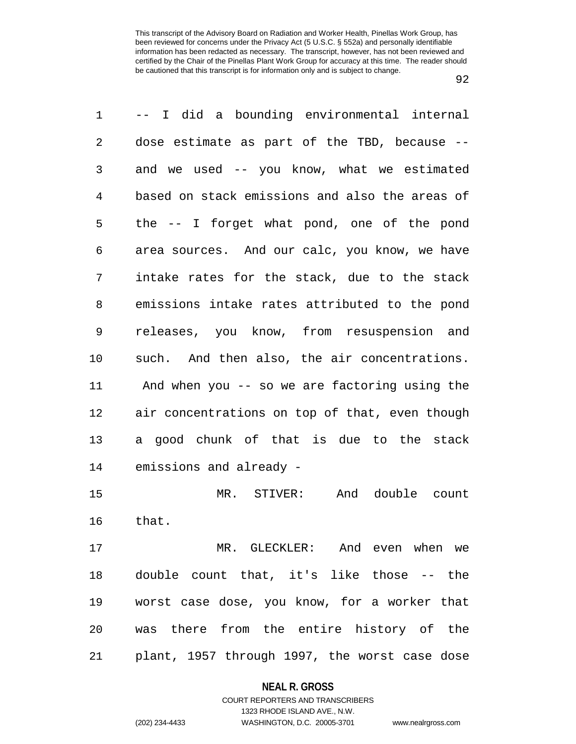| 1  | -- I did a bounding environmental internal     |
|----|------------------------------------------------|
| 2  | dose estimate as part of the TBD, because --   |
| 3  | and we used -- you know, what we estimated     |
| 4  | based on stack emissions and also the areas of |
| 5  | the -- I forget what pond, one of the pond     |
| 6  | area sources. And our calc, you know, we have  |
| 7  | intake rates for the stack, due to the stack   |
| 8  | emissions intake rates attributed to the pond  |
| 9  | releases, you know, from resuspension and      |
| 10 | such. And then also, the air concentrations.   |
| 11 | And when you -- so we are factoring using the  |
| 12 | air concentrations on top of that, even though |
| 13 | a good chunk of that is due to the stack       |
| 14 | emissions and already -                        |
| 15 | And double count<br>MR. STIVER:                |
| 16 | that.                                          |
| 17 | MR. GLECKLER: And even when we                 |
| 18 | double count that, it's like those -- the      |
| 19 | worst case dose, you know, for a worker that   |
| 20 | was there from the entire history of the       |
| 21 | plant, 1957 through 1997, the worst case dose  |

#### **NEAL R. GROSS**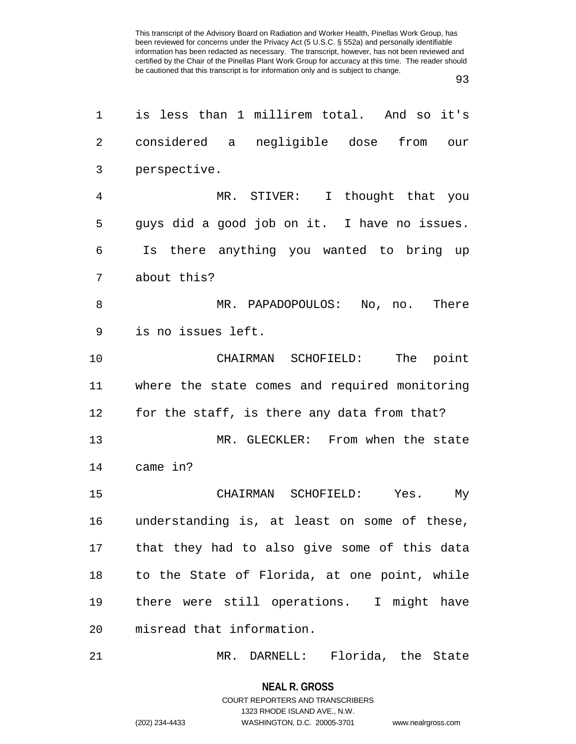93

| 1              | is less than 1 millirem total. And so it's    |
|----------------|-----------------------------------------------|
| $\overline{2}$ | considered a negligible dose<br>from our      |
| 3              | perspective.                                  |
| $\overline{4}$ | MR. STIVER: I thought that you                |
| 5              | guys did a good job on it. I have no issues.  |
| 6              | Is there anything you wanted to bring up      |
| 7              | about this?                                   |
| 8              | MR. PAPADOPOULOS: No, no. There               |
| 9              | is no issues left.                            |
| 10             | CHAIRMAN SCHOFIELD:<br>The point              |
| 11             | where the state comes and required monitoring |
| 12             | for the staff, is there any data from that?   |
| 13             | MR. GLECKLER: From when the state             |
| 14             | came in?                                      |
| 15             | CHAIRMAN SCHOFIELD: Yes. My                   |
| 16             | understanding is, at least on some of these,  |
| 17             | that they had to also give some of this data  |
| 18             | to the State of Florida, at one point, while  |
| 19             | there were still operations. I might have     |
| 20             | misread that information.                     |
| 21             | MR. DARNELL: Florida, the State               |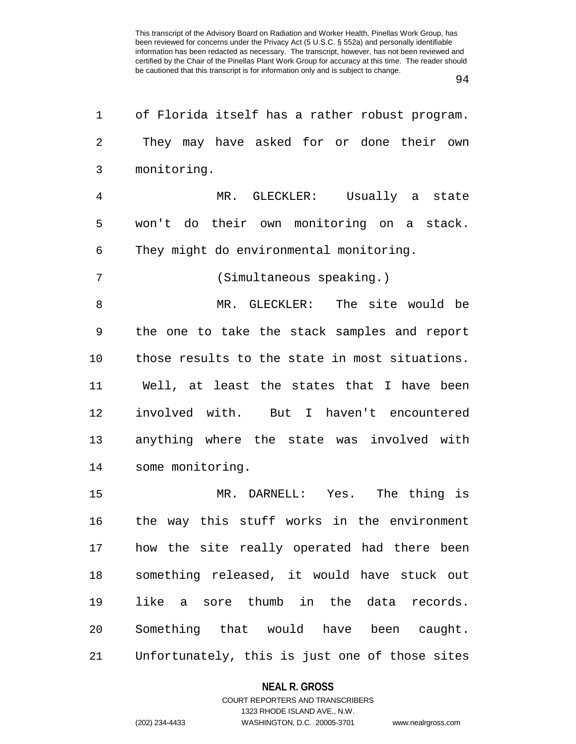94

| 1              | of Florida itself has a rather robust program. |
|----------------|------------------------------------------------|
| 2              | They may have asked for or done their own      |
| 3              | monitoring.                                    |
| $\overline{4}$ | MR. GLECKLER: Usually a state                  |
| 5              | won't do their own monitoring on a stack.      |
| 6              | They might do environmental monitoring.        |
| 7              | (Simultaneous speaking.)                       |
| 8              | MR. GLECKLER: The site would be                |
| 9              | the one to take the stack samples and report   |
| 10             | those results to the state in most situations. |
| 11             | Well, at least the states that I have been     |
| 12             | involved with. But I haven't encountered       |
| 13             | anything where the state was involved with     |
| 14             | some monitoring.                               |
| 15             | MR. DARNELL: Yes. The thing is                 |
| 16             | the way this stuff works in the environment    |
| 17             | how the site really operated had there been    |
| 18             | something released, it would have stuck out    |
| 19             | like a sore thumb in the data records.         |
| 20             | Something that would have been caught.         |
| 21             | Unfortunately, this is just one of those sites |

## **NEAL R. GROSS**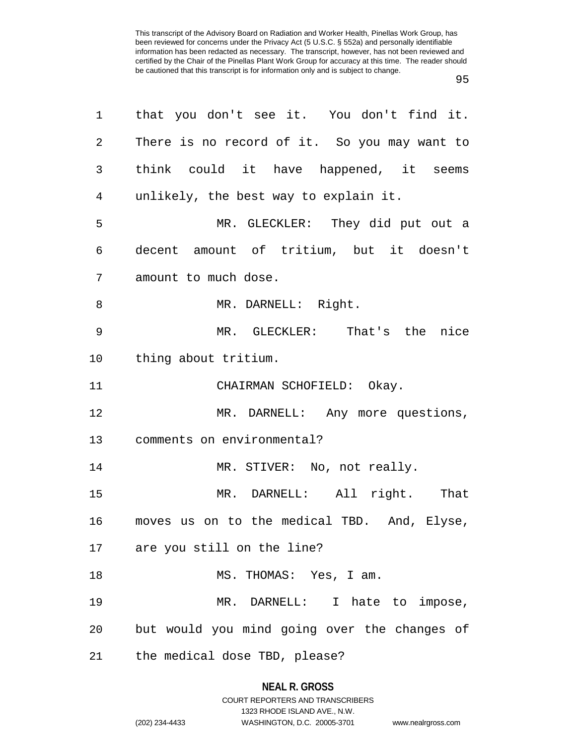| 1               | that you don't see it. You don't find it.    |
|-----------------|----------------------------------------------|
| $\overline{2}$  | There is no record of it. So you may want to |
| 3               | think could it have happened, it seems       |
| $\overline{4}$  | unlikely, the best way to explain it.        |
| 5               | MR. GLECKLER: They did put out a             |
| 6               | decent amount of tritium, but it doesn't     |
| 7               | amount to much dose.                         |
| 8               | MR. DARNELL: Right.                          |
| 9               | MR. GLECKLER: That's the nice                |
| 10 <sub>o</sub> | thing about tritium.                         |
| 11              | CHAIRMAN SCHOFIELD: Okay.                    |
| 12              | MR. DARNELL: Any more questions,             |
| 13              | comments on environmental?                   |
| 14              | MR. STIVER: No, not really.                  |
| 15              | MR. DARNELL: All right. That                 |
| 16              | moves us on to the medical TBD. And, Elyse,  |
|                 | 17 are you still on the line?                |
| 18              | MS. THOMAS: Yes, I am.                       |
| 19              | MR. DARNELL: I hate to impose,               |
| 20              | but would you mind going over the changes of |
| 21              | the medical dose TBD, please?                |

## **NEAL R. GROSS**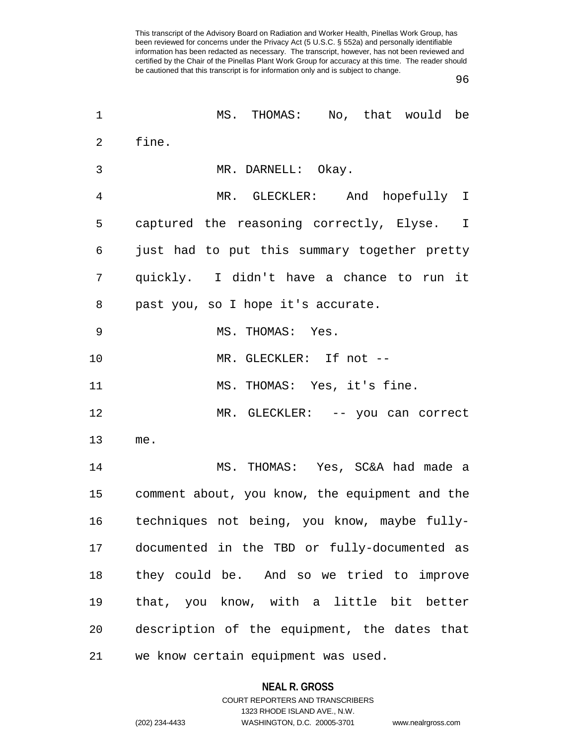96

| 1              | MS. THOMAS: No, that would be                  |
|----------------|------------------------------------------------|
| $\overline{2}$ | fine.                                          |
| 3              | MR. DARNELL: Okay.                             |
| $\overline{4}$ | MR. GLECKLER: And hopefully I                  |
| 5              | captured the reasoning correctly, Elyse. I     |
| 6              | just had to put this summary together pretty   |
| 7              | quickly. I didn't have a chance to run it      |
| 8              | past you, so I hope it's accurate.             |
| 9              | MS. THOMAS: Yes.                               |
| 10             | MR. GLECKLER: If not --                        |
| 11             | MS. THOMAS: Yes, it's fine.                    |
| 12             | MR. GLECKLER: -- you can correct               |
| 13             | me.                                            |
| 14             | MS. THOMAS: Yes, SC&A had made a               |
| 15             | comment about, you know, the equipment and the |
| 16             | techniques not being, you know, maybe fully-   |
| 17             | documented in the TBD or fully-documented as   |
| 18             | they could be. And so we tried to improve      |
| 19             | that, you know, with a little bit better       |
| 20             | description of the equipment, the dates that   |
| 21             | we know certain equipment was used.            |

## **NEAL R. GROSS**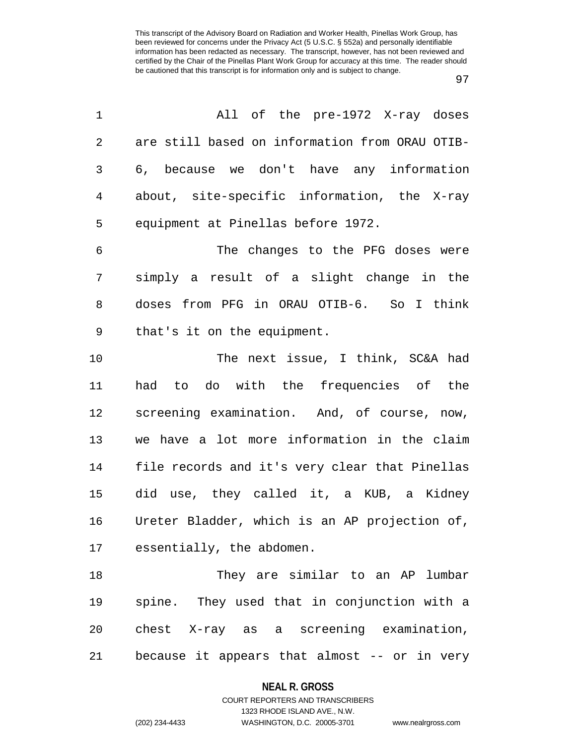| 1              | All of the pre-1972 X-ray doses                |
|----------------|------------------------------------------------|
| $\overline{2}$ | are still based on information from ORAU OTIB- |
| 3              | 6, because we don't have any information       |
| $\overline{4}$ | about, site-specific information, the X-ray    |
| 5              | equipment at Pinellas before 1972.             |
| 6              | The changes to the PFG doses were              |
| 7              | simply a result of a slight change in the      |
| 8              | doses from PFG in ORAU OTIB-6. So I think      |
| $\mathsf 9$    | that's it on the equipment.                    |
| 10             | The next issue, I think, SC&A had              |
| 11             | had to do with the frequencies of the          |
| 12             | screening examination. And, of course, now,    |
| 13             | we have a lot more information in the claim    |
| 14             | file records and it's very clear that Pinellas |
| 15             | did use, they called it, a KUB, a Kidney       |
| 16             | Ureter Bladder, which is an AP projection of,  |
|                | 17 essentially, the abdomen.                   |
| 18             | They are similar to an AP lumbar               |
| 19             | spine. They used that in conjunction with a    |
| 20             | chest X-ray as a screening examination,        |
| 21             | because it appears that almost -- or in very   |

## **NEAL R. GROSS**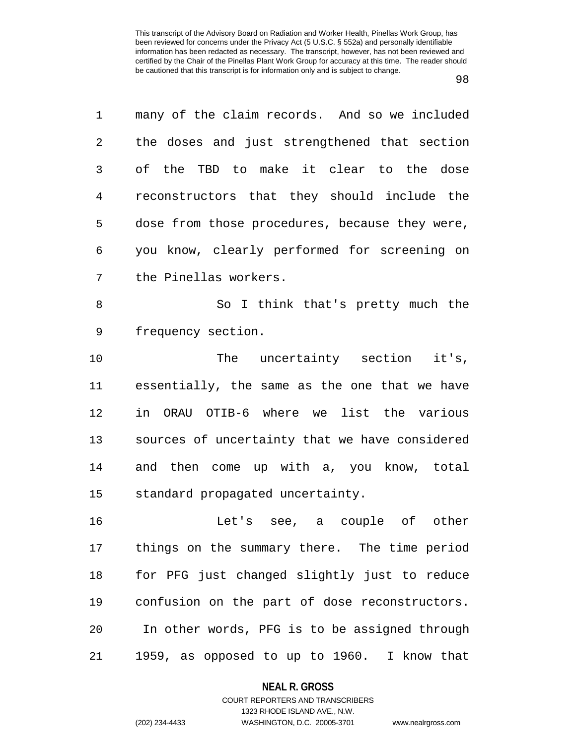98

1 many of the claim records. And so we included 2 the doses and just strengthened that section 3 of the TBD to make it clear to the dose 4 reconstructors that they should include the 5 dose from those procedures, because they were, 6 you know, clearly performed for screening on 7 the Pinellas workers. 8 So I think that's pretty much the 9 frequency section. 10 The uncertainty section it's, 11 essentially, the same as the one that we have 12 in ORAU OTIB-6 where we list the various 13 sources of uncertainty that we have considered 14 and then come up with a, you know, total 15 standard propagated uncertainty. 16 Let's see, a couple of other 17 things on the summary there. The time period 18 for PFG just changed slightly just to reduce 19 confusion on the part of dose reconstructors. 20 In other words, PFG is to be assigned through 21 1959, as opposed to up to 1960. I know that

#### **NEAL R. GROSS**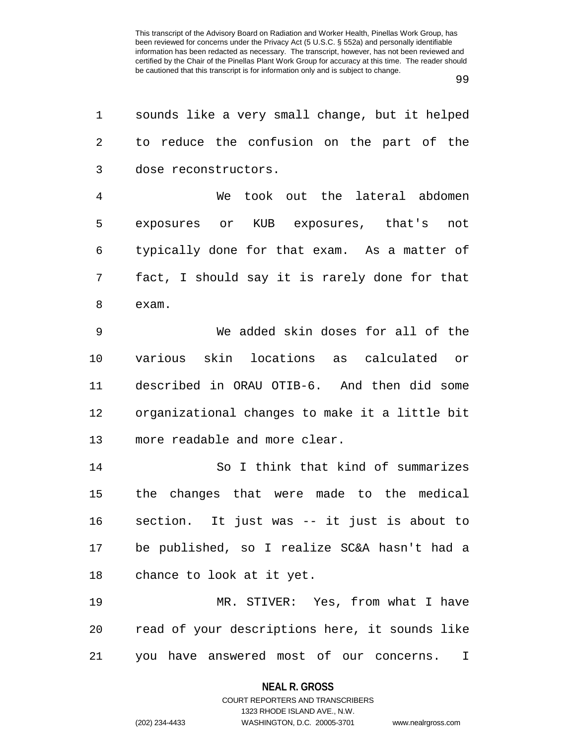99

| 1  | sounds like a very small change, but it helped |
|----|------------------------------------------------|
| 2  | to reduce the confusion on the part of the     |
| 3  | dose reconstructors.                           |
| 4  | We took out the lateral abdomen                |
| 5  | exposures or KUB exposures, that's not         |
| 6  | typically done for that exam. As a matter of   |
| 7  | fact, I should say it is rarely done for that  |
| 8  | exam.                                          |
| 9  | We added skin doses for all of the             |
| 10 | various skin locations as calculated or        |
| 11 | described in ORAU OTIB-6. And then did some    |
| 12 | organizational changes to make it a little bit |
| 13 | more readable and more clear.                  |
| 14 | So I think that kind of summarizes             |
| 15 | the changes that were made to the medical      |
| 16 | section. It just was -- it just is about to    |
| 17 | be published, so I realize SC&A hasn't had a   |
| 18 | chance to look at it yet.                      |
| 19 | MR. STIVER: Yes, from what I have              |
| 20 | read of your descriptions here, it sounds like |
| 21 | you have answered most of our concerns.<br>I   |

**NEAL R. GROSS**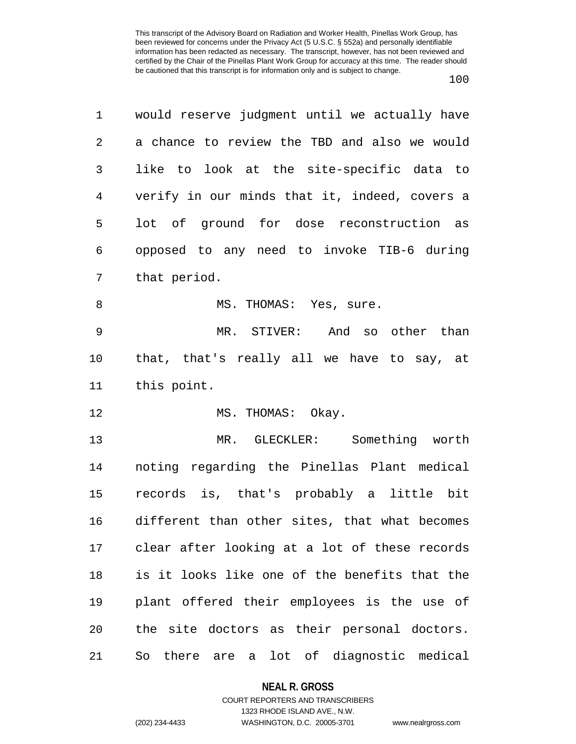| 1  | would reserve judgment until we actually have |
|----|-----------------------------------------------|
| 2  | a chance to review the TBD and also we would  |
| 3  | like to look at the site-specific data to     |
| 4  | verify in our minds that it, indeed, covers a |
| 5  | lot of ground for dose reconstruction as      |
| 6  | opposed to any need to invoke TIB-6 during    |
| 7  | that period.                                  |
| 8  | MS. THOMAS: Yes, sure.                        |
| 9  | MR. STIVER: And so other than                 |
| 10 | that, that's really all we have to say, at    |
| 11 | this point.                                   |
| 12 | MS. THOMAS: Okay.                             |
| 13 | MR. GLECKLER: Something worth                 |
| 14 | noting regarding the Pinellas Plant medical   |
| 15 | records is, that's probably a little bit      |
| 16 | different than other sites, that what becomes |
| 17 | clear after looking at a lot of these records |
| 18 | is it looks like one of the benefits that the |
| 19 | plant offered their employees is the use of   |
| 20 | the site doctors as their personal doctors.   |
| 21 | there are a lot of diagnostic medical<br>So   |

**NEAL R. GROSS**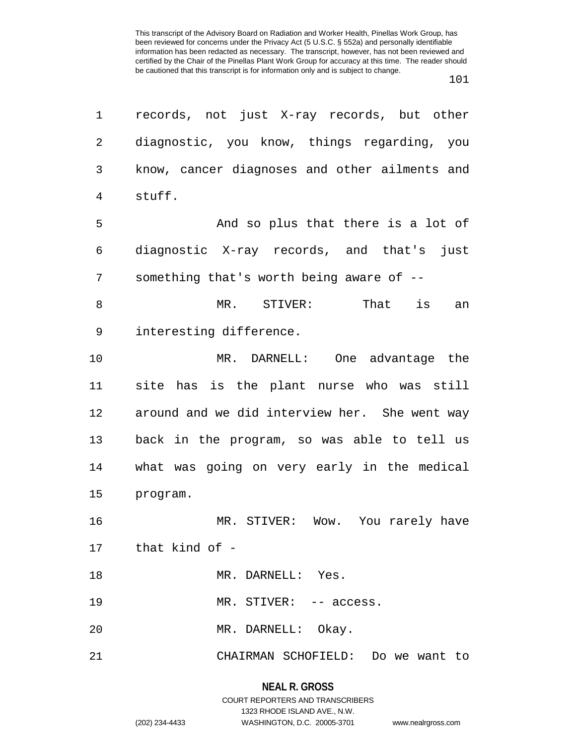| 1           | records, not just X-ray records, but other      |
|-------------|-------------------------------------------------|
| 2           | diagnostic, you know, things regarding, you     |
| 3           | know, cancer diagnoses and other ailments and   |
| 4<br>stuff. |                                                 |
| 5           | And so plus that there is a lot of              |
| 6           | diagnostic X-ray records, and that's just       |
| 7           | something that's worth being aware of --        |
| 8           | STIVER:            That      is<br>$MR$ .<br>an |
| 9           | interesting difference.                         |
| 10          | MR. DARNELL: One advantage the                  |
| 11          | site has is the plant nurse who was still       |
| 12          | around and we did interview her. She went way   |
| 13          | back in the program, so was able to tell us     |
| 14          | what was going on very early in the medical     |
| 15          | program.                                        |
| 16          | MR. STIVER: Wow. You rarely have                |
|             | 17 that kind of -                               |
| 18          | MR. DARNELL: Yes.                               |
| 19          | MR. STIVER: -- access.                          |
| 20          | MR. DARNELL: Okay.                              |
| 21          | CHAIRMAN SCHOFIELD: Do we want to               |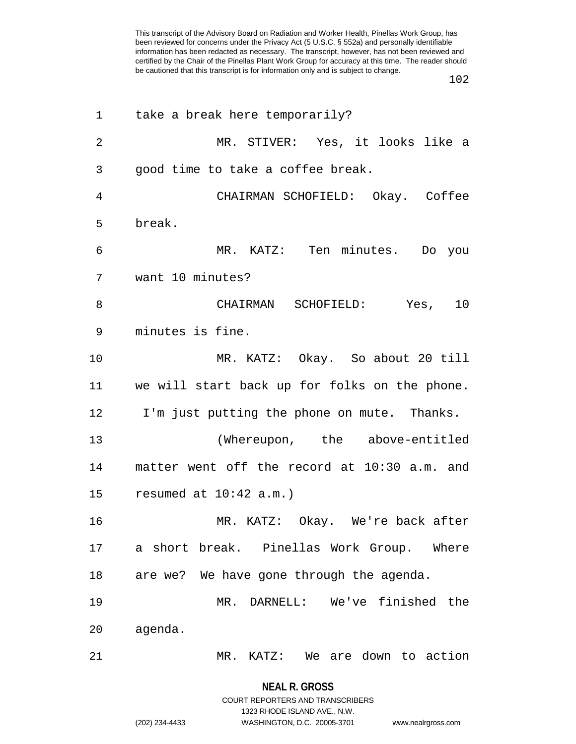102

| 1              | take a break here temporarily?                |
|----------------|-----------------------------------------------|
| $\overline{2}$ | MR. STIVER: Yes, it looks like a              |
| 3              | good time to take a coffee break.             |
| 4              | CHAIRMAN SCHOFIELD: Okay. Coffee              |
| 5              | break.                                        |
| 6              | MR. KATZ: Ten minutes. Do you                 |
| 7              | want 10 minutes?                              |
| 8              | CHAIRMAN SCHOFIELD: Yes, 10                   |
| 9              | minutes is fine.                              |
| 10             | MR. KATZ: Okay. So about 20 till              |
| 11             | we will start back up for folks on the phone. |
| 12             | I'm just putting the phone on mute. Thanks.   |
| 13             | (Whereupon, the above-entitled                |
| 14             | matter went off the record at 10:30 a.m. and  |
| 15             | resumed at $10:42$ a.m.)                      |
| 16             | MR. KATZ: Okay. We're back after              |
| 17             | a short break. Pinellas Work Group. Where     |
| 18             | are we? We have gone through the agenda.      |
| 19             | MR. DARNELL: We've finished the               |
| 20             | agenda.                                       |
| 21             | MR. KATZ: We are down to action               |

**NEAL R. GROSS** COURT REPORTERS AND TRANSCRIBERS

1323 RHODE ISLAND AVE., N.W.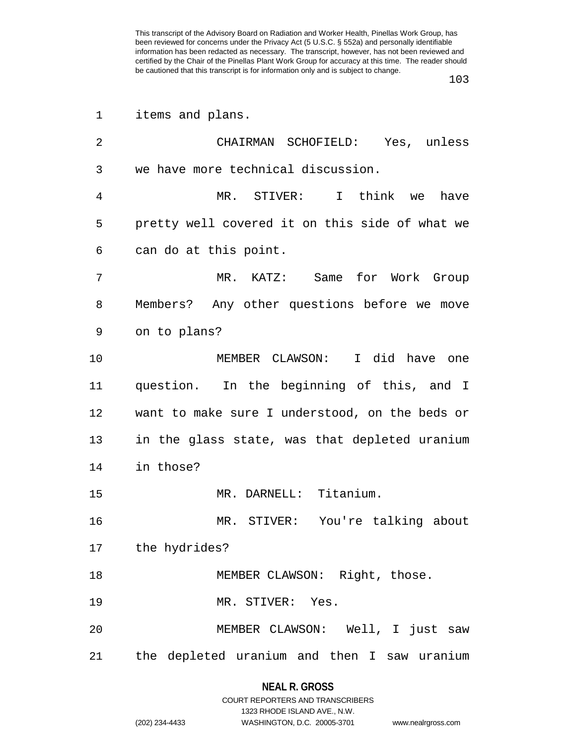103

| 1  | items and plans.                               |
|----|------------------------------------------------|
| 2  | CHAIRMAN SCHOFIELD: Yes, unless                |
| 3  | we have more technical discussion.             |
| 4  | MR. STIVER: I think we<br>have                 |
| 5  | pretty well covered it on this side of what we |
| 6  | can do at this point.                          |
| 7  | MR. KATZ: Same for Work Group                  |
| 8  | Members? Any other questions before we move    |
| 9  | on to plans?                                   |
| 10 | MEMBER CLAWSON: I did have one                 |
| 11 | question. In the beginning of this, and I      |
| 12 | want to make sure I understood, on the beds or |
| 13 | in the glass state, was that depleted uranium  |
| 14 | in those?                                      |
| 15 | MR. DARNELL: Titanium.                         |
| 16 | MR. STIVER: You're talking about               |
|    | 17 the hydrides?                               |
| 18 | MEMBER CLAWSON: Right, those.                  |
| 19 | MR. STIVER: Yes.                               |
| 20 | MEMBER CLAWSON: Well, I just saw               |
| 21 | the depleted uranium and then I saw uranium    |

**NEAL R. GROSS** COURT REPORTERS AND TRANSCRIBERS 1323 RHODE ISLAND AVE., N.W.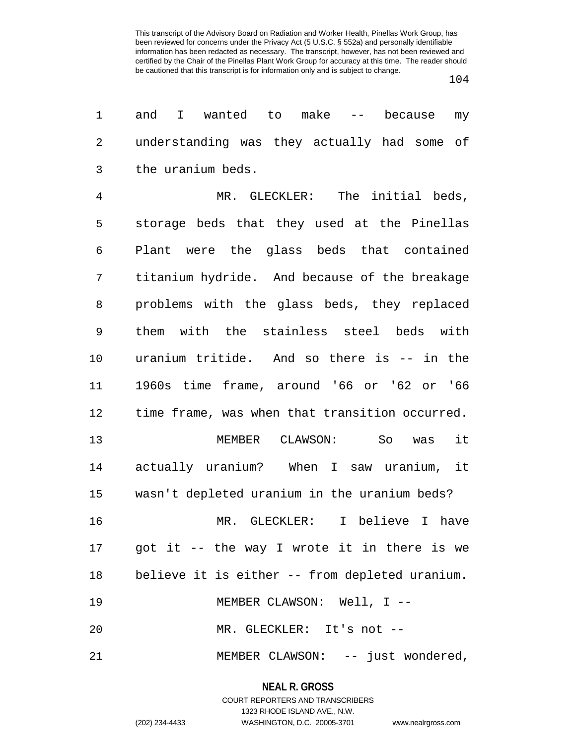104

| 1              | and<br>I.<br>wanted to make<br>$\alpha \rightarrow -\alpha$<br>because<br>my |
|----------------|------------------------------------------------------------------------------|
| $\overline{2}$ | understanding was they actually had some of                                  |
| 3              | the uranium beds.                                                            |
| $\overline{4}$ | MR. GLECKLER: The initial beds,                                              |
| 5              | storage beds that they used at the Pinellas                                  |
| 6              | Plant were the glass beds that contained                                     |
| 7              | titanium hydride. And because of the breakage                                |
| 8              | problems with the glass beds, they replaced                                  |
| 9              | them with the stainless steel beds with                                      |
| 10             | uranium tritide. And so there is -- in the                                   |
| 11             | 1960s time frame, around '66 or '62 or '66                                   |
| 12             | time frame, was when that transition occurred.                               |
| 13             | it<br>MEMBER<br>CLAWSON:<br>So<br>was                                        |
| 14             | actually uranium? When I saw uranium, it                                     |
| 15             | wasn't depleted uranium in the uranium beds?                                 |
| 16             | MR.<br>GLECKLER:<br>I believe I<br>have                                      |
|                | 17 got it -- the way I wrote it in there is we                               |
| 18             | believe it is either -- from depleted uranium.                               |
| 19             | MEMBER CLAWSON: Well, I --                                                   |
| 20             | MR. GLECKLER: It's not --                                                    |
| 21             | MEMBER CLAWSON: -- just wondered,                                            |

**NEAL R. GROSS** COURT REPORTERS AND TRANSCRIBERS

1323 RHODE ISLAND AVE., N.W.

(202) 234-4433 WASHINGTON, D.C. 20005-3701 www.nealrgross.com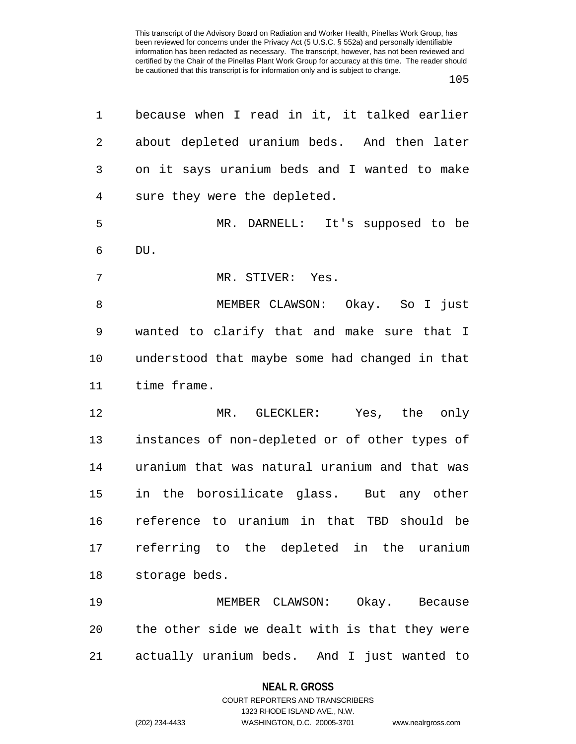| 1           | because when I read in it, it talked earlier   |
|-------------|------------------------------------------------|
| 2           | about depleted uranium beds. And then later    |
| 3           | on it says uranium beds and I wanted to make   |
| 4           | sure they were the depleted.                   |
| 5           | MR. DARNELL: It's supposed to be               |
| 6           | DU.                                            |
| 7           | MR. STIVER: Yes.                               |
| 8           | MEMBER CLAWSON: Okay. So I just                |
| $\mathsf 9$ | wanted to clarify that and make sure that I    |
| 10          | understood that maybe some had changed in that |
| 11          | time frame.                                    |
| 12          | MR. GLECKLER: Yes, the only                    |
| 13          | instances of non-depleted or of other types of |
| 14          | uranium that was natural uranium and that was  |
| 15          | in the borosilicate glass. But any other       |
| 16          | reference to uranium in that TBD should be     |
|             | 17 referring to the depleted in the uranium    |
| 18          | storage beds.                                  |
| 19          | MEMBER CLAWSON: Okay. Because                  |
| 20          | the other side we dealt with is that they were |
| 21          | actually uranium beds. And I just wanted to    |

#### **NEAL R. GROSS**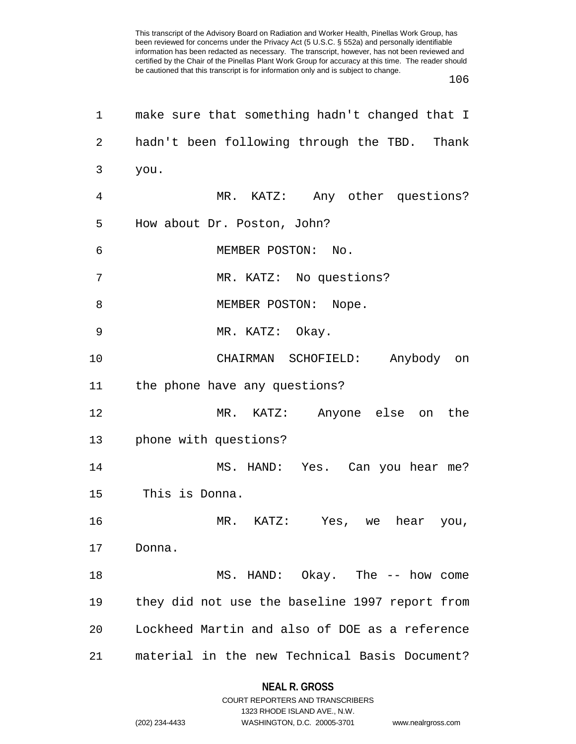106

| 1  | make sure that something hadn't changed that I |
|----|------------------------------------------------|
| 2  | hadn't been following through the TBD. Thank   |
| 3  | you.                                           |
| 4  | MR. KATZ: Any other questions?                 |
| 5  | How about Dr. Poston, John?                    |
| 6  | MEMBER POSTON: No.                             |
| 7  | MR. KATZ: No questions?                        |
| 8  | MEMBER POSTON: Nope.                           |
| 9  | MR. KATZ: Okay.                                |
| 10 | CHAIRMAN SCHOFIELD: Anybody on                 |
| 11 | the phone have any questions?                  |
| 12 | MR. KATZ:<br>Anyone else<br>the<br>on          |
| 13 | phone with questions?                          |
| 14 | MS. HAND: Yes. Can you hear me?                |
| 15 | This is Donna.                                 |
| 16 | MR. KATZ: Yes, we hear you,                    |
| 17 | Donna.                                         |
| 18 | MS. HAND: Okay. The -- how come                |
| 19 | they did not use the baseline 1997 report from |
| 20 | Lockheed Martin and also of DOE as a reference |
| 21 | material in the new Technical Basis Document?  |

# **NEAL R. GROSS** COURT REPORTERS AND TRANSCRIBERS

1323 RHODE ISLAND AVE., N.W. (202) 234-4433 WASHINGTON, D.C. 20005-3701 www.nealrgross.com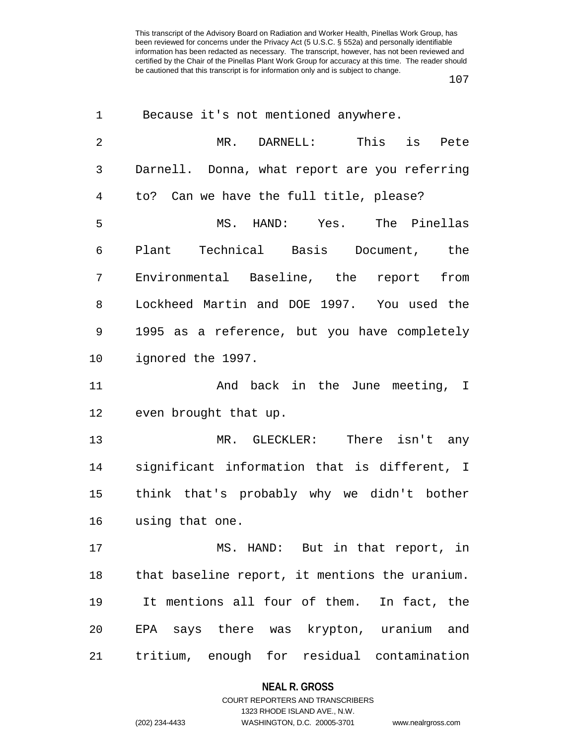| 1  | Because it's not mentioned anywhere.           |
|----|------------------------------------------------|
| 2  | MR. DARNELL: This is<br>Pete                   |
| 3  | Darnell. Donna, what report are you referring  |
| 4  | to? Can we have the full title, please?        |
| 5  | MS. HAND: Yes. The Pinellas                    |
| 6  | Plant Technical Basis Document, the            |
| 7  | Environmental Baseline, the report<br>from     |
| 8  | Lockheed Martin and DOE 1997. You used the     |
| 9  | 1995 as a reference, but you have completely   |
| 10 | ignored the 1997.                              |
| 11 | And back in the June meeting, I                |
| 12 | even brought that up.                          |
| 13 | MR. GLECKLER: There isn't any                  |
| 14 | significant information that is different, I   |
| 15 | think that's probably why we didn't bother     |
| 16 | using that one.                                |
| 17 | MS. HAND: But in that report, in               |
| 18 | that baseline report, it mentions the uranium. |
| 19 | It mentions all four of them. In fact, the     |
| 20 | EPA says there was krypton, uranium and        |
| 21 | tritium, enough for residual contamination     |

## **NEAL R. GROSS**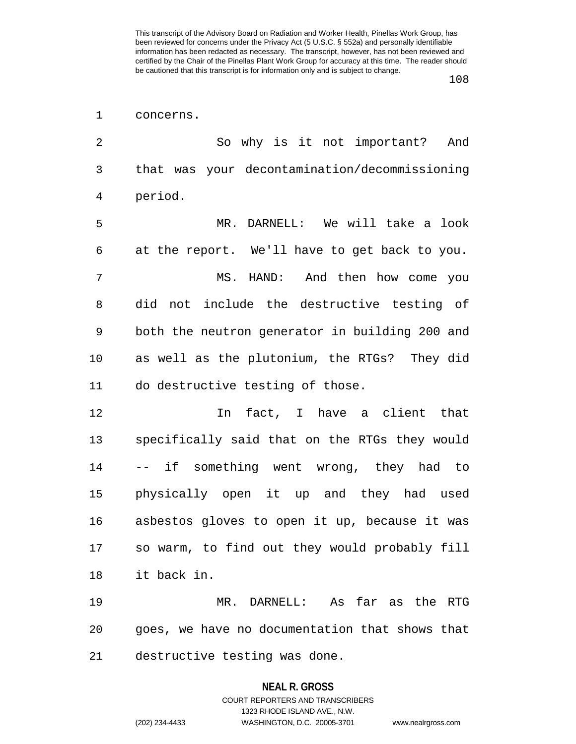108

| 1  | concerns.                                      |
|----|------------------------------------------------|
| 2  | So why is it not important? And                |
| 3  | that was your decontamination/decommissioning  |
| 4  | period.                                        |
| 5  | MR. DARNELL: We will take a look               |
| 6  | at the report. We'll have to get back to you.  |
| 7  | MS. HAND: And then how come you                |
| 8  | did not include the destructive testing of     |
| 9  | both the neutron generator in building 200 and |
| 10 | as well as the plutonium, the RTGs? They did   |
| 11 | do destructive testing of those.               |
| 12 | In fact, I have a client that                  |
| 13 | specifically said that on the RTGs they would  |
| 14 | -- if something went wrong, they had to        |
| 15 | physically open it up and they had used        |
| 16 | asbestos gloves to open it up, because it was  |
| 17 | so warm, to find out they would probably fill  |
| 18 | it back in.                                    |
| 19 | MR. DARNELL: As far as the RTG                 |
| 20 | goes, we have no documentation that shows that |
| 21 | destructive testing was done.                  |

#### **NEAL R. GROSS**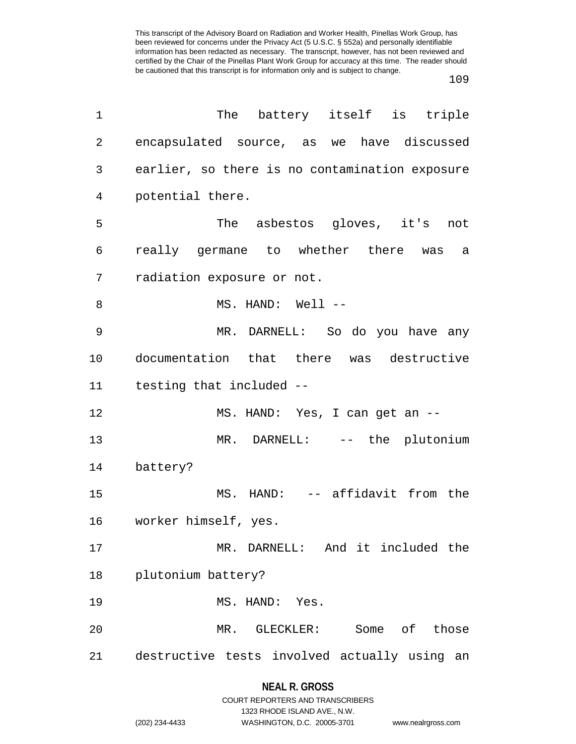| $\mathbf 1$    | The battery itself is triple                    |
|----------------|-------------------------------------------------|
| $\overline{2}$ | encapsulated source, as we have discussed       |
| 3              | earlier, so there is no contamination exposure  |
| 4              | potential there.                                |
| 5              | The asbestos gloves, it's not                   |
| 6              | really germane to whether there was<br>a        |
| 7              | radiation exposure or not.                      |
| 8              | MS. HAND: Well --                               |
| 9              | MR. DARNELL: So do you have any                 |
| 10             | documentation that there was destructive        |
| 11             | testing that included --                        |
| 12             | MS. HAND: Yes, I can get an --                  |
| 13             | MR. DARNELL: -- the plutonium                   |
| 14             | battery?                                        |
| 15             | MS. HAND: -- affidavit from the                 |
| 16             | worker himself, yes.                            |
| 17             | MR. DARNELL: And it included the                |
| 18             | plutonium battery?                              |
| 19             | MS. HAND: Yes.                                  |
| 20             | MR. GLECKLER: Some of those                     |
| 21             | destructive tests involved actually using<br>an |

## **NEAL R. GROSS**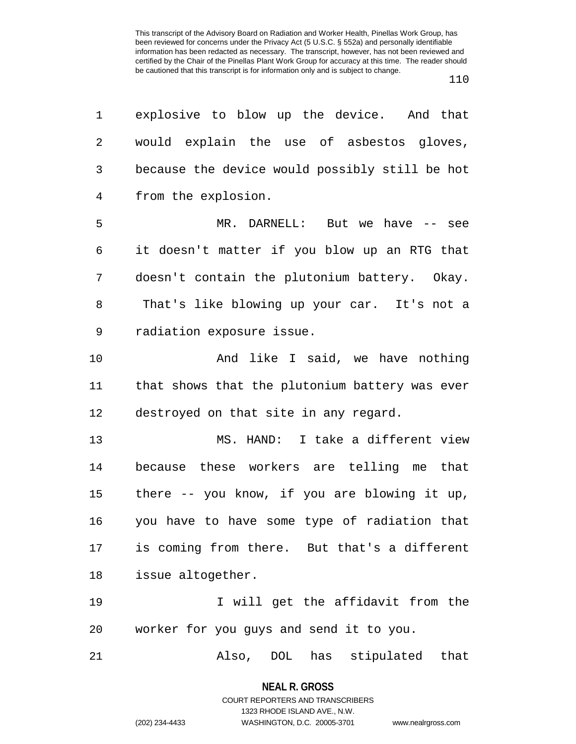1 explosive to blow up the device. And that 2 would explain the use of asbestos gloves, 3 because the device would possibly still be hot 4 from the explosion. 5 MR. DARNELL: But we have -- see 6 it doesn't matter if you blow up an RTG that 7 doesn't contain the plutonium battery. Okay. 8 That's like blowing up your car. It's not a 9 radiation exposure issue. 10 And like I said, we have nothing 11 that shows that the plutonium battery was ever 12 destroyed on that site in any regard. 13 MS. HAND: I take a different view 14 because these workers are telling me that 15 there -- you know, if you are blowing it up, 16 you have to have some type of radiation that 17 is coming from there. But that's a different 18 issue altogether. 19 19 I will get the affidavit from the 20 worker for you guys and send it to you. 21 Also, DOL has stipulated that

> **NEAL R. GROSS** COURT REPORTERS AND TRANSCRIBERS

1323 RHODE ISLAND AVE., N.W. (202) 234-4433 WASHINGTON, D.C. 20005-3701 www.nealrgross.com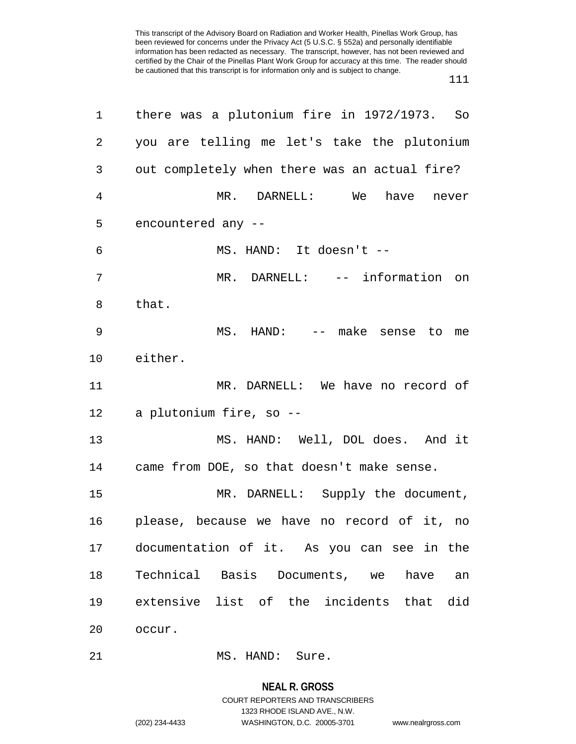111

| 1              | there was a plutonium fire in 1972/1973. So   |
|----------------|-----------------------------------------------|
| $\overline{2}$ | you are telling me let's take the plutonium   |
| 3              | out completely when there was an actual fire? |
| $\overline{4}$ | MR. DARNELL: We<br>have<br>never              |
| 5              | encountered any --                            |
| 6              | MS. HAND: It doesn't --                       |
| 7              | MR. DARNELL: -- information on                |
| 8              | that.                                         |
| 9              | MS. HAND: -- make sense to<br>me              |
| 10             | either.                                       |
| 11             | MR. DARNELL: We have no record of             |
| 12             | a plutonium fire, so --                       |
| 13             | MS. HAND: Well, DOL does. And it              |
| 14             | came from DOE, so that doesn't make sense.    |
| 15             | MR. DARNELL: Supply the document,             |
| 16             | please, because we have no record of it, no   |
| 17             | documentation of it. As you can see in the    |
| 18             | Technical Basis Documents, we<br>have<br>an   |
| 19             | extensive list of the incidents that<br>did   |
| 20             | occur.                                        |
| 21             | MS. HAND: Sure.                               |

**NEAL R. GROSS** COURT REPORTERS AND TRANSCRIBERS 1323 RHODE ISLAND AVE., N.W. (202) 234-4433 WASHINGTON, D.C. 20005-3701 www.nealrgross.com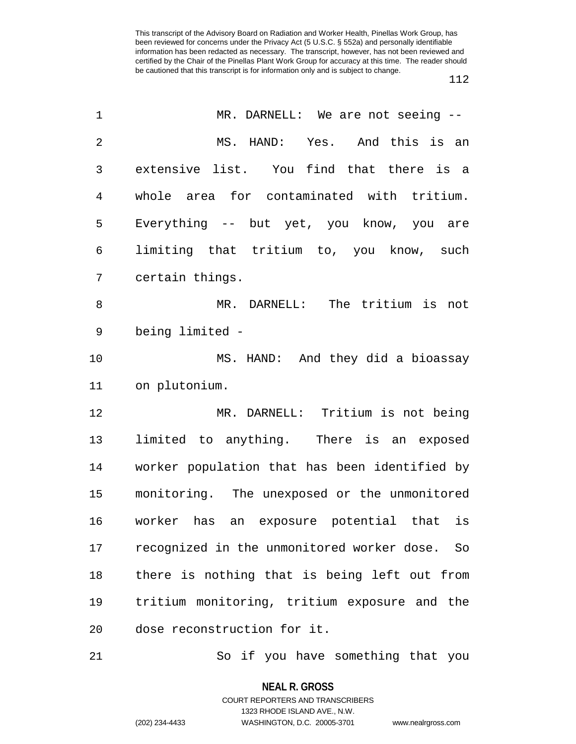| $\mathbf 1$    | MR. DARNELL: We are not seeing --             |
|----------------|-----------------------------------------------|
| $\overline{2}$ | Yes. And this is an<br>MS. HAND:              |
| 3              | extensive list. You find that there is a      |
| 4              | whole area for contaminated with tritium.     |
| 5              | Everything -- but yet, you know, you are      |
| 6              | limiting that tritium to, you know, such      |
| 7              | certain things.                               |
| 8              | MR. DARNELL: The tritium is not               |
| 9              | being limited -                               |
| 10             | MS. HAND: And they did a bioassay             |
| 11             | on plutonium.                                 |
| 12             | MR. DARNELL: Tritium is not being             |
| 13             | limited to anything. There is an exposed      |
| 14             | worker population that has been identified by |
| 15             | monitoring. The unexposed or the unmonitored  |
| 16             | worker has an exposure potential that is      |
| 17             | recognized in the unmonitored worker dose. So |
| 18             | there is nothing that is being left out from  |
| 19             | tritium monitoring, tritium exposure and the  |
| 20             | dose reconstruction for it.                   |
|                |                                               |

21 So if you have something that you

**NEAL R. GROSS** COURT REPORTERS AND TRANSCRIBERS

1323 RHODE ISLAND AVE., N.W.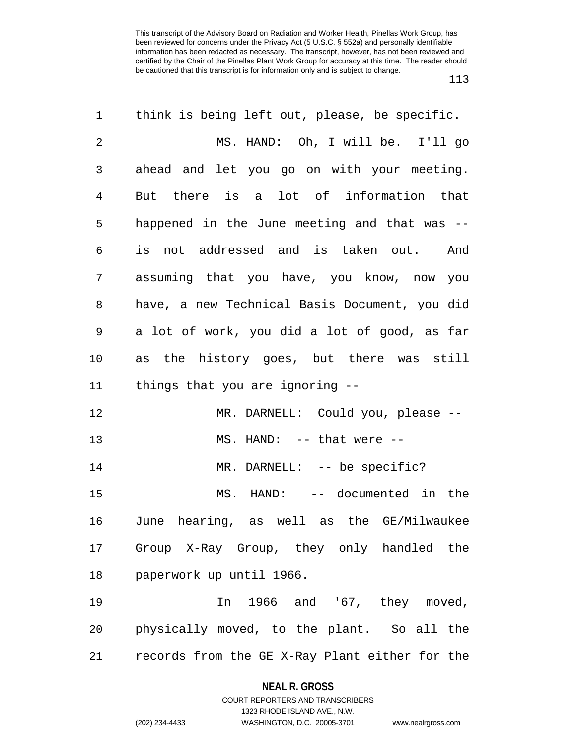| 1  | think is being left out, please, be specific.  |
|----|------------------------------------------------|
| 2  | MS. HAND: Oh, I will be. I'll go               |
| 3  | ahead and let you go on with your meeting.     |
| 4  | But there is a lot of information that         |
| 5  | happened in the June meeting and that was --   |
| 6  | is not addressed and is taken out. And         |
| 7  | assuming that you have, you know, now you      |
| 8  | have, a new Technical Basis Document, you did  |
| 9  | a lot of work, you did a lot of good, as far   |
| 10 | as the history goes, but there was still       |
| 11 | things that you are ignoring --                |
| 12 | MR. DARNELL: Could you, please --              |
| 13 | MS. HAND: -- that were --                      |
| 14 | MR. DARNELL: -- be specific?                   |
| 15 | MS. HAND: -- documented in the                 |
| 16 | June hearing, as well as the GE/Milwaukee      |
| 17 | Group X-Ray Group, they only handled the       |
| 18 | paperwork up until 1966.                       |
| 19 | In 1966 and '67, they moved,                   |
| 20 | physically moved, to the plant. So all the     |
| 21 | records from the GE X-Ray Plant either for the |

**NEAL R. GROSS** COURT REPORTERS AND TRANSCRIBERS

1323 RHODE ISLAND AVE., N.W.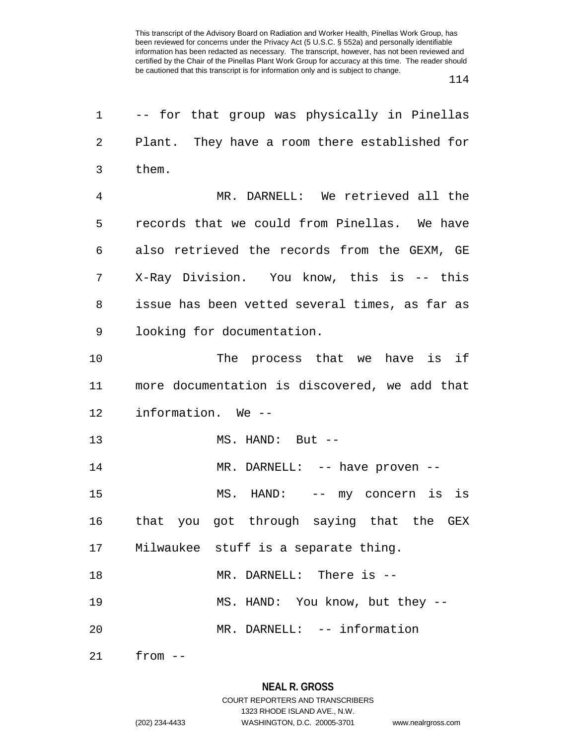| 1  | -- for that group was physically in Pinellas   |
|----|------------------------------------------------|
| 2  | Plant. They have a room there established for  |
| 3  | them.                                          |
| 4  | MR. DARNELL: We retrieved all the              |
| 5  | records that we could from Pinellas. We have   |
| 6  | also retrieved the records from the GEXM, GE   |
| 7  | X-Ray Division. You know, this is -- this      |
| 8  | issue has been vetted several times, as far as |
| 9  | looking for documentation.                     |
| 10 | The process that we have is if                 |
| 11 | more documentation is discovered, we add that  |
| 12 | information. We --                             |
| 13 | MS. HAND: But --                               |
| 14 | MR. DARNELL: -- have proven --                 |
| 15 | MS. HAND: -- my concern is is                  |
| 16 | that you got through saying that the GEX       |
|    | 17 Milwaukee stuff is a separate thing.        |
| 18 | MR. DARNELL: There is --                       |
| 19 | MS. HAND: You know, but they --                |
| 20 | MR. DARNELL: -- information                    |
|    | $21$ from $--$                                 |

**NEAL R. GROSS** COURT REPORTERS AND TRANSCRIBERS

1323 RHODE ISLAND AVE., N.W.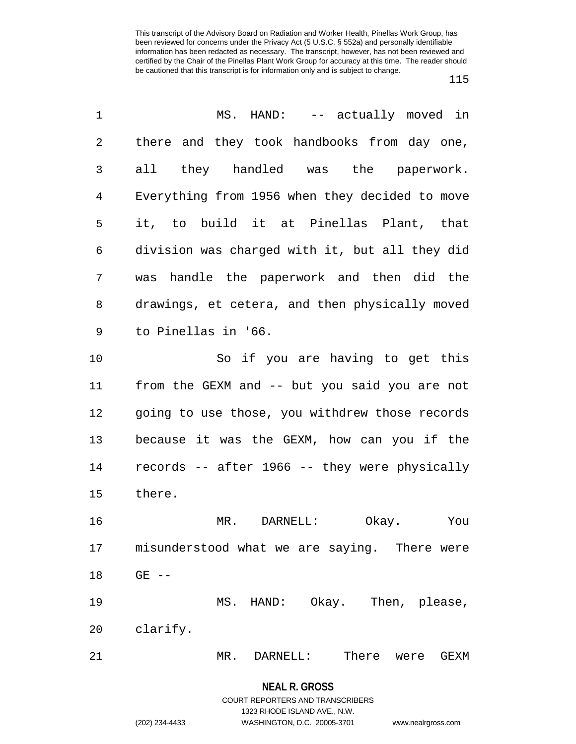| 1  | MS. HAND: -- actually moved in                 |
|----|------------------------------------------------|
| 2  | there and they took handbooks from day one,    |
| 3  | all they handled was the paperwork.            |
| 4  | Everything from 1956 when they decided to move |
| 5  | it, to build it at Pinellas Plant, that        |
| 6  | division was charged with it, but all they did |
| 7  | was handle the paperwork and then did the      |
| 8  | drawings, et cetera, and then physically moved |
| 9  | to Pinellas in '66.                            |
| 10 | So if you are having to get this               |
| 11 | from the GEXM and -- but you said you are not  |
| 12 | going to use those, you withdrew those records |
| 13 | because it was the GEXM, how can you if the    |
| 14 | records -- after 1966 -- they were physically  |
| 15 | there.                                         |
| 16 | Okay.<br>MR. DARNELL:<br>You                   |
| 17 | misunderstood what we are saying. There were   |
| 18 | $GE$ $-$                                       |
| 19 | MS. HAND: Okay. Then, please,                  |
| 20 | clarify.                                       |
| 21 | MR.<br>DARNELL:<br>There<br>GEXM<br>were       |

**NEAL R. GROSS** COURT REPORTERS AND TRANSCRIBERS

1323 RHODE ISLAND AVE., N.W.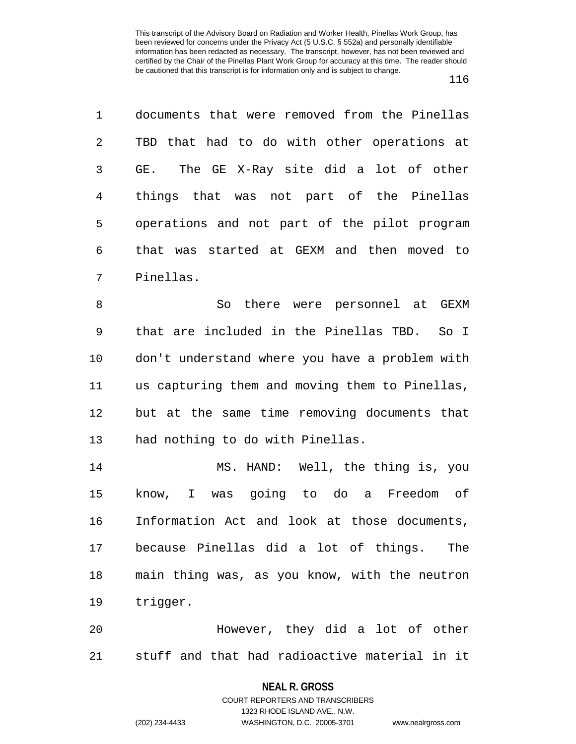1 documents that were removed from the Pinellas 2 TBD that had to do with other operations at 3 GE. The GE X-Ray site did a lot of other 4 things that was not part of the Pinellas 5 operations and not part of the pilot program 6 that was started at GEXM and then moved to 7 Pinellas.

8 So there were personnel at GEXM 9 that are included in the Pinellas TBD. So I 10 don't understand where you have a problem with 11 us capturing them and moving them to Pinellas, 12 but at the same time removing documents that 13 had nothing to do with Pinellas.

14 MS. HAND: Well, the thing is, you 15 know, I was going to do a Freedom of 16 Information Act and look at those documents, 17 because Pinellas did a lot of things. The 18 main thing was, as you know, with the neutron 19 trigger.

20 However, they did a lot of other 21 stuff and that had radioactive material in it

#### **NEAL R. GROSS**

COURT REPORTERS AND TRANSCRIBERS 1323 RHODE ISLAND AVE., N.W. (202) 234-4433 WASHINGTON, D.C. 20005-3701 www.nealrgross.com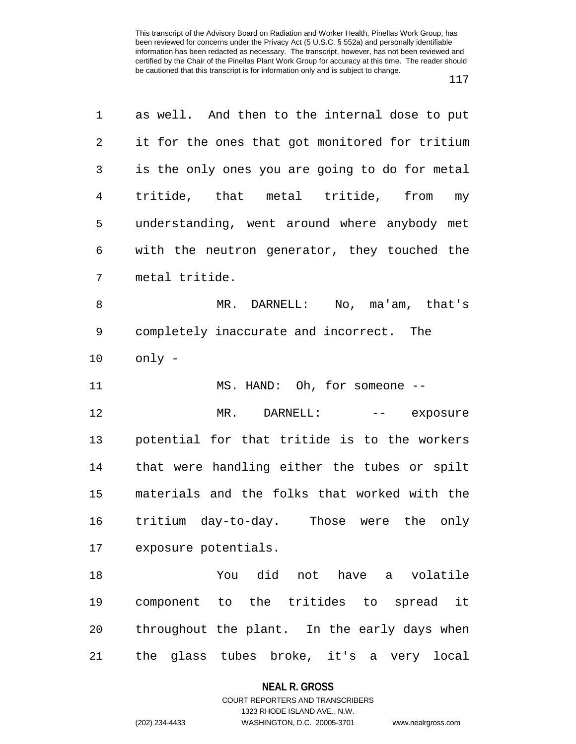| 1              | as well. And then to the internal dose to put  |
|----------------|------------------------------------------------|
| $\overline{2}$ | it for the ones that got monitored for tritium |
| 3              | is the only ones you are going to do for metal |
| $\overline{4}$ | tritide, that metal tritide, from my           |
| 5              | understanding, went around where anybody met   |
| 6              | with the neutron generator, they touched the   |
| 7              | metal tritide.                                 |
| 8              | MR. DARNELL: No, ma'am, that's                 |
| 9              | completely inaccurate and incorrect. The       |
| 10             | only -                                         |
| 11             | MS. HAND: Oh, for someone --                   |
| 12             | MR. DARNELL:<br>-- exposure                    |
| 13             | potential for that tritide is to the workers   |
| 14             | that were handling either the tubes or spilt   |
| 15             | materials and the folks that worked with the   |
| 16             | tritium day-to-day. Those were the only        |
| 17             | exposure potentials.                           |
| 18             | You did not have a volatile                    |
| 19             | component to the tritides to spread it         |
| 20             | throughout the plant. In the early days when   |
| 21             | the glass tubes broke, it's a very local       |

**NEAL R. GROSS**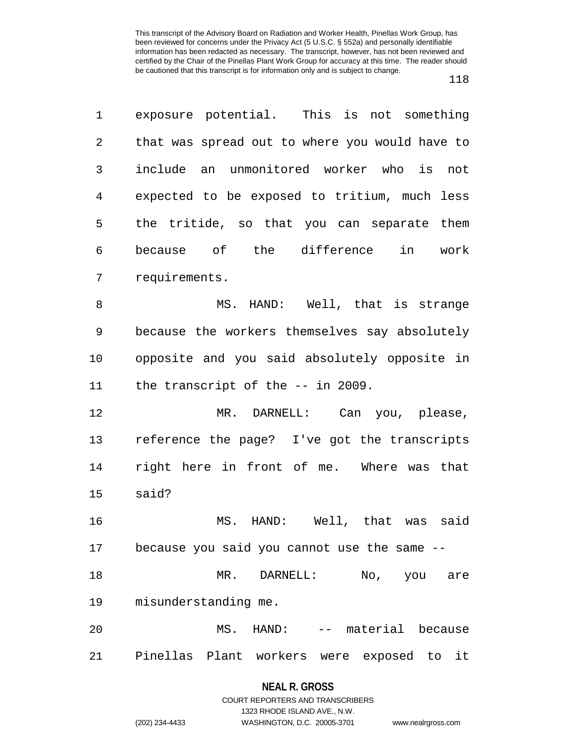1 exposure potential. This is not something 2 that was spread out to where you would have to 3 include an unmonitored worker who is not 4 expected to be exposed to tritium, much less 5 the tritide, so that you can separate them 6 because of the difference in work 7 requirements. 8 MS. HAND: Well, that is strange 9 because the workers themselves say absolutely 10 opposite and you said absolutely opposite in 11 the transcript of the -- in 2009. 12 MR. DARNELL: Can you, please, 13 reference the page? I've got the transcripts 14 right here in front of me. Where was that 15 said? 16 MS. HAND: Well, that was said 17 because you said you cannot use the same -- 18 MR. DARNELL: No, you are 19 misunderstanding me. 20 MS. HAND: -- material because 21 Pinellas Plant workers were exposed to it

### **NEAL R. GROSS** COURT REPORTERS AND TRANSCRIBERS

1323 RHODE ISLAND AVE., N.W. (202) 234-4433 WASHINGTON, D.C. 20005-3701 www.nealrgross.com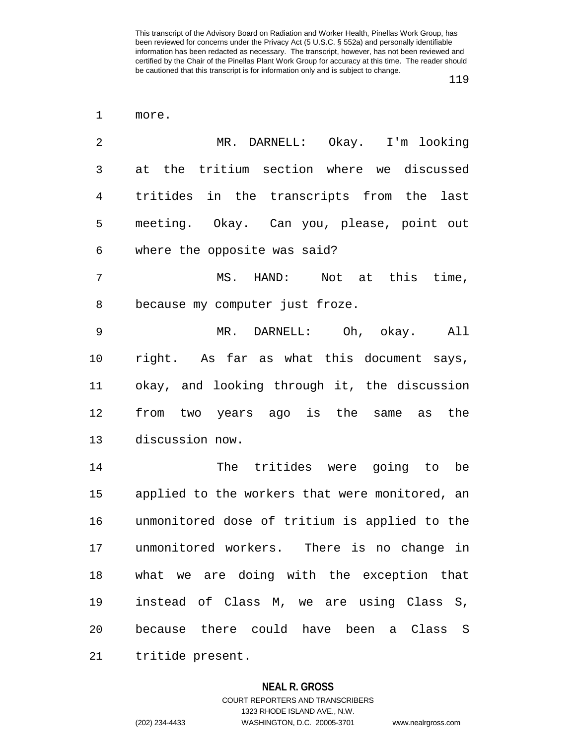1 more. 2 MR. DARNELL: Okay. I'm looking 3 at the tritium section where we discussed 4 tritides in the transcripts from the last 5 meeting. Okay. Can you, please, point out 6 where the opposite was said? 7 MS. HAND: Not at this time, 8 because my computer just froze. 9 MR. DARNELL: Oh, okay. All 10 right. As far as what this document says, 11 okay, and looking through it, the discussion 12 from two years ago is the same as the 13 discussion now. 14 The tritides were going to be 15 applied to the workers that were monitored, an 16 unmonitored dose of tritium is applied to the 17 unmonitored workers. There is no change in 18 what we are doing with the exception that 19 instead of Class M, we are using Class S, 20 because there could have been a Class S 21 tritide present.

#### **NEAL R. GROSS**

COURT REPORTERS AND TRANSCRIBERS 1323 RHODE ISLAND AVE., N.W. (202) 234-4433 WASHINGTON, D.C. 20005-3701 www.nealrgross.com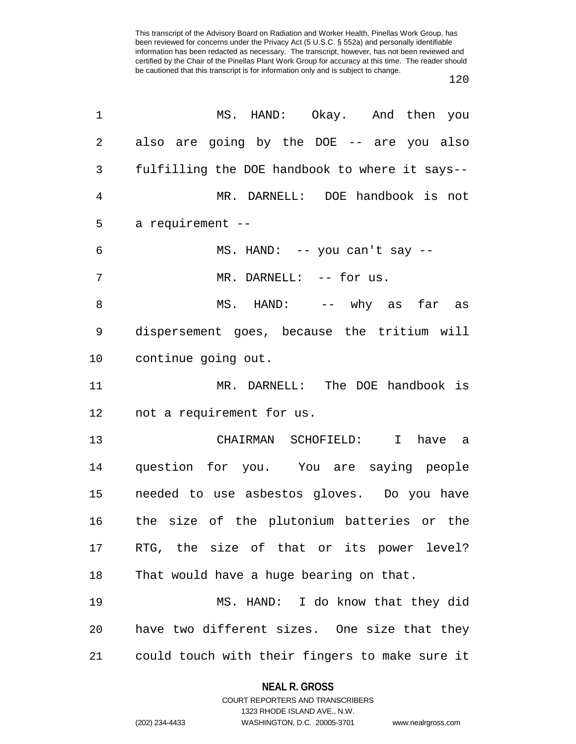| 1  | MS. HAND: Okay. And then you                   |
|----|------------------------------------------------|
| 2  | also are going by the DOE -- are you also      |
| 3  | fulfilling the DOE handbook to where it says-- |
| 4  | MR. DARNELL: DOE handbook is not               |
| 5  | a requirement --                               |
| 6  | MS. HAND: -- you can't say --                  |
| 7  | MR. DARNELL: -- for us.                        |
| 8  | MS. HAND: -- why as far as                     |
| 9  | dispersement goes, because the tritium will    |
| 10 | continue going out.                            |
| 11 | MR. DARNELL: The DOE handbook is               |
| 12 | not a requirement for us.                      |
| 13 | $\mathbf{I}$<br>CHAIRMAN SCHOFIELD:<br>have a  |
| 14 | question for you. You are saying people        |
| 15 | needed to use asbestos gloves. Do you have     |
| 16 | the size of the plutonium batteries or the     |
| 17 | RTG, the size of that or its power level?      |
| 18 | That would have a huge bearing on that.        |
| 19 | MS. HAND: I do know that they did              |
| 20 | have two different sizes. One size that they   |
| 21 | could touch with their fingers to make sure it |

**NEAL R. GROSS** COURT REPORTERS AND TRANSCRIBERS

1323 RHODE ISLAND AVE., N.W. (202) 234-4433 WASHINGTON, D.C. 20005-3701 www.nealrgross.com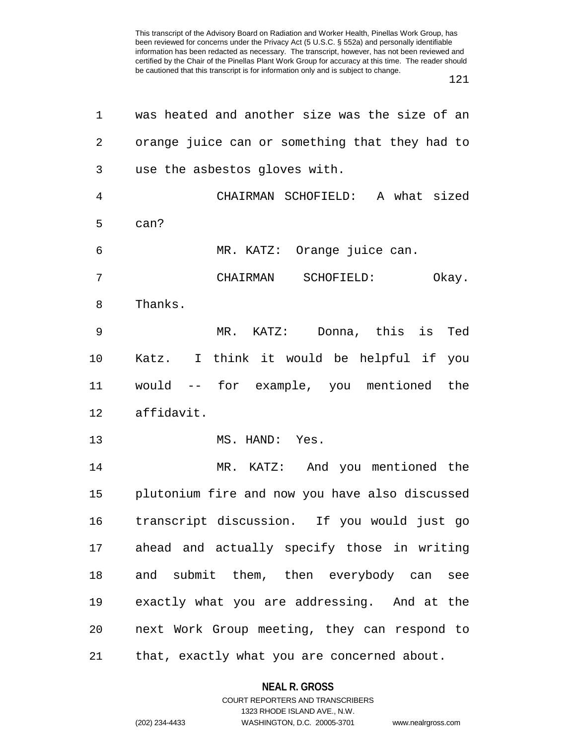| 1  | was heated and another size was the size of an |
|----|------------------------------------------------|
| 2  | orange juice can or something that they had to |
| 3  | use the asbestos gloves with.                  |
| 4  | CHAIRMAN SCHOFIELD: A what sized               |
| 5  | can?                                           |
| 6  | MR. KATZ: Orange juice can.                    |
| 7  | CHAIRMAN SCHOFIELD:<br>Okay.                   |
| 8  | Thanks.                                        |
| 9  | $MR.$ KATZ:<br>Donna, this is<br>Ted           |
| 10 | Katz. I think it would be helpful if you       |
| 11 | would -- for example, you mentioned the        |
| 12 | affidavit.                                     |
| 13 | MS. HAND: Yes.                                 |
| 14 | MR. KATZ: And you mentioned the                |
| 15 | plutonium fire and now you have also discussed |
| 16 | transcript discussion. If you would just go    |
| 17 | ahead and actually specify those in writing    |
| 18 | and submit them, then everybody can<br>see     |
| 19 | exactly what you are addressing. And at the    |
| 20 | next Work Group meeting, they can respond to   |
| 21 | that, exactly what you are concerned about.    |

# **NEAL R. GROSS** COURT REPORTERS AND TRANSCRIBERS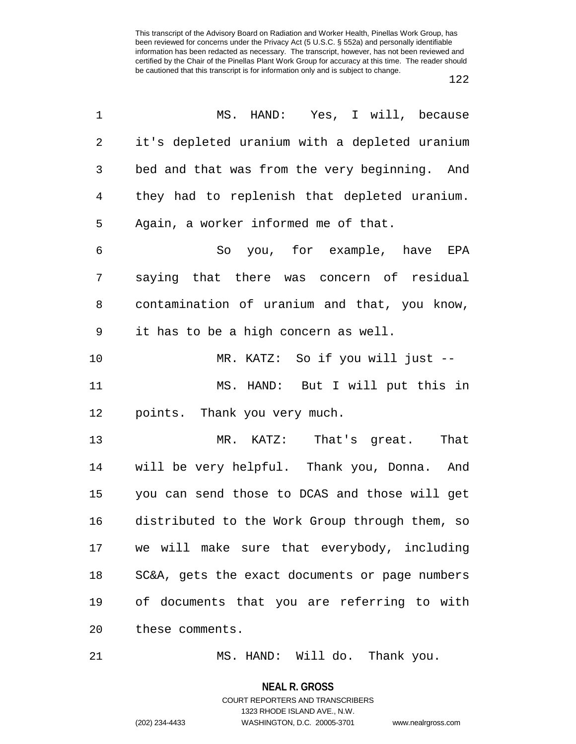| 1          | MS. HAND: Yes, I will, because                 |
|------------|------------------------------------------------|
| $\sqrt{2}$ | it's depleted uranium with a depleted uranium  |
| 3          | bed and that was from the very beginning. And  |
| 4          | they had to replenish that depleted uranium.   |
| 5          | Again, a worker informed me of that.           |
| 6          | So you, for example, have EPA                  |
| 7          | saying that there was concern of residual      |
| 8          | contamination of uranium and that, you know,   |
| 9          | it has to be a high concern as well.           |
| 10         | MR. KATZ: So if you will just --               |
| 11         | MS. HAND: But I will put this in               |
| 12         | points. Thank you very much.                   |
| 13         | MR. KATZ: That's great.<br>That                |
| 14         | will be very helpful. Thank you, Donna. And    |
| 15         | you can send those to DCAS and those will get  |
| 16         | distributed to the Work Group through them, so |
| 17         | we will make sure that everybody, including    |
| 18         | SC&A, gets the exact documents or page numbers |
| 19         | of documents that you are referring to with    |
| 20         | these comments.                                |
|            |                                                |

21 MS. HAND: Will do. Thank you.

**NEAL R. GROSS** COURT REPORTERS AND TRANSCRIBERS

1323 RHODE ISLAND AVE., N.W.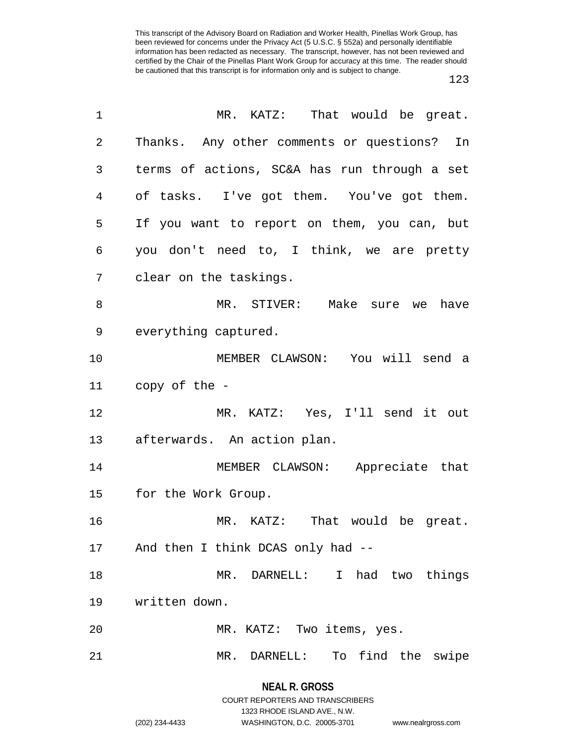| Thanks. Any other comments or questions? In<br>terms of actions, SC&A has run through a set<br>of tasks. I've got them. You've got them. |
|------------------------------------------------------------------------------------------------------------------------------------------|
|                                                                                                                                          |
|                                                                                                                                          |
|                                                                                                                                          |
| If you want to report on them, you can, but                                                                                              |
| you don't need to, I think, we are pretty                                                                                                |
|                                                                                                                                          |
| MR. STIVER: Make sure we<br>have                                                                                                         |
|                                                                                                                                          |
| MEMBER CLAWSON: You will send a                                                                                                          |
|                                                                                                                                          |
| MR. KATZ: Yes, I'll send it out                                                                                                          |
|                                                                                                                                          |
| MEMBER CLAWSON: Appreciate that                                                                                                          |
|                                                                                                                                          |
| MR. KATZ: That would be great.                                                                                                           |
|                                                                                                                                          |
|                                                                                                                                          |
| MR. DARNELL: I had two things                                                                                                            |
|                                                                                                                                          |
|                                                                                                                                          |
|                                                                                                                                          |

1323 RHODE ISLAND AVE., N.W.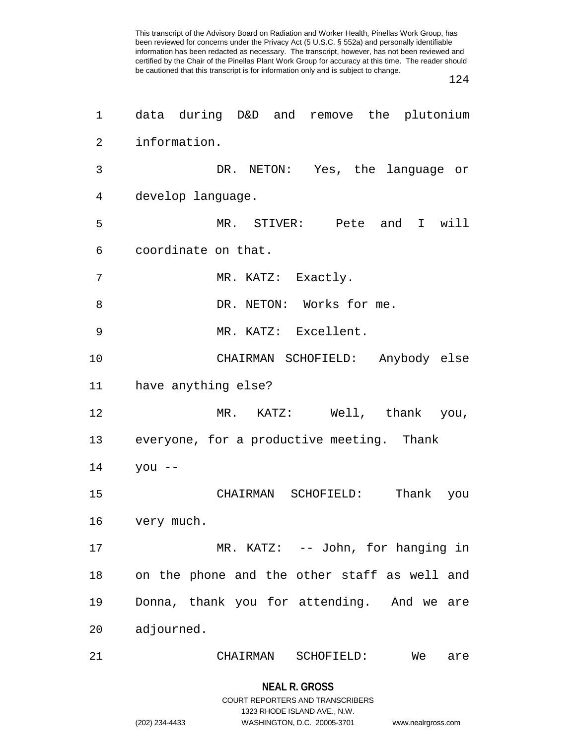124

| 1              | data during D&D and remove the plutonium     |
|----------------|----------------------------------------------|
| $\overline{2}$ | information.                                 |
| 3              | DR. NETON: Yes, the language or              |
| 4              | develop language.                            |
| 5              | MR. STIVER: Pete and I will                  |
| 6              | coordinate on that.                          |
| 7              | MR. KATZ: Exactly.                           |
| 8              | DR. NETON: Works for me.                     |
| 9              | MR. KATZ: Excellent.                         |
| 10             | CHAIRMAN SCHOFIELD: Anybody else             |
| 11             | have anything else?                          |
| 12             | MR. KATZ: Well, thank you,                   |
| 13             | everyone, for a productive meeting. Thank    |
| 14             | $you --$                                     |
| 15             | Thank you<br>CHAIRMAN SCHOFIELD:             |
| 16             | very much.                                   |
| 17             | MR. KATZ: -- John, for hanging in            |
| 18             | on the phone and the other staff as well and |
| 19             | Donna, thank you for attending. And we are   |
| 20             | adjourned.                                   |
| 21             | CHAIRMAN<br>SCHOFIELD:<br>We<br>are          |
|                |                                              |

1323 RHODE ISLAND AVE., N.W.